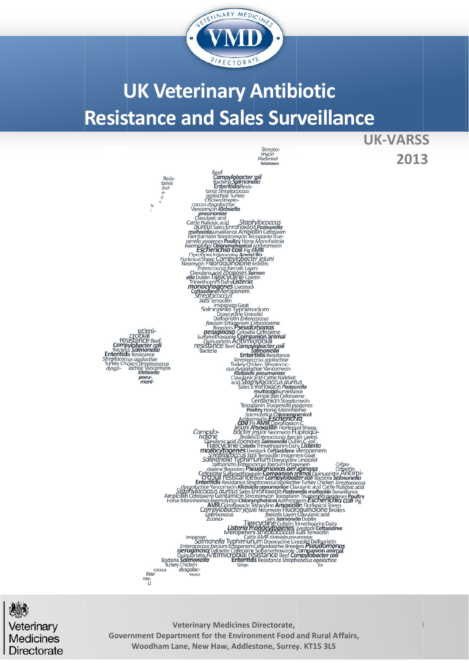

# **UK Veterinary Antibiotic Resistance and Sales Surveillance**

 **2013**



Veterinary **Medicines** Directorate

Government Department for the Environment Food and Rural Affairs, Woodham Lane, New Haw, Addlestone, Surrey. KT15 3LS **Veterinary Medicines D Directorate,**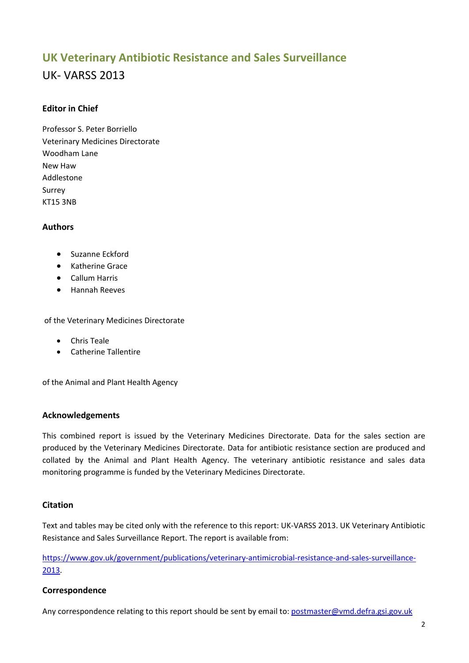# **UK Veterinary Antibiotic Resistance and Sales Surveillance**

# UK‐ VARSS 2013

# **Editor in Chief**

Professor S. Peter Borriello Veterinary Medicines Directorate Woodham Lane New Haw Addlestone Surrey KT15 3NB

## **Authors**

- Suzanne Eckford
- Katherine Grace
- Callum Harris
- Hannah Reeves

of the Veterinary Medicines Directorate

- Chris Teale
- Catherine Tallentire

of the Animal and Plant Health Agency

#### **Acknowledgements**

This combined report is issued by the Veterinary Medicines Directorate. Data for the sales section are produced by the Veterinary Medicines Directorate. Data for antibiotic resistance section are produced and collated by the Animal and Plant Health Agency. The veterinary antibiotic resistance and sales data monitoring programme is funded by the Veterinary Medicines Directorate.

## **Citation**

Text and tables may be cited only with the reference to this report: UK‐VARSS 2013. UK Veterinary Antibiotic Resistance and Sales Surveillance Report. The report is available from:

https://www.gov.uk/government/publications/veterinary-antimicrobial-resistance-and-sales-surveillance-2013.

#### **Correspondence**

Any correspondence relating to this report should be sent by email to: postmaster@vmd.defra.gsi.gov.uk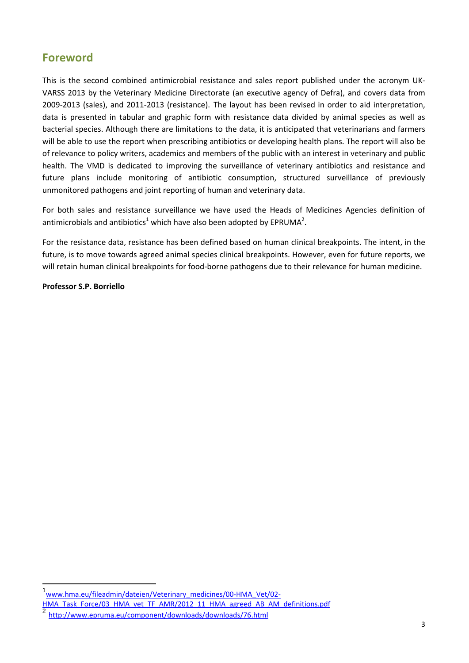# **Foreword**

This is the second combined antimicrobial resistance and sales report published under the acronym UK‐ VARSS 2013 by the Veterinary Medicine Directorate (an executive agency of Defra), and covers data from 2009‐2013 (sales), and 2011‐2013 (resistance). The layout has been revised in order to aid interpretation, data is presented in tabular and graphic form with resistance data divided by animal species as well as bacterial species. Although there are limitations to the data, it is anticipated that veterinarians and farmers will be able to use the report when prescribing antibiotics or developing health plans. The report will also be of relevance to policy writers, academics and members of the public with an interest in veterinary and public health. The VMD is dedicated to improving the surveillance of veterinary antibiotics and resistance and future plans include monitoring of antibiotic consumption, structured surveillance of previously unmonitored pathogens and joint reporting of human and veterinary data.

For both sales and resistance surveillance we have used the Heads of Medicines Agencies definition of antimicrobials and antibiotics<sup>1</sup> which have also been adopted by EPRUMA<sup>2</sup>.

For the resistance data, resistance has been defined based on human clinical breakpoints. The intent, in the future, is to move towards agreed animal species clinical breakpoints. However, even for future reports, we will retain human clinical breakpoints for food-borne pathogens due to their relevance for human medicine.

#### **Professor S.P. Borriello**

<sup>1&</sup>lt;sub>www.hma.eu/fileadmin/dateien/Veterinary\_medicines/00-HMA\_Vet/02-</sub>

HMA\_Task\_Force/03\_HMA\_vet\_TF\_AMR/2012\_11\_HMA\_agreed\_AB\_AM\_definitions.pdf

<sup>2</sup> http://www.epruma.eu/component/downloads/downloads/76.html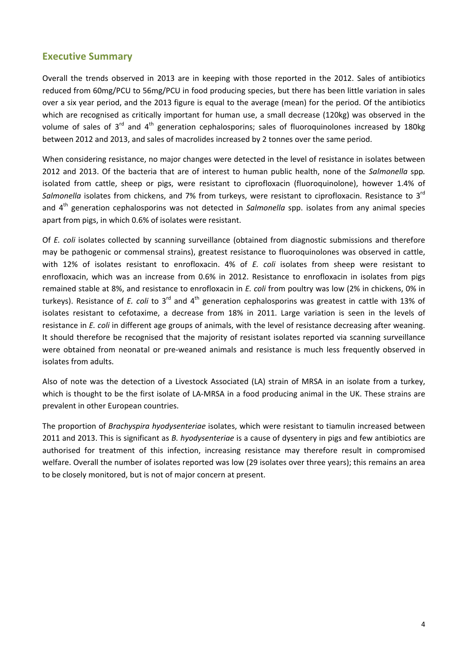# **Executive Summary**

Overall the trends observed in 2013 are in keeping with those reported in the 2012. Sales of antibiotics reduced from 60mg/PCU to 56mg/PCU in food producing species, but there has been little variation in sales over a six year period, and the 2013 figure is equal to the average (mean) for the period. Of the antibiotics which are recognised as critically important for human use, a small decrease (120kg) was observed in the volume of sales of  $3^{rd}$  and  $4^{th}$  generation cephalosporins; sales of fluoroquinolones increased by 180kg between 2012 and 2013, and sales of macrolides increased by 2 tonnes over the same period.

When considering resistance, no major changes were detected in the level of resistance in isolates between 2012 and 2013. Of the bacteria that are of interest to human public health, none of the *Salmonella* spp*.* isolated from cattle, sheep or pigs, were resistant to ciprofloxacin (fluoroquinolone), however 1.4% of *Salmonella* isolates from chickens, and 7% from turkeys, were resistant to ciprofloxacin. Resistance to 3rd and 4th generation cephalosporins was not detected in *Salmonella* spp. isolates from any animal species apart from pigs, in which 0.6% of isolates were resistant.

Of *E. coli* isolates collected by scanning surveillance (obtained from diagnostic submissions and therefore may be pathogenic or commensal strains), greatest resistance to fluoroquinolones was observed in cattle, with 12% of isolates resistant to enrofloxacin. 4% of *E. coli* isolates from sheep were resistant to enrofloxacin, which was an increase from 0.6% in 2012. Resistance to enrofloxacin in isolates from pigs remained stable at 8%, and resistance to enrofloxacin in *E. coli* from poultry was low (2% in chickens, 0% in turkeys). Resistance of *E. coli* to 3rd and 4th generation cephalosporins was greatest in cattle with 13% of isolates resistant to cefotaxime, a decrease from 18% in 2011. Large variation is seen in the levels of resistance in *E. coli* in different age groups of animals, with the level of resistance decreasing after weaning. It should therefore be recognised that the majority of resistant isolates reported via scanning surveillance were obtained from neonatal or pre-weaned animals and resistance is much less frequently observed in isolates from adults.

Also of note was the detection of a Livestock Associated (LA) strain of MRSA in an isolate from a turkey, which is thought to be the first isolate of LA-MRSA in a food producing animal in the UK. These strains are prevalent in other European countries.

The proportion of *Brachyspira hyodysenteriae* isolates, which were resistant to tiamulin increased between 2011 and 2013. This is significant as *B. hyodysenteriae* is a cause of dysentery in pigs and few antibiotics are authorised for treatment of this infection, increasing resistance may therefore result in compromised welfare. Overall the number of isolates reported was low (29 isolates over three years); this remains an area to be closely monitored, but is not of major concern at present.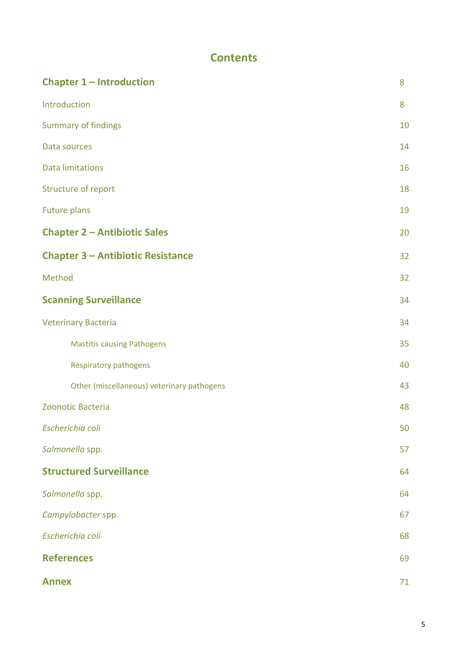# **Contents**

| <b>Chapter 1 - Introduction</b>            | 8  |
|--------------------------------------------|----|
| Introduction                               | 8  |
| <b>Summary of findings</b>                 | 10 |
| Data sources                               | 14 |
| <b>Data limitations</b>                    | 16 |
| Structure of report                        | 18 |
| <b>Future plans</b>                        | 19 |
| <b>Chapter 2 - Antibiotic Sales</b>        | 20 |
| <b>Chapter 3 - Antibiotic Resistance</b>   | 32 |
| Method                                     | 32 |
| <b>Scanning Surveillance</b>               | 34 |
| <b>Veterinary Bacteria</b>                 | 34 |
| <b>Mastitis causing Pathogens</b>          | 35 |
| <b>Respiratory pathogens</b>               | 40 |
| Other (miscellaneous) veterinary pathogens | 43 |
| Zoonotic Bacteria                          | 48 |
| Escherichia coli                           | 50 |
| Salmonella spp.                            | 57 |
| <b>Structured Surveillance</b>             | 64 |
| Salmonella spp.                            | 64 |
| Campylobacter spp.                         | 67 |
| Escherichia coli                           | 68 |
| <b>References</b>                          | 69 |
| <b>Annex</b>                               | 71 |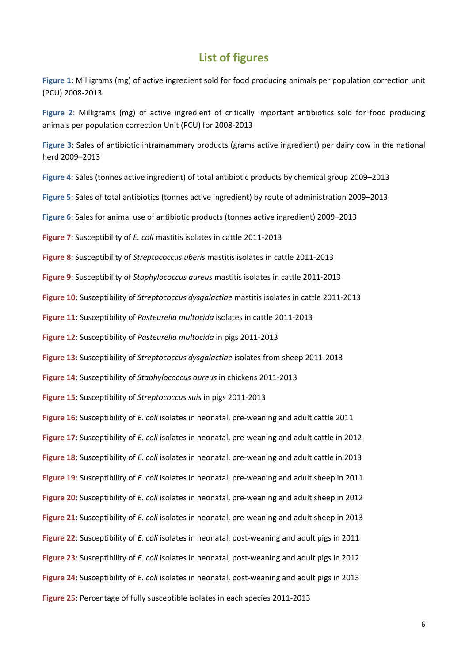# **List of figures**

**Figure 1**: Milligrams (mg) of active ingredient sold for food producing animals per [population](#page-21-0) correction unit (PCU) 2008‐2013

**Figure 2**: Milligrams (mg) of active ingredient of critically important antibiotics sold for food producing animals per [population](#page-22-0) correction Unit (PCU) for 2008‐2013

**Figure 3**: Sales of antibiotic [intramammary](#page-24-0) products (grams active ingredient) per dairy cow in the national herd 2009–2013

**Figure 4**: Sales (tonnes active ingredient) of total antibiotic products by chemical group [2009–2013](#page-26-0)

**Figure 5**: Sales of total antibiotics (tonnes active ingredient) by route of [administration](#page-28-0) 2009–2013

**Figure 6**: Sales for animal use of antibiotic products (tonnes active ingredient) [2009–2013](#page-29-0)

**Figure 7**: [Susceptibility](#page-33-0) of *E. coli* mastitis isolates in cattle 2011‐2013

**Figure 8**: Susceptibility of *[Streptococcus](#page-35-0) uberis* mastitis isolates in cattle 2011‐2013

**Figure 9**: Susceptibility of *[Staphylococcus](#page-36-0) aureus* mastitis isolates in cattle 2011‐2013

**Figure 10**: Susceptibility of *[Streptococcus](#page-37-0) dysgalactiae* mastitis isolates in cattle 2011‐2013

**Figure 11**: [Susceptibility](#page-40-0) of *Pasteurella multocida* isolates in cattle 2011‐2013

**Figure 12**: [Susceptibility](#page-40-0) of *Pasteurella multocida* in pigs 2011‐2013

**Figure 13**: Susceptibility of *[Streptococcus](#page-43-0) dysgalactiae* isolates from sheep 2011‐2013

**Figure 14**: Susceptibility of *[Staphylococcus](#page-45-0) aureus* in chickens 2011‐2013

**Figure 15**: Susceptibility of *[Streptococcus](#page-48-0) suis* in pigs 2011‐2013

**Figure 16**: [Susceptibility](#page-50-0) of *E. coli* isolates in neonatal, pre‐weaning and adult cattle 2011

**Figure 17**: [Susceptibility](#page-51-0) of *E. coli* isolates in neonatal, pre‐weaning and adult cattle in 2012

**Figure 18**: [Susceptibility](#page-51-0) of *E. coli* isolates in neonatal, pre‐weaning and adult cattle in 2013

**Figure 19**: [Susceptibility](#page-52-0) of *E. coli* isolates in neonatal, pre‐weaning and adult sheep in 2011

**Figure 20**: [Susceptibility](#page-53-0) of *E. coli* isolates in neonatal, pre‐weaning and adult sheep in 2012

**Figure 21**: [Susceptibility](#page-53-0) of *E. coli* isolates in neonatal, pre‐weaning and adult sheep in 2013

Figure 22: [Susceptibility](#page-54-0) of *E. coli* isolates in neonatal, post-weaning and adult pigs in 2011

**Figure 23**: [Susceptibility](#page-55-0) of *E. coli* isolates in neonatal, post‐weaning and adult pigs in 2012

**Figure 24**: [Susceptibility](#page-55-0) of *E. coli* isolates in neonatal, post‐weaning and adult pigs in 2013

**Figure 25**: [Percentage](#page-57-0) of fully susceptible isolates in each species 2011‐2013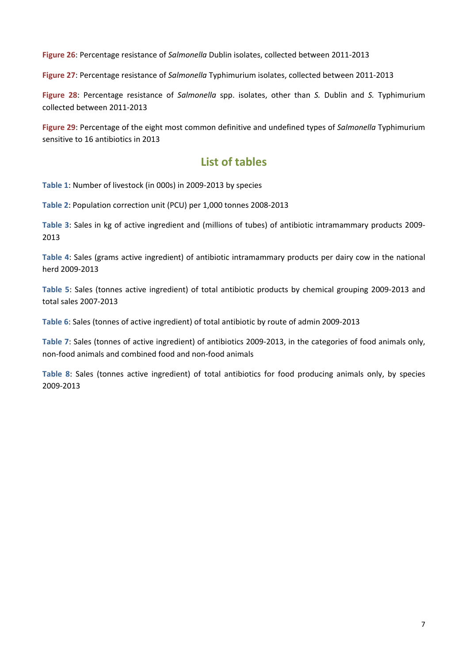**Figure 26**: [Percentage](#page-59-0) resistance of *Salmonella* Dublin isolates, collected between 2011‐2013

**Figure 27**: Percentage resistance of *Salmonella* [Typhimurium](#page-60-0) isolates, collected between 2011‐2013

**Figure 28**: Percentage resistance of *Salmonella* spp. isolates, other than *S.* Dublin and *S.* [Typhimurium](#page-63-0) collected between 2011‐2013

**Figure 29**: Percentage of the eight most common definitive and undefined types of *Salmonella* [Typhimurium](#page-107-0) sensitive to 16 antibiotics in 2013

# **List of tables**

**Table 1**: Number of [livestock](#page-19-0) (in 000s) in 2009‐2013 by species

**Table 2**: [Population](#page-20-0) correction unit (PCU) per 1,000 tonnes 2008‐2013

**Table 3**: Sales in kg of active ingredient and (millions of tubes) of antibiotic [intramammary](#page-23-0) products 2009‐ 2013

**Table 4**: Sales (grams active ingredient) of antibiotic [intramammary](#page-23-0) products per dairy cow in the national herd 2009‐2013

**Table 5**: Sales (tonnes active [ingredient\)](#page-25-0) of total antibiotic products by chemical grouping 2009‐2013 and total sales 2007‐2013

**Table 6**: Sales (tonnes of active [ingredient\)](#page-27-0) of total antibiotic by route of admin 2009‐2013

**Table 7**: Sales (tonnes of active [ingredient\)](#page-29-0) of antibiotics 2009‐2013, in the categories of food animals only, non‐food animals and combined food and non‐food animals

**Table 8**: Sales (tonnes active [ingredient\)](#page-30-0) of total antibiotics for food producing animals only, by species 2009‐2013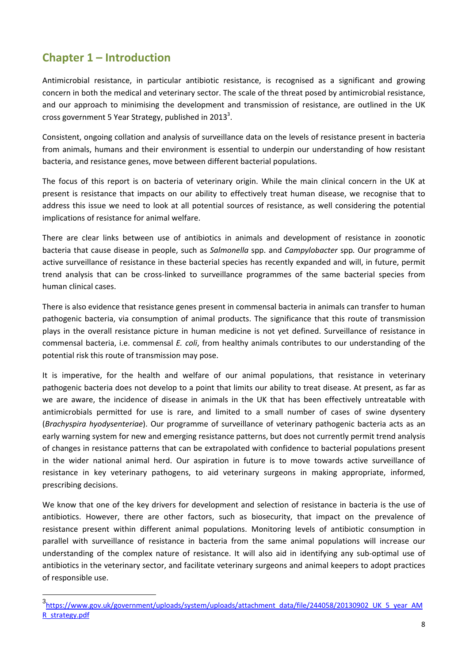# <span id="page-7-0"></span>**Chapter 1 – Introduction**

Antimicrobial resistance, in particular antibiotic resistance, is recognised as a significant and growing concern in both the medical and veterinary sector. The scale of the threat posed by antimicrobial resistance, and our approach to minimising the development and transmission of resistance, are outlined in the UK cross government 5 Year Strategy, published in 2013<sup>3</sup>.

Consistent, ongoing collation and analysis of surveillance data on the levels of resistance present in bacteria from animals, humans and their environment is essential to underpin our understanding of how resistant bacteria, and resistance genes, move between different bacterial populations.

The focus of this report is on bacteria of veterinary origin. While the main clinical concern in the UK at present is resistance that impacts on our ability to effectively treat human disease, we recognise that to address this issue we need to look at all potential sources of resistance, as well considering the potential implications of resistance for animal welfare.

There are clear links between use of antibiotics in animals and development of resistance in zoonotic bacteria that cause disease in people, such as *Salmonella* spp. and *Campylobacter* spp*.* Our programme of active surveillance of resistance in these bacterial species has recently expanded and will, in future, permit trend analysis that can be cross‐linked to surveillance programmes of the same bacterial species from human clinical cases.

There is also evidence that resistance genes present in commensal bacteria in animals can transfer to human pathogenic bacteria, via consumption of animal products. The significance that this route of transmission plays in the overall resistance picture in human medicine is not yet defined. Surveillance of resistance in commensal bacteria, i.e. commensal *E. coli*, from healthy animals contributes to our understanding of the potential risk this route of transmission may pose.

It is imperative, for the health and welfare of our animal populations, that resistance in veterinary pathogenic bacteria does not develop to a point that limits our ability to treat disease. At present, as far as we are aware, the incidence of disease in animals in the UK that has been effectively untreatable with antimicrobials permitted for use is rare, and limited to a small number of cases of swine dysentery (*Brachyspira hyodysenteriae*). Our programme of surveillance of veterinary pathogenic bacteria acts as an early warning system for new and emerging resistance patterns, but does not currently permit trend analysis of changes in resistance patterns that can be extrapolated with confidence to bacterial populations present in the wider national animal herd. Our aspiration in future is to move towards active surveillance of resistance in key veterinary pathogens, to aid veterinary surgeons in making appropriate, informed, prescribing decisions.

We know that one of the key drivers for development and selection of resistance in bacteria is the use of antibiotics. However, there are other factors, such as biosecurity, that impact on the prevalence of resistance present within different animal populations. Monitoring levels of antibiotic consumption in parallel with surveillance of resistance in bacteria from the same animal populations will increase our understanding of the complex nature of resistance. It will also aid in identifying any sub‐optimal use of antibiotics in the veterinary sector, and facilitate veterinary surgeons and animal keepers to adopt practices of responsible use.

<sup>3&</sup>lt;br>https://www.gov.uk/government/uploads/system/uploads/attachment\_data/file/244058/20130902\_UK\_5\_year\_AM R\_strategy.pdf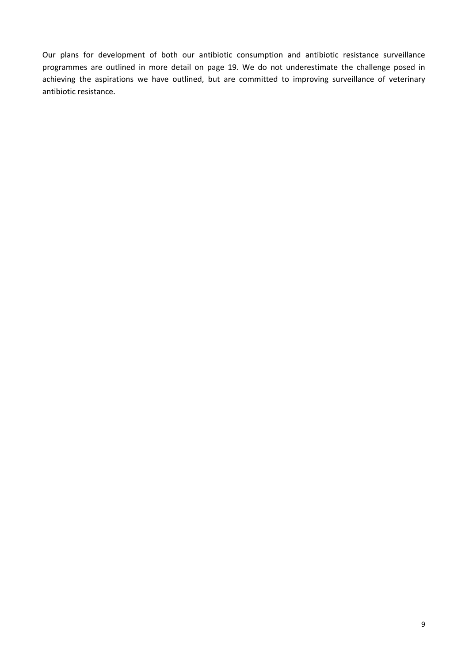<span id="page-8-0"></span>Our plans for development of both our antibiotic consumption and antibiotic resistance surveillance programmes are outlined in more detail on page 19. We do not underestimate the challenge posed in achieving the aspirations we have outlined, but are committed to improving surveillance of veterinary antibiotic resistance.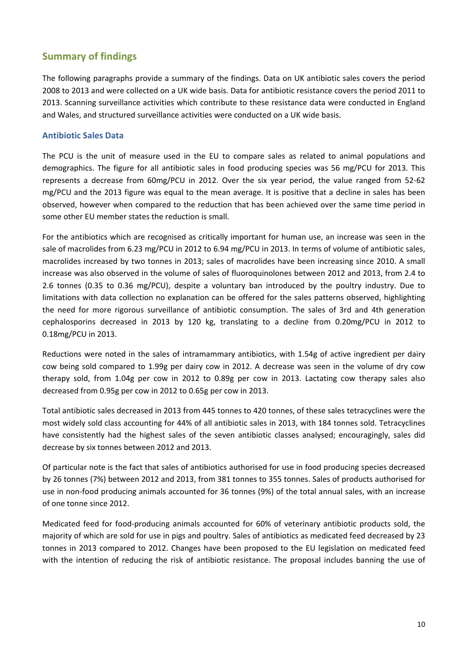# **Summary of findings**

The following paragraphs provide a summary of the findings. Data on UK antibiotic sales covers the period 2008 to 2013 and were collected on a UK wide basis. Data for antibiotic resistance covers the period 2011 to 2013. Scanning surveillance activities which contribute to these resistance data were conducted in England and Wales, and structured surveillance activities were conducted on a UK wide basis.

# **Antibiotic Sales Data**

The PCU is the unit of measure used in the EU to compare sales as related to animal populations and demographics. The figure for all antibiotic sales in food producing species was 56 mg/PCU for 2013. This represents a decrease from 60mg/PCU in 2012. Over the six year period, the value ranged from 52‐62 mg/PCU and the 2013 figure was equal to the mean average. It is positive that a decline in sales has been observed, however when compared to the reduction that has been achieved over the same time period in some other EU member states the reduction is small.

For the antibiotics which are recognised as critically important for human use, an increase was seen in the sale of macrolides from 6.23 mg/PCU in 2012 to 6.94 mg/PCU in 2013. In terms of volume of antibiotic sales, macrolides increased by two tonnes in 2013; sales of macrolides have been increasing since 2010. A small increase was also observed in the volume of sales of fluoroquinolones between 2012 and 2013, from 2.4 to 2.6 tonnes (0.35 to 0.36 mg/PCU), despite a voluntary ban introduced by the poultry industry. Due to limitations with data collection no explanation can be offered for the sales patterns observed, highlighting the need for more rigorous surveillance of antibiotic consumption. The sales of 3rd and 4th generation cephalosporins decreased in 2013 by 120 kg, translating to a decline from 0.20mg/PCU in 2012 to 0.18mg/PCU in 2013.

Reductions were noted in the sales of intramammary antibiotics, with 1.54g of active ingredient per dairy cow being sold compared to 1.99g per dairy cow in 2012. A decrease was seen in the volume of dry cow therapy sold, from 1.04g per cow in 2012 to 0.89g per cow in 2013. Lactating cow therapy sales also decreased from 0.95g per cow in 2012 to 0.65g per cow in 2013.

Total antibiotic sales decreased in 2013 from 445 tonnes to 420 tonnes, of these sales tetracyclines were the most widely sold class accounting for 44% of all antibiotic sales in 2013, with 184 tonnes sold. Tetracyclines have consistently had the highest sales of the seven antibiotic classes analysed; encouragingly, sales did decrease by six tonnes between 2012 and 2013.

Of particular note is the fact that sales of antibiotics authorised for use in food producing species decreased by 26 tonnes (7%) between 2012 and 2013, from 381 tonnes to 355 tonnes. Sales of products authorised for use in non‐food producing animals accounted for 36 tonnes (9%) of the total annual sales, with an increase of one tonne since 2012.

Medicated feed for food-producing animals accounted for 60% of veterinary antibiotic products sold, the majority of which are sold for use in pigs and poultry. Sales of antibiotics as medicated feed decreased by 23 tonnes in 2013 compared to 2012. Changes have been proposed to the EU legislation on medicated feed with the intention of reducing the risk of antibiotic resistance. The proposal includes banning the use of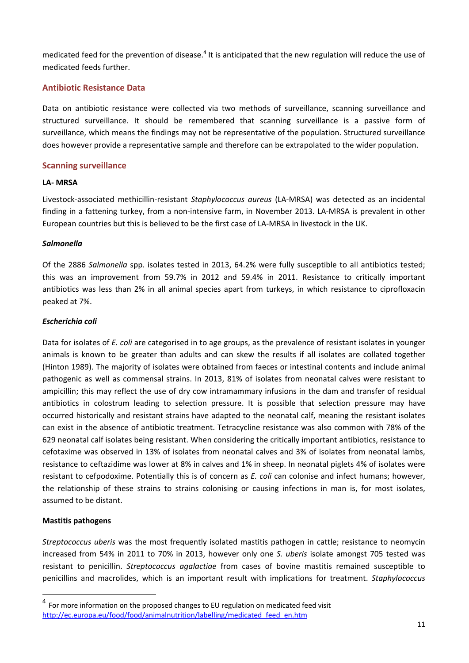medicated feed for the prevention of disease.<sup>4</sup> It is anticipated that the new regulation will reduce the use of medicated feeds further.

## **Antibiotic Resistance Data**

Data on antibiotic resistance were collected via two methods of surveillance, scanning surveillance and structured surveillance. It should be remembered that scanning surveillance is a passive form of surveillance, which means the findings may not be representative of the population. Structured surveillance does however provide a representative sample and therefore can be extrapolated to the wider population.

## **Scanning surveillance**

#### **LA‐ MRSA**

Livestock‐associated methicillin‐resistant *Staphylococcus aureus* (LA‐MRSA) was detected as an incidental finding in a fattening turkey, from a non-intensive farm, in November 2013. LA-MRSA is prevalent in other European countries but this is believed to be the first case of LA‐MRSA in livestock in the UK.

#### *Salmonella*

Of the 2886 *Salmonella* spp. isolates tested in 2013, 64.2% were fully susceptible to all antibiotics tested; this was an improvement from 59.7% in 2012 and 59.4% in 2011. Resistance to critically important antibiotics was less than 2% in all animal species apart from turkeys, in which resistance to ciprofloxacin peaked at 7%.

#### *Escherichia coli*

Data for isolates of *E. coli* are categorised in to age groups, as the prevalence of resistant isolates in younger animals is known to be greater than adults and can skew the results if all isolates are collated together (Hinton 1989). The majority of isolates were obtained from faeces or intestinal contents and include animal pathogenic as well as commensal strains. In 2013, 81% of isolates from neonatal calves were resistant to ampicillin; this may reflect the use of dry cow intramammary infusions in the dam and transfer of residual antibiotics in colostrum leading to selection pressure. It is possible that selection pressure may have occurred historically and resistant strains have adapted to the neonatal calf, meaning the resistant isolates can exist in the absence of antibiotic treatment. Tetracycline resistance was also common with 78% of the 629 neonatal calf isolates being resistant. When considering the critically important antibiotics, resistance to cefotaxime was observed in 13% of isolates from neonatal calves and 3% of isolates from neonatal lambs, resistance to ceftazidime was lower at 8% in calves and 1% in sheep. In neonatal piglets 4% of isolates were resistant to cefpodoxime. Potentially this is of concern as *E. coli* can colonise and infect humans; however, the relationship of these strains to strains colonising or causing infections in man is, for most isolates, assumed to be distant.

## **Mastitis pathogens**

*Streptococcus uberis* was the most frequently isolated mastitis pathogen in cattle; resistance to neomycin increased from 54% in 2011 to 70% in 2013, however only one *S. uberis* isolate amongst 705 tested was resistant to penicillin. *Streptococcus agalactiae* from cases of bovine mastitis remained susceptible to penicillins and macrolides, which is an important result with implications for treatment. *Staphylococcus*

<sup>&</sup>lt;sup>4</sup> For more information on the proposed changes to EU regulation on medicated feed visit http://ec.europa.eu/food/food/animalnutrition/labelling/medicated\_feed\_en.htm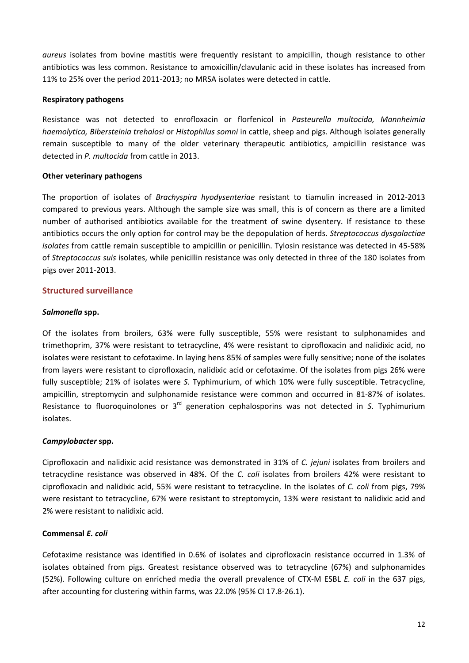*aureus* isolates from bovine mastitis were frequently resistant to ampicillin, though resistance to other antibiotics was less common. Resistance to amoxicillin/clavulanic acid in these isolates has increased from 11% to 25% over the period 2011‐2013; no MRSA isolates were detected in cattle.

#### **Respiratory pathogens**

Resistance was not detected to enrofloxacin or florfenicol in *Pasteurella multocida, Mannheimia haemolytica, Bibersteinia trehalosi* or *Histophilus somni* in cattle, sheep and pigs. Although isolates generally remain susceptible to many of the older veterinary therapeutic antibiotics, ampicillin resistance was detected in *P. multocida* from cattle in 2013.

#### **Other veterinary pathogens**

The proportion of isolates of *Brachyspira hyodysenteriae* resistant to tiamulin increased in 2012‐2013 compared to previous years. Although the sample size was small, this is of concern as there are a limited number of authorised antibiotics available for the treatment of swine dysentery. If resistance to these antibiotics occurs the only option for control may be the depopulation of herds. *Streptococcus dysgalactiae isolates* from cattle remain susceptible to ampicillin or penicillin. Tylosin resistance was detected in 45‐58% of *Streptococcus suis* isolates, while penicillin resistance was only detected in three of the 180 isolates from pigs over 2011‐2013.

## **Structured surveillance**

#### *Salmonella* **spp.**

Of the isolates from broilers, 63% were fully susceptible, 55% were resistant to sulphonamides and trimethoprim, 37% were resistant to tetracycline, 4% were resistant to ciprofloxacin and nalidixic acid, no isolates were resistant to cefotaxime. In laying hens 85% of samples were fully sensitive; none of the isolates from layers were resistant to ciprofloxacin, nalidixic acid or cefotaxime. Of the isolates from pigs 26% were fully susceptible; 21% of isolates were *S*. Typhimurium, of which 10% were fully susceptible. Tetracycline, ampicillin, streptomycin and sulphonamide resistance were common and occurred in 81‐87% of isolates. Resistance to fluoroquinolones or 3rd generation cephalosporins was not detected in *S*. Typhimurium isolates.

#### *Campylobacter* **spp.**

Ciprofloxacin and nalidixic acid resistance was demonstrated in 31% of *C. jejuni* isolates from broilers and tetracycline resistance was observed in 48%. Of the *C. coli* isolates from broilers 42% were resistant to ciprofloxacin and nalidixic acid, 55% were resistant to tetracycline. In the isolates of *C. coli* from pigs, 79% were resistant to tetracycline, 67% were resistant to streptomycin, 13% were resistant to nalidixic acid and 2% were resistant to nalidixic acid.

#### **Commensal** *E. coli*

Cefotaxime resistance was identified in 0.6% of isolates and ciprofloxacin resistance occurred in 1.3% of isolates obtained from pigs. Greatest resistance observed was to tetracycline (67%) and sulphonamides (52%). Following culture on enriched media the overall prevalence of CTX‐M ESBL *E. coli* in the 637 pigs, after accounting for clustering within farms, was 22.0% (95% CI 17.8‐26.1).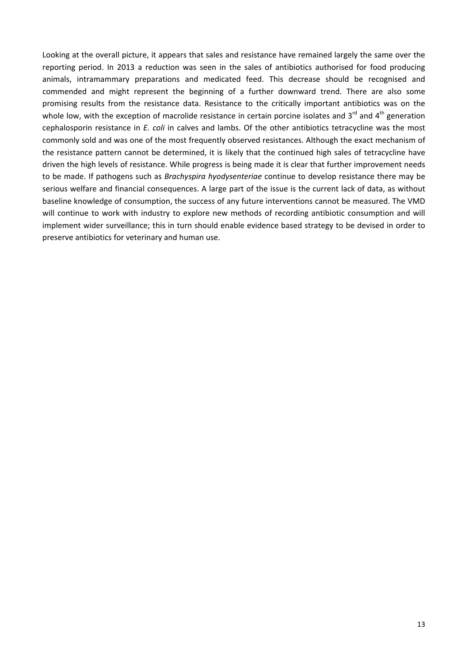<span id="page-12-0"></span>Looking at the overall picture, it appears that sales and resistance have remained largely the same over the reporting period. In 2013 a reduction was seen in the sales of antibiotics authorised for food producing animals, intramammary preparations and medicated feed. This decrease should be recognised and commended and might represent the beginning of a further downward trend. There are also some promising results from the resistance data. Resistance to the critically important antibiotics was on the whole low, with the exception of macrolide resistance in certain porcine isolates and  $3^{rd}$  and  $4^{th}$  generation cephalosporin resistance in *E. coli* in calves and lambs. Of the other antibiotics tetracycline was the most commonly sold and was one of the most frequently observed resistances. Although the exact mechanism of the resistance pattern cannot be determined, it is likely that the continued high sales of tetracycline have driven the high levels of resistance. While progress is being made it is clear that further improvement needs to be made. If pathogens such as *Brachyspira hyodysenteriae* continue to develop resistance there may be serious welfare and financial consequences. A large part of the issue is the current lack of data, as without baseline knowledge of consumption, the success of any future interventions cannot be measured. The VMD will continue to work with industry to explore new methods of recording antibiotic consumption and will implement wider surveillance; this in turn should enable evidence based strategy to be devised in order to preserve antibiotics for veterinary and human use.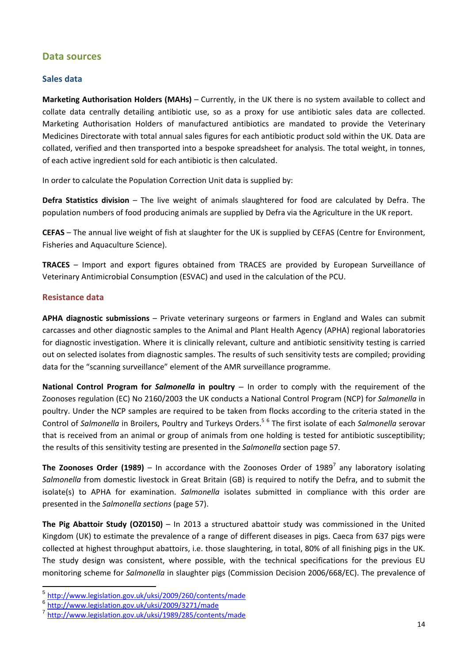# **Data sources**

## **Sales data**

**Marketing Authorisation Holders (MAHs)** – Currently, in the UK there is no system available to collect and collate data centrally detailing antibiotic use, so as a proxy for use antibiotic sales data are collected. Marketing Authorisation Holders of manufactured antibiotics are mandated to provide the Veterinary Medicines Directorate with total annual sales figures for each antibiotic product sold within the UK. Data are collated, verified and then transported into a bespoke spreadsheet for analysis. The total weight, in tonnes, of each active ingredient sold for each antibiotic is then calculated.

In order to calculate the Population Correction Unit data is supplied by:

**Defra Statistics division** – The live weight of animals slaughtered for food are calculated by Defra. The population numbers of food producing animals are supplied by Defra via the Agriculture in the UK report.

**CEFAS** – The annual live weight of fish at slaughter for the UK is supplied by CEFAS (Centre for Environment, Fisheries and Aquaculture Science).

**TRACES** – Import and export figures obtained from TRACES are provided by European Surveillance of Veterinary Antimicrobial Consumption (ESVAC) and used in the calculation of the PCU.

# **Resistance data**

**APHA diagnostic submissions** – Private veterinary surgeons or farmers in England and Wales can submit carcasses and other diagnostic samples to the Animal and Plant Health Agency (APHA) regional laboratories for diagnostic investigation. Where it is clinically relevant, culture and antibiotic sensitivity testing is carried out on selected isolates from diagnostic samples. The results of such sensitivity tests are compiled; providing data for the "scanning surveillance" element of the AMR surveillance programme.

**National Control Program for** *Salmonella* **in poultry** – In order to comply with the requirement of the Zoonoses regulation (EC) No 2160/2003 the UK conducts a National Control Program (NCP) for *Salmonella* in poultry. Under the NCP samples are required to be taken from flocks according to the criteria stated in the Control of *Salmonella* in Broilers, Poultry and Turkeys Orders.<sup>5</sup> <sup>6</sup> The first isolate of each *Salmonella* serovar that is received from an animal or group of animals from one holding is tested for antibiotic susceptibility; the results of this sensitivity testing are presented in the *Salmonella* section page 57.

**The Zoonoses Order (1989)** – In accordance with the Zoonoses Order of 1989<sup>7</sup> any laboratory isolating *Salmonella* from domestic livestock in Great Britain (GB) is required to notify the Defra, and to submit the isolate(s) to APHA for examination. *Salmonella* isolates submitted in compliance with this order are presented in the *Salmonella sections* (page 57).

**The Pig Abattoir Study (OZ0150)** – In 2013 a structured abattoir study was commissioned in the United Kingdom (UK) to estimate the prevalence of a range of different diseases in pigs. Caeca from 637 pigs were collected at highest throughput abattoirs, i.e. those slaughtering, in total, 80% of all finishing pigs in the UK. The study design was consistent, where possible, with the technical specifications for the previous EU monitoring scheme for *Salmonella* in slaughter pigs (Commission Decision 2006/668/EC). The prevalence of

<sup>5</sup> http://www.legislation.gov.uk/uksi/2009/260/contents/made

<sup>6</sup> http://www.legislation.gov.uk/uksi/2009/3271/made <sup>7</sup> http://www.legislation.gov.uk/uksi/1989/285/contents/made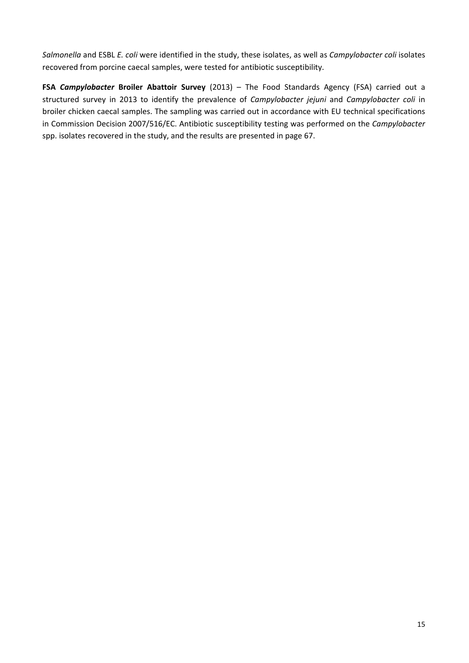*Salmonella* and ESBL *E. coli* were identified in the study, these isolates, as well as *Campylobacter coli* isolates recovered from porcine caecal samples, were tested for antibiotic susceptibility.

**FSA** *Campylobacter* **Broiler Abattoir Survey** (2013) – The Food Standards Agency (FSA) carried out a structured survey in 2013 to identify the prevalence of *Campylobacter jejuni* and *Campylobacter coli* in broiler chicken caecal samples. The sampling was carried out in accordance with EU technical specifications in Commission Decision 2007/516/EC. Antibiotic susceptibility testing was performed on the *Campylobacter* spp. isolates recovered in the study, and the results are presented in page 67.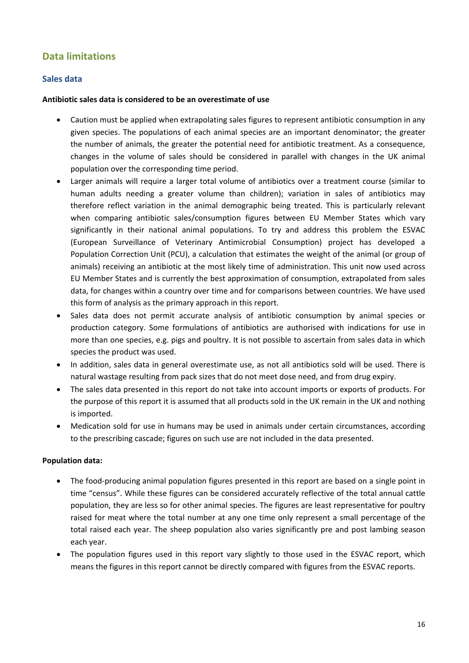# <span id="page-15-0"></span>**Data limitations**

# **Sales data**

#### **Antibiotic sales data is considered to be an overestimate of use**

- Caution must be applied when extrapolating sales figures to represent antibiotic consumption in any given species. The populations of each animal species are an important denominator; the greater the number of animals, the greater the potential need for antibiotic treatment. As a consequence, changes in the volume of sales should be considered in parallel with changes in the UK animal population over the corresponding time period.
- Larger animals will require a larger total volume of antibiotics over a treatment course (similar to human adults needing a greater volume than children); variation in sales of antibiotics may therefore reflect variation in the animal demographic being treated. This is particularly relevant when comparing antibiotic sales/consumption figures between EU Member States which vary significantly in their national animal populations. To try and address this problem the ESVAC (European Surveillance of Veterinary Antimicrobial Consumption) project has developed a Population Correction Unit (PCU), a calculation that estimates the weight of the animal (or group of animals) receiving an antibiotic at the most likely time of administration. This unit now used across EU Member States and is currently the best approximation of consumption, extrapolated from sales data, for changes within a country over time and for comparisons between countries. We have used this form of analysis as the primary approach in this report.
- Sales data does not permit accurate analysis of antibiotic consumption by animal species or production category. Some formulations of antibiotics are authorised with indications for use in more than one species, e.g. pigs and poultry. It is not possible to ascertain from sales data in which species the product was used.
- In addition, sales data in general overestimate use, as not all antibiotics sold will be used. There is natural wastage resulting from pack sizes that do not meet dose need, and from drug expiry.
- The sales data presented in this report do not take into account imports or exports of products. For the purpose of this report it is assumed that all products sold in the UK remain in the UK and nothing is imported.
- Medication sold for use in humans may be used in animals under certain circumstances, according to the prescribing cascade; figures on such use are not included in the data presented.

## **Population data:**

- The food‐producing animal population figures presented in this report are based on a single point in time "census". While these figures can be considered accurately reflective of the total annual cattle population, they are less so for other animal species. The figures are least representative for poultry raised for meat where the total number at any one time only represent a small percentage of the total raised each year. The sheep population also varies significantly pre and post lambing season each year.
- The population figures used in this report vary slightly to those used in the ESVAC report, which means the figures in this report cannot be directly compared with figures from the ESVAC reports.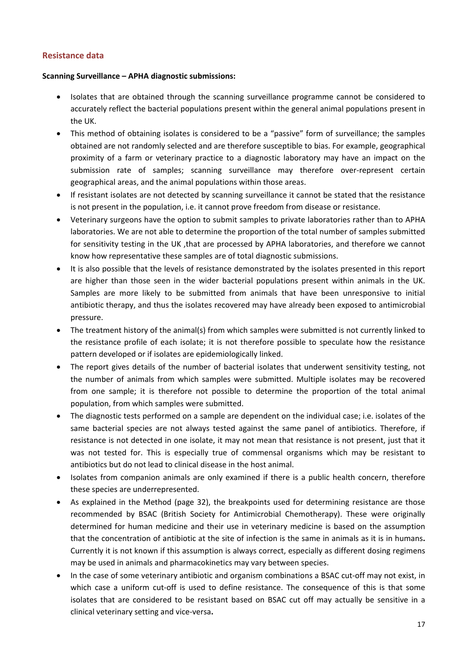# **Resistance data**

#### **Scanning Surveillance – APHA diagnostic submissions:**

- Isolates that are obtained through the scanning surveillance programme cannot be considered to accurately reflect the bacterial populations present within the general animal populations present in the UK.
- This method of obtaining isolates is considered to be a "passive" form of surveillance; the samples obtained are not randomly selected and are therefore susceptible to bias. For example, geographical proximity of a farm or veterinary practice to a diagnostic laboratory may have an impact on the submission rate of samples; scanning surveillance may therefore over‐represent certain geographical areas, and the animal populations within those areas.
- If resistant isolates are not detected by scanning surveillance it cannot be stated that the resistance is not present in the population, i.e. it cannot prove freedom from disease or resistance.
- Veterinary surgeons have the option to submit samples to private laboratories rather than to APHA laboratories. We are not able to determine the proportion of the total number of samples submitted for sensitivity testing in the UK , that are processed by APHA laboratories, and therefore we cannot know how representative these samples are of total diagnostic submissions.
- It is also possible that the levels of resistance demonstrated by the isolates presented in this report are higher than those seen in the wider bacterial populations present within animals in the UK. Samples are more likely to be submitted from animals that have been unresponsive to initial antibiotic therapy, and thus the isolates recovered may have already been exposed to antimicrobial pressure.
- The treatment history of the animal(s) from which samples were submitted is not currently linked to the resistance profile of each isolate; it is not therefore possible to speculate how the resistance pattern developed or if isolates are epidemiologically linked.
- The report gives details of the number of bacterial isolates that underwent sensitivity testing, not the number of animals from which samples were submitted. Multiple isolates may be recovered from one sample; it is therefore not possible to determine the proportion of the total animal population, from which samples were submitted.
- The diagnostic tests performed on a sample are dependent on the individual case; i.e. isolates of the same bacterial species are not always tested against the same panel of antibiotics. Therefore, if resistance is not detected in one isolate, it may not mean that resistance is not present, just that it was not tested for. This is especially true of commensal organisms which may be resistant to antibiotics but do not lead to clinical disease in the host animal.
- Isolates from companion animals are only examined if there is a public health concern, therefore these species are underrepresented.
- As explained in the Method (page 32), the breakpoints used for determining resistance are those recommended by BSAC (British Society for Antimicrobial Chemotherapy). These were originally determined for human medicine and their use in veterinary medicine is based on the assumption that the concentration of antibiotic at the site of infection is the same in animals as it is in humans**.** Currently it is not known if this assumption is always correct, especially as different dosing regimens may be used in animals and pharmacokinetics may vary between species.
- In the case of some veterinary antibiotic and organism combinations a BSAC cut-off may not exist, in which case a uniform cut-off is used to define resistance. The consequence of this is that some isolates that are considered to be resistant based on BSAC cut off may actually be sensitive in a clinical veterinary setting and vice‐versa**.**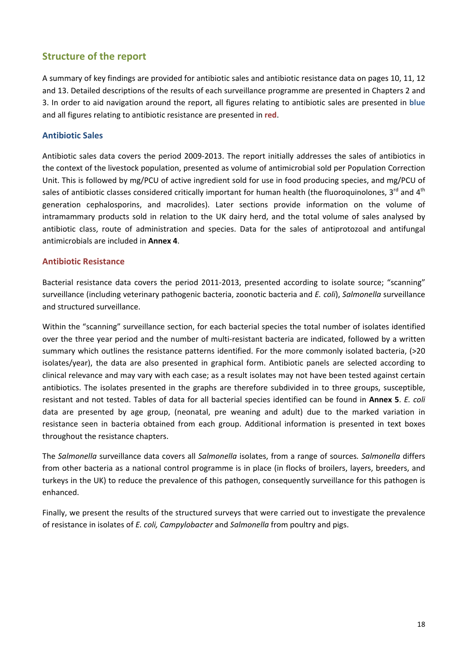# <span id="page-17-0"></span>**Structure of the report**

A summary of key findings are provided for antibiotic sales and antibiotic resistance data on pages 10, 11, 12 and 13. Detailed descriptions of the results of each surveillance programme are presented in Chapters 2 and 3. In order to aid navigation around the report, all figures relating to antibiotic sales are presented in **blue** and all figures relating to antibiotic resistance are presented in **red**.

## **Antibiotic Sales**

Antibiotic sales data covers the period 2009‐2013. The report initially addresses the sales of antibiotics in the context of the livestock population, presented as volume of antimicrobial sold per Population Correction Unit. This is followed by mg/PCU of active ingredient sold for use in food producing species, and mg/PCU of sales of antibiotic classes considered critically important for human health (the fluoroquinolones,  $3^{rd}$  and  $4^{th}$ generation cephalosporins, and macrolides). Later sections provide information on the volume of intramammary products sold in relation to the UK dairy herd, and the total volume of sales analysed by antibiotic class, route of administration and species. Data for the sales of antiprotozoal and antifungal antimicrobials are included in **Annex 4**.

## **Antibiotic Resistance**

Bacterial resistance data covers the period 2011‐2013, presented according to isolate source; "scanning" surveillance (including veterinary pathogenic bacteria, zoonotic bacteria and *E. coli*), *Salmonella* surveillance and structured surveillance.

Within the "scanning" surveillance section, for each bacterial species the total number of isolates identified over the three year period and the number of multi-resistant bacteria are indicated, followed by a written summary which outlines the resistance patterns identified. For the more commonly isolated bacteria, (>20 isolates/year), the data are also presented in graphical form. Antibiotic panels are selected according to clinical relevance and may vary with each case; as a result isolates may not have been tested against certain antibiotics. The isolates presented in the graphs are therefore subdivided in to three groups, susceptible, resistant and not tested. Tables of data for all bacterial species identified can be found in **Annex 5**. *E. coli* data are presented by age group, (neonatal, pre weaning and adult) due to the marked variation in resistance seen in bacteria obtained from each group. Additional information is presented in text boxes throughout the resistance chapters.

The *Salmonella* surveillance data covers all *Salmonella* isolates, from a range of sources*. Salmonella* differs from other bacteria as a national control programme is in place (in flocks of broilers, layers, breeders, and turkeys in the UK) to reduce the prevalence of this pathogen, consequently surveillance for this pathogen is enhanced.

Finally, we present the results of the structured surveys that were carried out to investigate the prevalence of resistance in isolates of *E. coli, Campylobacter* and *Salmonella* from poultry and pigs.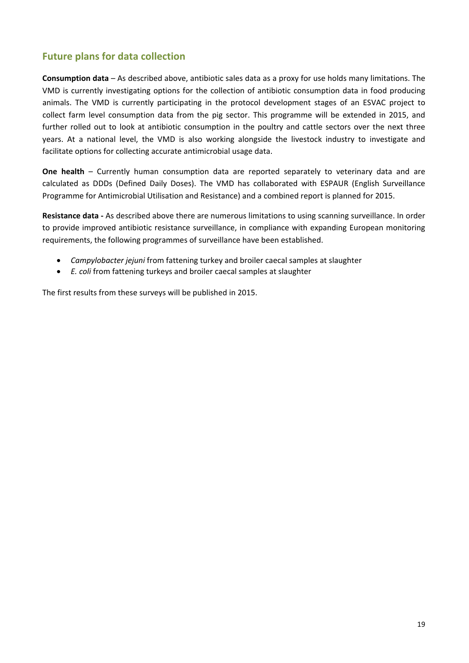# <span id="page-18-0"></span>**Future plans for data collection**

**Consumption data** – As described above, antibiotic sales data as a proxy for use holds many limitations. The VMD is currently investigating options for the collection of antibiotic consumption data in food producing animals. The VMD is currently participating in the protocol development stages of an ESVAC project to collect farm level consumption data from the pig sector. This programme will be extended in 2015, and further rolled out to look at antibiotic consumption in the poultry and cattle sectors over the next three years. At a national level, the VMD is also working alongside the livestock industry to investigate and facilitate options for collecting accurate antimicrobial usage data.

**One health** – Currently human consumption data are reported separately to veterinary data and are calculated as DDDs (Defined Daily Doses). The VMD has collaborated with ESPAUR (English Surveillance Programme for Antimicrobial Utilisation and Resistance) and a combined report is planned for 2015.

**Resistance data ‐** As described above there are numerous limitations to using scanning surveillance. In order to provide improved antibiotic resistance surveillance, in compliance with expanding European monitoring requirements, the following programmes of surveillance have been established.

- *Campylobacter jejuni* from fattening turkey and broiler caecal samples at slaughter
- *E. coli* from fattening turkeys and broiler caecal samples at slaughter

The first results from these surveys will be published in 2015.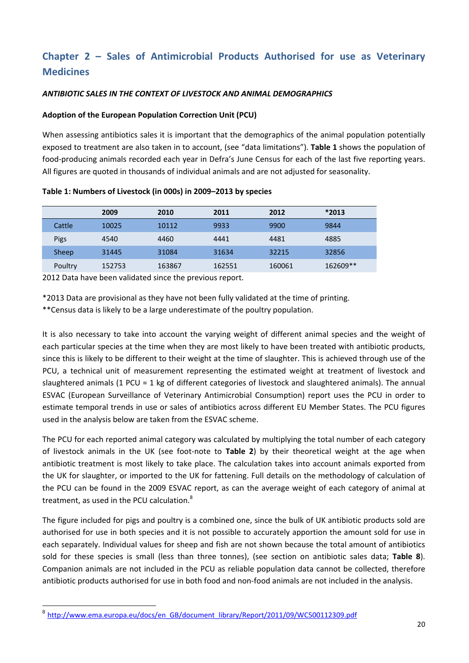# <span id="page-19-0"></span>**Chapter 2 – Sales of Antimicrobial Products Authorised for use as Veterinary Medicines**

### *ANTIBIOTIC SALES IN THE CONTEXT OF LIVESTOCK AND ANIMAL DEMOGRAPHICS*

#### **Adoption of the European Population Correction Unit (PCU)**

When assessing antibiotics sales it is important that the demographics of the animal population potentially exposed to treatment are also taken in to account, (see "data limitations"). **Table 1** shows the population of food-producing animals recorded each year in Defra's June Census for each of the last five reporting years. All figures are quoted in thousands of individual animals and are not adjusted for seasonality.

**Table 1: Numbers of Livestock (in 000s) in 2009–2013 by species** 

|         | 2009   | 2010   | 2011   | 2012   | $*2013$  |
|---------|--------|--------|--------|--------|----------|
| Cattle  | 10025  | 10112  | 9933   | 9900   | 9844     |
| Pigs    | 4540   | 4460   | 4441   | 4481   | 4885     |
| Sheep   | 31445  | 31084  | 31634  | 32215  | 32856    |
| Poultry | 152753 | 163867 | 162551 | 160061 | 162609** |

2012 Data have been validated since the previous report.

\*2013 Data are provisional as they have not been fully validated at the time of printing.

\*\*Census data is likely to be a large underestimate of the poultry population.

It is also necessary to take into account the varying weight of different animal species and the weight of each particular species at the time when they are most likely to have been treated with antibiotic products, since this is likely to be different to their weight at the time of slaughter. This is achieved through use of the PCU, a technical unit of measurement representing the estimated weight at treatment of livestock and slaughtered animals (1 PCU = 1 kg of different categories of livestock and slaughtered animals). The annual ESVAC (European Surveillance of Veterinary Antimicrobial Consumption) report uses the PCU in order to estimate temporal trends in use or sales of antibiotics across different EU Member States. The PCU figures used in the analysis below are taken from the ESVAC scheme.

The PCU for each reported animal category was calculated by multiplying the total number of each category of livestock animals in the UK (see foot‐note to **Table 2**) by their theoretical weight at the age when antibiotic treatment is most likely to take place. The calculation takes into account animals exported from the UK for slaughter, or imported to the UK for fattening. Full details on the methodology of calculation of the PCU can be found in the 2009 ESVAC report, as can the average weight of each category of animal at treatment, as used in the PCU calculation.<sup>8</sup>

The figure included for pigs and poultry is a combined one, since the bulk of UK antibiotic products sold are authorised for use in both species and it is not possible to accurately apportion the amount sold for use in each separately. Individual values for sheep and fish are not shown because the total amount of antibiotics sold for these species is small (less than three tonnes), (see section on antibiotic sales data; **Table 8**). Companion animals are not included in the PCU as reliable population data cannot be collected, therefore antibiotic products authorised for use in both food and non-food animals are not included in the analysis.

<sup>&</sup>lt;sup>8</sup> http://www.ema.europa.eu/docs/en\_GB/document\_library/Report/2011/09/WC500112309.pdf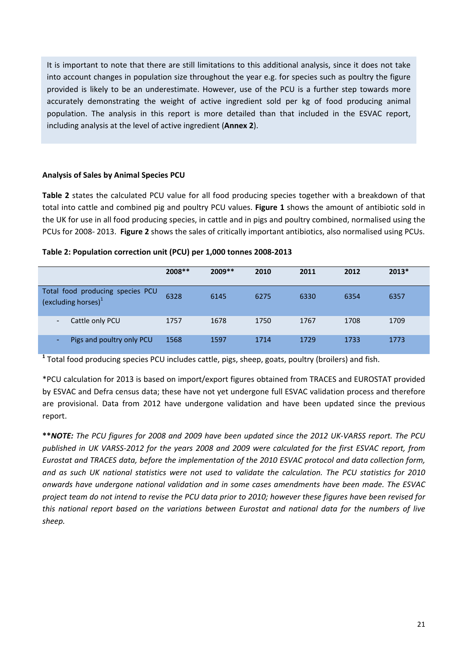<span id="page-20-0"></span>It is important to note that there are still limitations to this additional analysis, since it does not take into account changes in population size throughout the year e.g. for species such as poultry the figure provided is likely to be an underestimate. However, use of the PCU is a further step towards more accurately demonstrating the weight of active ingredient sold per kg of food producing animal population. The analysis in this report is more detailed than that included in the ESVAC report, including analysis at the level of active ingredient (**Annex 2**).

## **Analysis of Sales by Animal Species PCU**

**Table 2** states the calculated PCU value for all food producing species together with a breakdown of that total into cattle and combined pig and poultry PCU values. **Figure 1** shows the amount of antibiotic sold in the UK for use in all food producing species, in cattle and in pigs and poultry combined, normalised using the PCUs for 2008‐ 2013. **Figure 2** shows the sales of critically important antibiotics, also normalised using PCUs.

#### **Table 2: Population correction unit (PCU) per 1,000 tonnes 2008‐2013**

|                                                                     | $2008**$ | $2009**$ | 2010 | 2011 | 2012 | $2013*$ |
|---------------------------------------------------------------------|----------|----------|------|------|------|---------|
| Total food producing species PCU<br>(excluding horses) <sup>1</sup> | 6328     | 6145     | 6275 | 6330 | 6354 | 6357    |
| Cattle only PCU<br>$\overline{\phantom{a}}$                         | 1757     | 1678     | 1750 | 1767 | 1708 | 1709    |
| Pigs and poultry only PCU<br>٠                                      | 1568     | 1597     | 1714 | 1729 | 1733 | 1773    |

**<sup>1</sup>** Total food producing species PCU includes cattle, pigs, sheep, goats, poultry (broilers) and fish.

\*PCU calculation for 2013 is based on import/export figures obtained from TRACES and EUROSTAT provided by ESVAC and Defra census data; these have not yet undergone full ESVAC validation process and therefore are provisional. Data from 2012 have undergone validation and have been updated since the previous report.

\*\*NOTE: The PCU figures for 2008 and 2009 have been updated since the 2012 UK-VARSS report. The PCU published in UK VARSS-2012 for the years 2008 and 2009 were calculated for the first ESVAC report, from *Eurostat and TRACES data, before the implementation of the 2010 ESVAC protocol and data collection form,* and as such UK national statistics were not used to validate the calculation. The PCU statistics for 2010 *onwards have undergone national validation and in some cases amendments have been made. The ESVAC* project team do not intend to revise the PCU data prior to 2010; however these figures have been revised for *this national report based on the variations between Eurostat and national data for the numbers of live sheep.*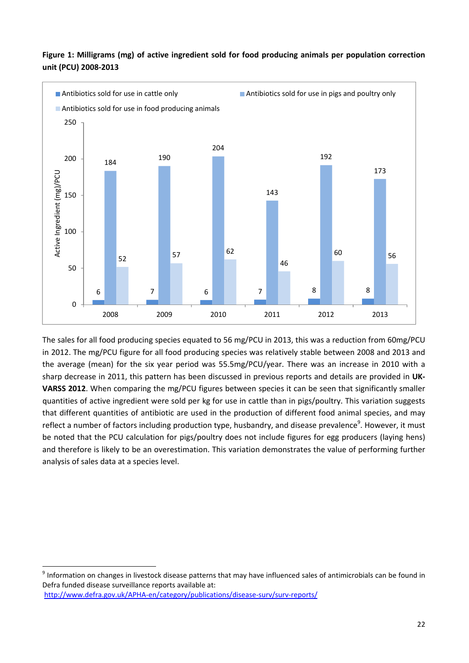

<span id="page-21-0"></span>**Figure 1: Milligrams (mg) of active ingredient sold for food producing animals per population correction unit (PCU) 2008‐2013** 

The sales for all food producing species equated to 56 mg/PCU in 2013, this was a reduction from 60mg/PCU in 2012. The mg/PCU figure for all food producing species was relatively stable between 2008 and 2013 and the average (mean) for the six year period was 55.5mg/PCU/year. There was an increase in 2010 with a sharp decrease in 2011, this pattern has been discussed in previous reports and details are provided in **UK‐ VARSS 2012**. When comparing the mg/PCU figures between species it can be seen that significantly smaller quantities of active ingredient were sold per kg for use in cattle than in pigs/poultry. This variation suggests that different quantities of antibiotic are used in the production of different food animal species, and may reflect a number of factors including production type, husbandry, and disease prevalence<sup>9</sup>. However, it must be noted that the PCU calculation for pigs/poultry does not include figures for egg producers (laying hens) and therefore is likely to be an overestimation. This variation demonstrates the value of performing further analysis of sales data at a species level.

<sup>9</sup> Information on changes in livestock disease patterns that may have influenced sales of antimicrobials can be found in Defra funded disease surveillance reports available at: http://www.defra.gov.uk/APHA-en/category/publications/disease-surv/surv-reports/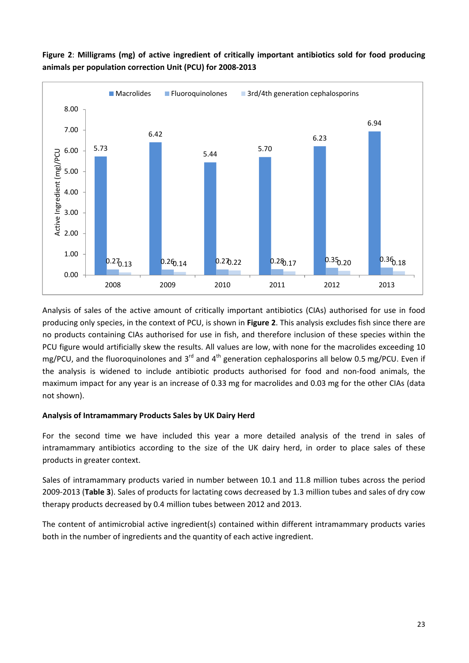

<span id="page-22-0"></span>**Figure 2**: **Milligrams (mg) of active ingredient of critically important antibiotics sold for food producing animals per population correction Unit (PCU) for 2008‐2013** 

Analysis of sales of the active amount of critically important antibiotics (CIAs) authorised for use in food producing only species, in the context of PCU, is shown in **Figure 2**. This analysis excludes fish since there are no products containing CIAs authorised for use in fish, and therefore inclusion of these species within the PCU figure would artificially skew the results. All values are low, with none for the macrolides exceeding 10 mg/PCU, and the fluoroquinolones and 3<sup>rd</sup> and 4<sup>th</sup> generation cephalosporins all below 0.5 mg/PCU. Even if the analysis is widened to include antibiotic products authorised for food and non‐food animals, the maximum impact for any year is an increase of 0.33 mg for macrolides and 0.03 mg for the other CIAs (data not shown).

## **Analysis of Intramammary Products Sales by UK Dairy Herd**

For the second time we have included this year a more detailed analysis of the trend in sales of intramammary antibiotics according to the size of the UK dairy herd, in order to place sales of these products in greater context.

Sales of intramammary products varied in number between 10.1 and 11.8 million tubes across the period 2009‐2013 (**Table 3**). Sales of products for lactating cows decreased by 1.3 million tubes and sales of dry cow therapy products decreased by 0.4 million tubes between 2012 and 2013.

The content of antimicrobial active ingredient(s) contained within different intramammary products varies both in the number of ingredients and the quantity of each active ingredient.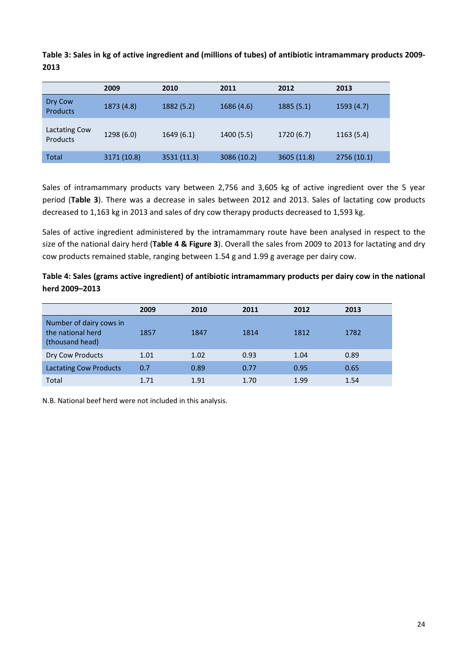<span id="page-23-0"></span>**Table 3: Sales in kg of active ingredient and (millions of tubes) of antibiotic intramammary products 2009‐ 2013**

|                            | 2009        | 2010        | 2011        | 2012        | 2013        |
|----------------------------|-------------|-------------|-------------|-------------|-------------|
| Dry Cow<br><b>Products</b> | 1873 (4.8)  | 1882(5.2)   | 1686 (4.6)  | 1885(5.1)   | 1593 (4.7)  |
| Lactating Cow<br>Products  | 1298(6.0)   | 1649(6.1)   | 1400 (5.5)  | 1720(6.7)   | 1163(5.4)   |
| <b>Total</b>               | 3171 (10.8) | 3531 (11.3) | 3086 (10.2) | 3605 (11.8) | 2756 (10.1) |

Sales of intramammary products vary between 2,756 and 3,605 kg of active ingredient over the 5 year period (**Table 3**). There was a decrease in sales between 2012 and 2013. Sales of lactating cow products decreased to 1,163 kg in 2013 and sales of dry cow therapy products decreased to 1,593 kg.

Sales of active ingredient administered by the intramammary route have been analysed in respect to the size of the national dairy herd (**Table 4 & Figure 3**). Overall the sales from 2009 to 2013 for lactating and dry cow products remained stable, ranging between 1.54 g and 1.99 g average per dairy cow.

**Table 4: Sales (grams active ingredient) of antibiotic intramammary products per dairy cow in the national herd 2009–2013** 

|                                                                 | 2009 | 2010 | 2011 | 2012 | 2013 |
|-----------------------------------------------------------------|------|------|------|------|------|
| Number of dairy cows in<br>the national herd<br>(thousand head) | 1857 | 1847 | 1814 | 1812 | 1782 |
| Dry Cow Products                                                | 1.01 | 1.02 | 0.93 | 1.04 | 0.89 |
| <b>Lactating Cow Products</b>                                   | 0.7  | 0.89 | 0.77 | 0.95 | 0.65 |
| Total                                                           | 1.71 | 1.91 | 1.70 | 1.99 | 1.54 |

N.B. National beef herd were not included in this analysis.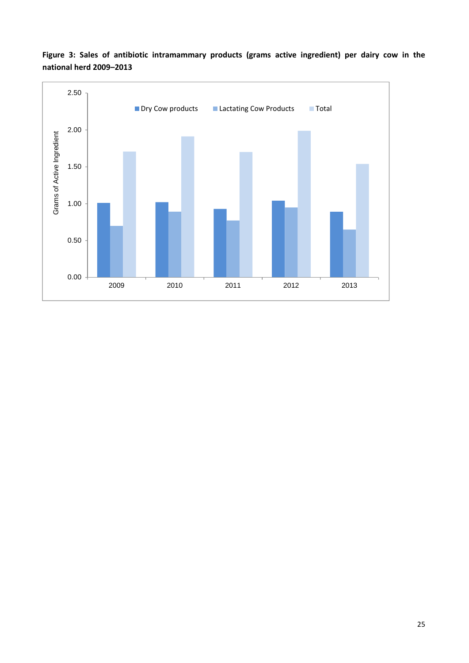

<span id="page-24-0"></span>**Figure 3: Sales of antibiotic intramammary products (grams active ingredient) per dairy cow in the national herd 2009–2013**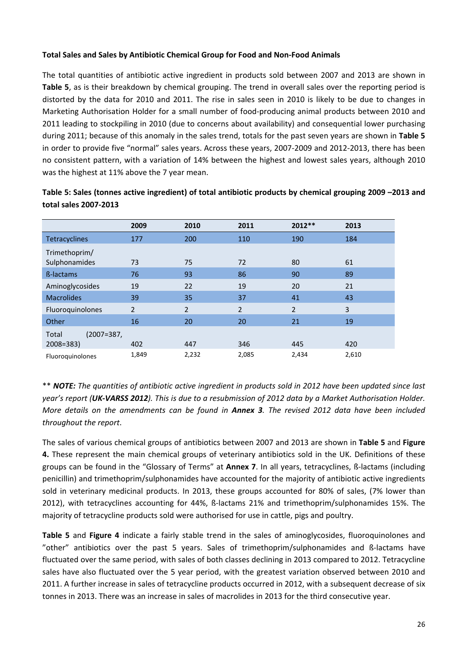#### <span id="page-25-0"></span>**Total Sales and Sales by Antibiotic Chemical Group for Food and Non‐Food Animals**

The total quantities of antibiotic active ingredient in products sold between 2007 and 2013 are shown in **Table 5**, as is their breakdown by chemical grouping. The trend in overall sales over the reporting period is distorted by the data for 2010 and 2011. The rise in sales seen in 2010 is likely to be due to changes in Marketing Authorisation Holder for a small number of food‐producing animal products between 2010 and 2011 leading to stockpiling in 2010 (due to concerns about availability) and consequential lower purchasing during 2011; because of this anomaly in the sales trend, totals for the past seven years are shown in **Table 5** in order to provide five "normal" sales years. Across these years, 2007-2009 and 2012-2013, there has been no consistent pattern, with a variation of 14% between the highest and lowest sales years, although 2010 was the highest at 11% above the 7 year mean.

|                     | 2009           | 2010           | 2011           | $2012**$       | 2013  |
|---------------------|----------------|----------------|----------------|----------------|-------|
| Tetracyclines       | 177            | 200            | 110            | 190            | 184   |
| Trimethoprim/       |                |                |                |                |       |
| Sulphonamides       | 73             | 75             | 72             | 80             | 61    |
| <b>ß-lactams</b>    | 76             | 93             | 86             | 90             | 89    |
| Aminoglycosides     | 19             | 22             | 19             | 20             | 21    |
| <b>Macrolides</b>   | 39             | 35             | 37             | 41             | 43    |
| Fluoroquinolones    | $\overline{2}$ | $\overline{2}$ | $\overline{2}$ | $\overline{2}$ | 3     |
| Other               | 16             | 20             | 20             | 21             | 19    |
| (2007=387,<br>Total |                |                |                |                |       |
| $2008 = 383$        | 402            | 447            | 346            | 445            | 420   |
| Fluoroguinolones    | 1,849          | 2,232          | 2,085          | 2,434          | 2,610 |

**Table 5: Sales (tonnes active ingredient) of total antibiotic products by chemical grouping 2009 –2013 and total sales 2007‐2013** 

\*\* NOTE: The quantities of antibiotic active ingredient in products sold in 2012 have been updated since last year's report (UK-VARSS 2012). This is due to a resubmission of 2012 data by a Market Authorisation Holder. More details on the amendments can be found in Annex 3. The revised 2012 data have been included *throughout the report*.

The sales of various chemical groups of antibiotics between 2007 and 2013 are shown in **Table 5** and **Figure 4.** These represent the main chemical groups of veterinary antibiotics sold in the UK. Definitions of these groups can be found in the "Glossary of Terms" at **Annex 7**. In all years, tetracyclines, ß‐lactams (including penicillin) and trimethoprim/sulphonamides have accounted for the majority of antibiotic active ingredients sold in veterinary medicinal products. In 2013, these groups accounted for 80% of sales, (7% lower than 2012), with tetracyclines accounting for 44%, ß‐lactams 21% and trimethoprim/sulphonamides 15%. The majority of tetracycline products sold were authorised for use in cattle, pigs and poultry.

**Table 5** and **Figure 4** indicate a fairly stable trend in the sales of aminoglycosides, fluoroquinolones and "other" antibiotics over the past 5 years. Sales of trimethoprim/sulphonamides and ß‐lactams have fluctuated over the same period, with sales of both classes declining in 2013 compared to 2012. Tetracycline sales have also fluctuated over the 5 year period, with the greatest variation observed between 2010 and 2011. A further increase in sales of tetracycline products occurred in 2012, with a subsequent decrease of six tonnes in 2013. There was an increase in sales of macrolides in 2013 for the third consecutive year.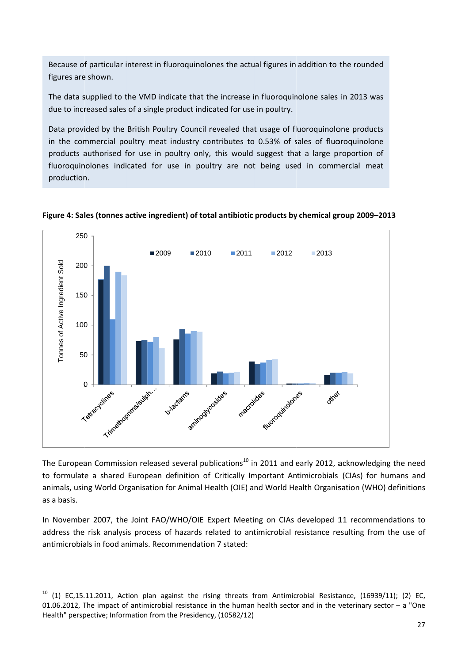Because of particular interest in fluoroquinolones the actual figures in addition to the rounded figures are shown.

The data supplied to the VMD indicate that the increase in fluoroquinolone sales in 2013 was due to increased sales of a single product indicated for use in poultry.

Data provided by the British Poultry Council revealed that usage of fluoroquinolone products in the commercial poultry meat industry contributes to 0.53% of sales of fluoroquinolone products authorised for use in poultry only, this would suggest that a large proportion o fluoroquinolones indicated for use in poultry are not being used in commercial meat production. d<br>ss<br>de<br>of

<span id="page-26-0"></span>



The European Commission released several publications<sup>10</sup> in 2011 and early 2012, acknowledging the need to formulate a shared European definition of Critically Important Antimicrobials (CIAs) for humans and animals, using World Organisation for Animal Health (OIE) and World Health Organisation (WHO) definitions as a basis.

In November 2007, the Joint FAO/WHO/OIE Expert Meeting on CIAs developed 11 recommendations to address the risk analysis process of hazards related to antimicrobial resistance resulting from the use of antimicrobials in food animals. Recommendation 7 stated:

 $10$  (1) EC,15.11.2011, Action plan against the rising threats from Antimicrobial Resistance, (16939/11); (2) EC 01.06.2012, The impact of antimicrobial resistance in the human health sector and in the veterinary sector – a "One Health" perspective; Information from the Presidency, (10582/12)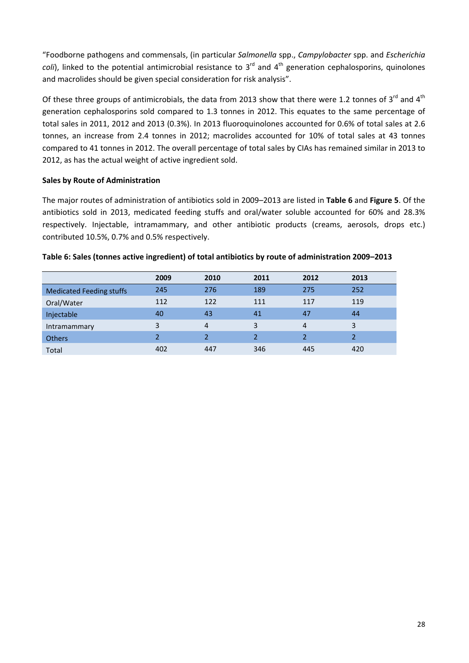<span id="page-27-0"></span>"Foodborne pathogens and commensals, (in particular *Salmonella* spp., *Campylobacter* spp. and *Escherichia coli*), linked to the potential antimicrobial resistance to 3<sup>rd</sup> and 4<sup>th</sup> generation cephalosporins, quinolones and macrolides should be given special consideration for risk analysis".

Of these three groups of antimicrobials, the data from 2013 show that there were 1.2 tonnes of 3<sup>rd</sup> and 4<sup>th</sup> generation cephalosporins sold compared to 1.3 tonnes in 2012. This equates to the same percentage of total sales in 2011, 2012 and 2013 (0.3%). In 2013 fluoroquinolones accounted for 0.6% of total sales at 2.6 tonnes, an increase from 2.4 tonnes in 2012; macrolides accounted for 10% of total sales at 43 tonnes compared to 41 tonnes in 2012. The overall percentage of total sales by CIAs has remained similar in 2013 to 2012, as has the actual weight of active ingredient sold.

#### **Sales by Route of Administration**

The major routes of administration of antibiotics sold in 2009–2013 are listed in **Table 6** and **Figure 5**. Of the antibiotics sold in 2013, medicated feeding stuffs and oral/water soluble accounted for 60% and 28.3% respectively. Injectable, intramammary, and other antibiotic products (creams, aerosols, drops etc.) contributed 10.5%, 0.7% and 0.5% respectively.

|                                 | 2009          | 2010 | 2011 | 2012 | 2013 |
|---------------------------------|---------------|------|------|------|------|
| <b>Medicated Feeding stuffs</b> | 245           | 276  | 189  | 275  | 252  |
| Oral/Water                      | 112           | 122  | 111  | 117  | 119  |
| Injectable                      | 40            | 43   | 41   | 47   | 44   |
| Intramammary                    | 3             | 4    | 3    | 4    | 3    |
| <b>Others</b>                   | $\mathcal{P}$ | っ    |      |      |      |
| Total                           | 402           | 447  | 346  | 445  | 420  |

#### **Table 6: Sales (tonnes active ingredient) of total antibiotics by route of administration 2009–2013**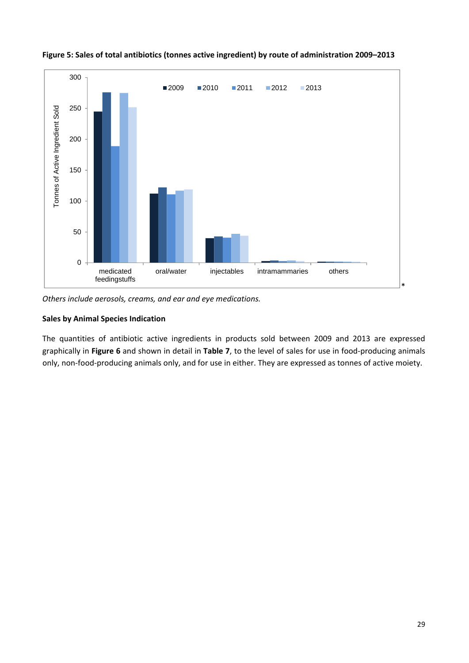

<span id="page-28-0"></span>**Figure 5: Sales of total antibiotics (tonnes active ingredient) by route of administration 2009–2013** 

*Others include aerosols, creams, and ear and eye medications.*

## **Sales by Animal Species Indication**

The quantities of antibiotic active ingredients in products sold between 2009 and 2013 are expressed graphically in **Figure 6** and shown in detail in **Table 7**, to the level of sales for use in food‐producing animals only, non-food-producing animals only, and for use in either. They are expressed as tonnes of active moiety.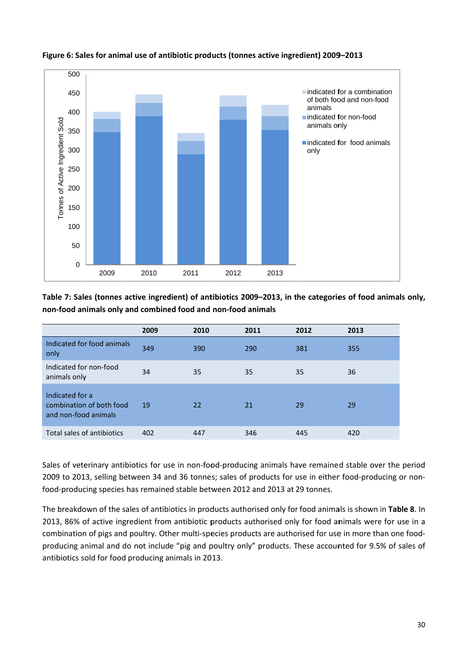

# <span id="page-29-0"></span>Figure 6: Sales for animal use of antibiotic products (tonnes active ingredient) 2009–2013

Table 7: Sales (tonnes active ingredient) of antibiotics 2009–2013, in the categories of food animals only, **non-food animals only and combined food and non-food animals** 

|                                                                                                     | 2009 | 2010 | 2011 | 2012 | 2013 |  |  |  |  |
|-----------------------------------------------------------------------------------------------------|------|------|------|------|------|--|--|--|--|
| Indicated for food animals<br>only                                                                  | 349  | 390  | 290  | 381  | 355  |  |  |  |  |
| Indicated for non-food<br>animals only                                                              | 34   | 35   | 35   | 35   | 36   |  |  |  |  |
| Indicated for a<br>combination of both food<br>and non-food animals                                 | 19   | 22   | 21   | 29   | 29   |  |  |  |  |
| Total sales of antibiotics                                                                          | 402  | 447  | 346  | 445  | 420  |  |  |  |  |
| Sales of veterinary antibiotics for use in non-food-producing animals have remained stable over the |      |      |      |      |      |  |  |  |  |

Sales of veterinary antibiotics for use in non-food-producing animals have remained stable over the period 2009 to 2013, selling between 34 and 36 tonnes; sales of products for use in either food-producing or nonfood-producing species has remained stable between 2012 and 2013 at 29 tonnes.

The breakdown of the sales of antibiotics in products authorised only for food animals is shown in **Table 8**. In 2013, 86% of active ingredient from antibiotic products authorised only for food animals were for use in a combination of pigs and poultry. Other multi-species products are authorised for use in more than one foodproducing animal and do not include "pig and poultry only" products. These accounted for 9.5% of sales of antibiotics s old for food producing a nimals in 20 13. **y,**<br>a-<br>a<br>30<br>30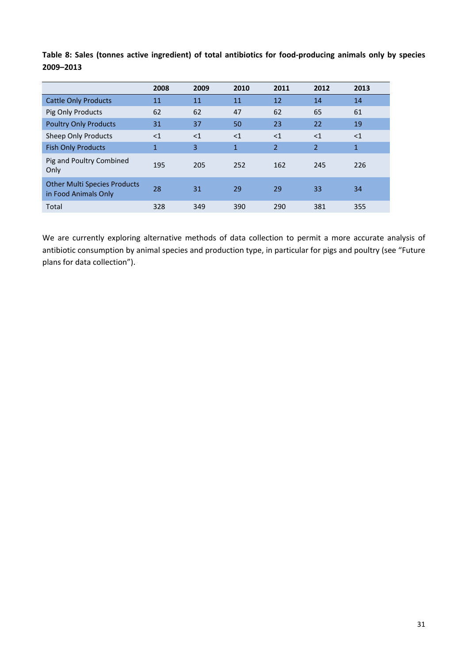|                                                             | 2008         | 2009     | 2010         | 2011           | 2012           | 2013         |
|-------------------------------------------------------------|--------------|----------|--------------|----------------|----------------|--------------|
| <b>Cattle Only Products</b>                                 | 11           | 11       | 11           | 12             | 14             | 14           |
| Pig Only Products                                           | 62           | 62       | 47           | 62             | 65             | 61           |
| <b>Poultry Only Products</b>                                | 31           | 37       | 50           | 23             | 22             | 19           |
| <b>Sheep Only Products</b>                                  | <1           | $\leq$ 1 | $<$ 1        | $\leq$ 1       | <1             | $<$ 1        |
| <b>Fish Only Products</b>                                   | $\mathbf{1}$ | 3        | $\mathbf{1}$ | $\overline{2}$ | $\overline{2}$ | $\mathbf{1}$ |
| Pig and Poultry Combined<br>Only                            | 195          | 205      | 252          | 162            | 245            | 226          |
| <b>Other Multi Species Products</b><br>in Food Animals Only | 28           | 31       | 29           | 29             | 33             | 34           |
| Total                                                       | 328          | 349      | 390          | 290            | 381            | 355          |

<span id="page-30-0"></span>**Table 8: Sales (tonnes active ingredient) of total antibiotics for food‐producing animals only by species 2009–2013**

We are currently exploring alternative methods of data collection to permit a more accurate analysis of antibiotic consumption by animal species and production type, in particular for pigs and poultry (see "Future plans for data collection").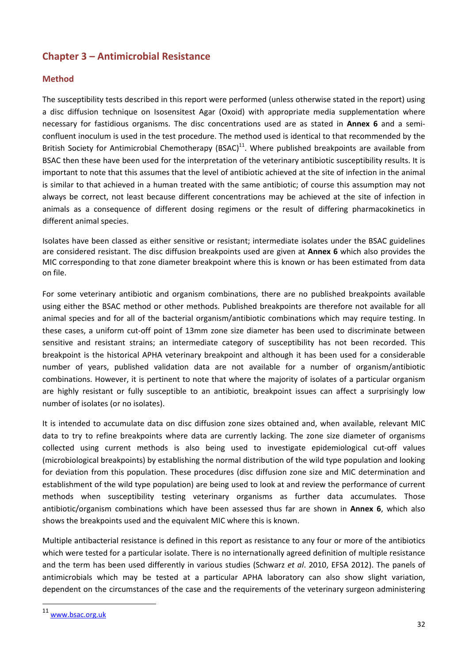# <span id="page-31-0"></span>**Chapter 3 – Antimicrobial Resistance**

## **Method**

The susceptibility tests described in this report were performed (unless otherwise stated in the report) using a disc diffusion technique on Isosensitest Agar (Oxoid) with appropriate media supplementation where necessary for fastidious organisms. The disc concentrations used are as stated in **Annex 6** and a semi‐ confluent inoculum is used in the test procedure. The method used is identical to that recommended by the British Society for Antimicrobial Chemotherapy (BSAC)<sup>11</sup>. Where published breakpoints are available from BSAC then these have been used for the interpretation of the veterinary antibiotic susceptibility results. It is important to note that this assumes that the level of antibiotic achieved at the site of infection in the animal is similar to that achieved in a human treated with the same antibiotic; of course this assumption may not always be correct, not least because different concentrations may be achieved at the site of infection in animals as a consequence of different dosing regimens or the result of differing pharmacokinetics in different animal species.

Isolates have been classed as either sensitive or resistant; intermediate isolates under the BSAC guidelines are considered resistant. The disc diffusion breakpoints used are given at **Annex 6** which also provides the MIC corresponding to that zone diameter breakpoint where this is known or has been estimated from data on file.

For some veterinary antibiotic and organism combinations, there are no published breakpoints available using either the BSAC method or other methods. Published breakpoints are therefore not available for all animal species and for all of the bacterial organism/antibiotic combinations which may require testing. In these cases, a uniform cut‐off point of 13mm zone size diameter has been used to discriminate between sensitive and resistant strains; an intermediate category of susceptibility has not been recorded. This breakpoint is the historical APHA veterinary breakpoint and although it has been used for a considerable number of years, published validation data are not available for a number of organism/antibiotic combinations. However, it is pertinent to note that where the majority of isolates of a particular organism are highly resistant or fully susceptible to an antibiotic, breakpoint issues can affect a surprisingly low number of isolates (or no isolates).

It is intended to accumulate data on disc diffusion zone sizes obtained and, when available, relevant MIC data to try to refine breakpoints where data are currently lacking. The zone size diameter of organisms collected using current methods is also being used to investigate epidemiological cut‐off values (microbiological breakpoints) by establishing the normal distribution of the wild type population and looking for deviation from this population. These procedures (disc diffusion zone size and MIC determination and establishment of the wild type population) are being used to look at and review the performance of current methods when susceptibility testing veterinary organisms as further data accumulates. Those antibiotic/organism combinations which have been assessed thus far are shown in **Annex 6**, which also shows the breakpoints used and the equivalent MIC where this is known.

Multiple antibacterial resistance is defined in this report as resistance to any four or more of the antibiotics which were tested for a particular isolate. There is no internationally agreed definition of multiple resistance and the term has been used differently in various studies (Schwarz *et al*. 2010, EFSA 2012). The panels of antimicrobials which may be tested at a particular APHA laboratory can also show slight variation, dependent on the circumstances of the case and the requirements of the veterinary surgeon administering

<sup>11</sup> www.bsac.org.uk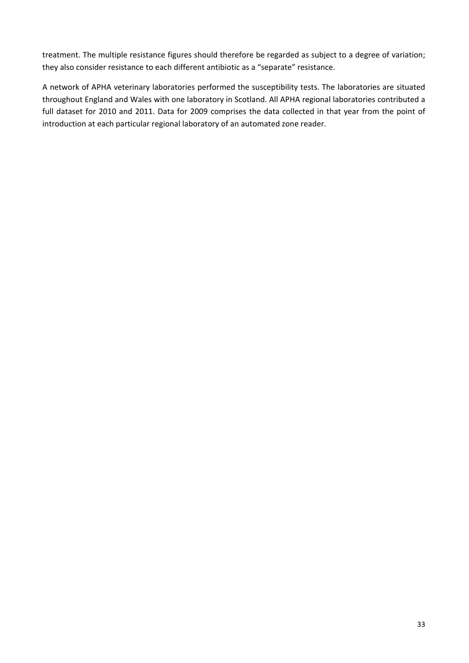treatment. The multiple resistance figures should therefore be regarded as subject to a degree of variation; they also consider resistance to each different antibiotic as a "separate" resistance.

A network of APHA veterinary laboratories performed the susceptibility tests. The laboratories are situated throughout England and Wales with one laboratory in Scotland. All APHA regional laboratories contributed a full dataset for 2010 and 2011. Data for 2009 comprises the data collected in that year from the point of introduction at each particular regional laboratory of an automated zone reader.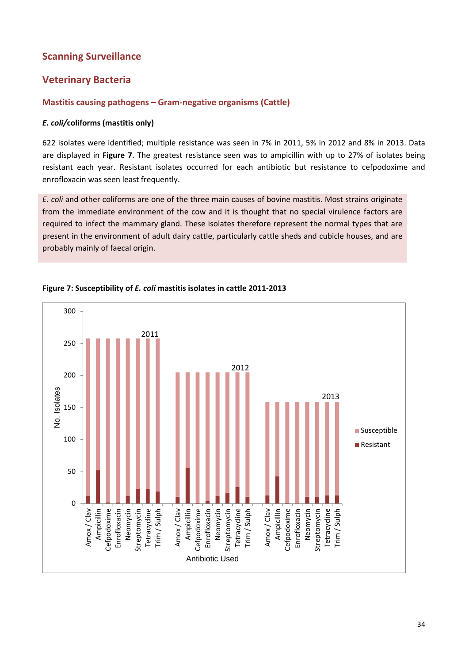# <span id="page-33-0"></span>**Scanning Surveillance**

# **Veterinary Bacteria**

# **Mastitis causing pathogens – Gram‐negative organisms (Cattle)**

## *E. coli/***coliforms (mastitis only)**

622 isolates were identified; multiple resistance was seen in 7% in 2011, 5% in 2012 and 8% in 2013. Data are displayed in **Figure 7**. The greatest resistance seen was to ampicillin with up to 27% of isolates being resistant each year. Resistant isolates occurred for each antibiotic but resistance to cefpodoxime and enrofloxacin was seen least frequently.

*E. coli* and other coliforms are one of the three main causes of bovine mastitis. Most strains originate from the immediate environment of the cow and it is thought that no special virulence factors are required to infect the mammary gland. These isolates therefore represent the normal types that are present in the environment of adult dairy cattle, particularly cattle sheds and cubicle houses, and are probably mainly of faecal origin.



#### **Figure 7: Susceptibility of** *E. coli* **mastitis isolates in cattle 2011‐2013**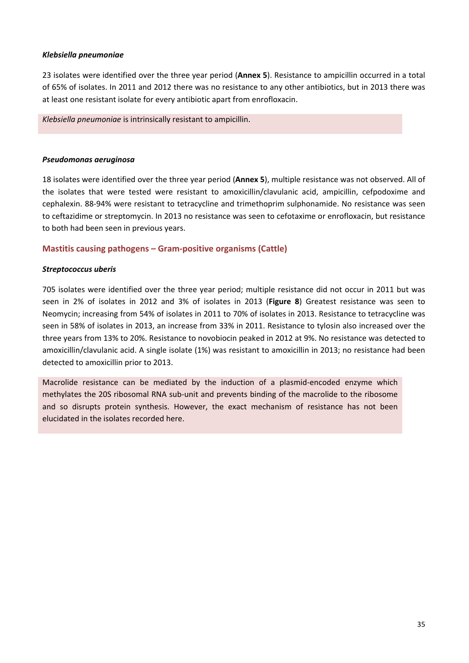#### <span id="page-34-0"></span>*Klebsiella pneumoniae*

23 isolates were identified over the three year period (**Annex 5**). Resistance to ampicillin occurred in a total of 65% of isolates. In 2011 and 2012 there was no resistance to any other antibiotics, but in 2013 there was at least one resistant isolate for every antibiotic apart from enrofloxacin.

*Klebsiella pneumoniae* is intrinsically resistant to ampicillin.

#### *Pseudomonas aeruginosa*

18 isolates were identified over the three year period (**Annex 5**), multiple resistance was not observed. All of the isolates that were tested were resistant to amoxicillin/clavulanic acid, ampicillin, cefpodoxime and cephalexin. 88‐94% were resistant to tetracycline and trimethoprim sulphonamide. No resistance was seen to ceftazidime or streptomycin. In 2013 no resistance was seen to cefotaxime or enrofloxacin, but resistance to both had been seen in previous years.

#### **Mastitis causing pathogens – Gram-positive organisms (Cattle)**

#### *Streptococcus uberis*

705 isolates were identified over the three year period; multiple resistance did not occur in 2011 but was seen in 2% of isolates in 2012 and 3% of isolates in 2013 (**Figure 8**) Greatest resistance was seen to Neomycin; increasing from 54% of isolates in 2011 to 70% of isolates in 2013. Resistance to tetracycline was seen in 58% of isolates in 2013, an increase from 33% in 2011. Resistance to tylosin also increased over the three years from 13% to 20%. Resistance to novobiocin peaked in 2012 at 9%. No resistance was detected to amoxicillin/clavulanic acid. A single isolate (1%) was resistant to amoxicillin in 2013; no resistance had been detected to amoxicillin prior to 2013.

Macrolide resistance can be mediated by the induction of a plasmid‐encoded enzyme which methylates the 20S ribosomal RNA sub-unit and prevents binding of the macrolide to the ribosome and so disrupts protein synthesis. However, the exact mechanism of resistance has not been elucidated in the isolates recorded here.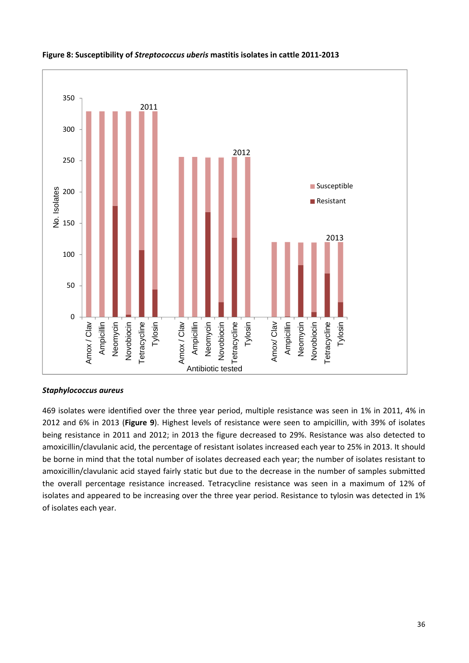

#### <span id="page-35-0"></span>**Figure 8: Susceptibility of** *Streptococcus uberis* **mastitis isolates in cattle 2011‐2013**

#### *Staphylococcus aureus*

469 isolates were identified over the three year period, multiple resistance was seen in 1% in 2011, 4% in 2012 and 6% in 2013 (**Figure 9**). Highest levels of resistance were seen to ampicillin, with 39% of isolates being resistance in 2011 and 2012; in 2013 the figure decreased to 29%. Resistance was also detected to amoxicillin/clavulanic acid, the percentage of resistant isolates increased each year to 25% in 2013. It should be borne in mind that the total number of isolates decreased each year; the number of isolates resistant to amoxicillin/clavulanic acid stayed fairly static but due to the decrease in the number of samples submitted the overall percentage resistance increased. Tetracycline resistance was seen in a maximum of 12% of isolates and appeared to be increasing over the three year period. Resistance to tylosin was detected in 1% of isolates each year.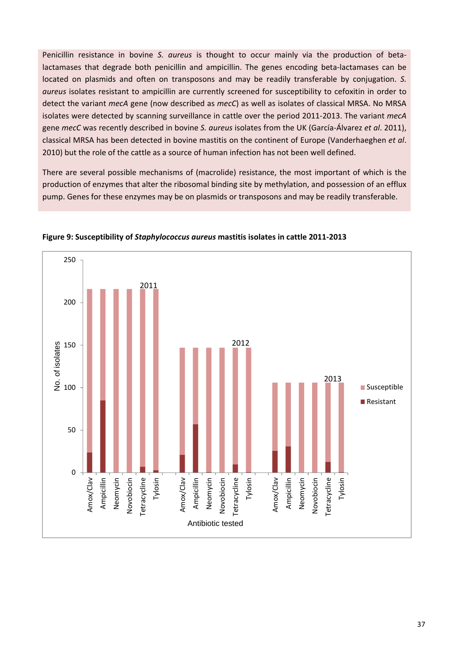Penicillin resistance in bovine *S. aureus* is thought to occur mainly via the production of betalactamases that degrade both penicillin and ampicillin. The genes encoding beta‐lactamases can be located on plasmids and often on transposons and may be readily transferable by conjugation. *S. aureus* isolates resistant to ampicillin are currently screened for susceptibility to cefoxitin in order to detect the variant *mecA* gene (now described as *mecC*) as well as isolates of classical MRSA. No MRSA isolates were detected by scanning surveillance in cattle over the period 2011‐2013. The variant *mecA* gene *mecC* was recently described in bovine *S. aureus* isolates from the UK (García‐Álvarez *et al*. 2011), classical MRSA has been detected in bovine mastitis on the continent of Europe (Vanderhaeghen *et al*. 2010) but the role of the cattle as a source of human infection has not been well defined.

There are several possible mechanisms of (macrolide) resistance, the most important of which is the production of enzymes that alter the ribosomal binding site by methylation, and possession of an efflux pump. Genes for these enzymes may be on plasmids or transposons and may be readily transferable.



**Figure 9: Susceptibility of** *Staphylococcus aureus* **mastitis isolates in cattle 2011‐2013**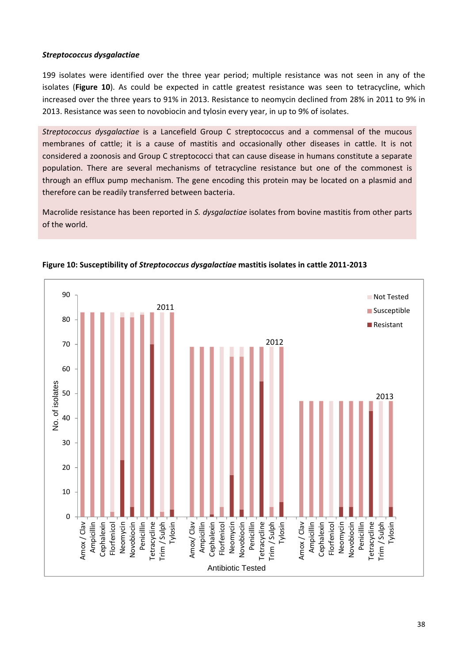### *Streptococcus dysgalactiae*

199 isolates were identified over the three year period; multiple resistance was not seen in any of the isolates (**Figure 10**). As could be expected in cattle greatest resistance was seen to tetracycline, which increased over the three years to 91% in 2013. Resistance to neomycin declined from 28% in 2011 to 9% in 2013. Resistance was seen to novobiocin and tylosin every year, in up to 9% of isolates.

*Streptococcus dysgalactiae* is a Lancefield Group C streptococcus and a commensal of the mucous membranes of cattle; it is a cause of mastitis and occasionally other diseases in cattle. It is not considered a zoonosis and Group C streptococci that can cause disease in humans constitute a separate population. There are several mechanisms of tetracycline resistance but one of the commonest is through an efflux pump mechanism. The gene encoding this protein may be located on a plasmid and therefore can be readily transferred between bacteria.

Macrolide resistance has been reported in *S. dysgalactiae* isolates from bovine mastitis from other parts of the world.



#### **Figure 10: Susceptibility of** *Streptococcus dysgalactiae* **mastitis isolates in cattle 2011‐2013**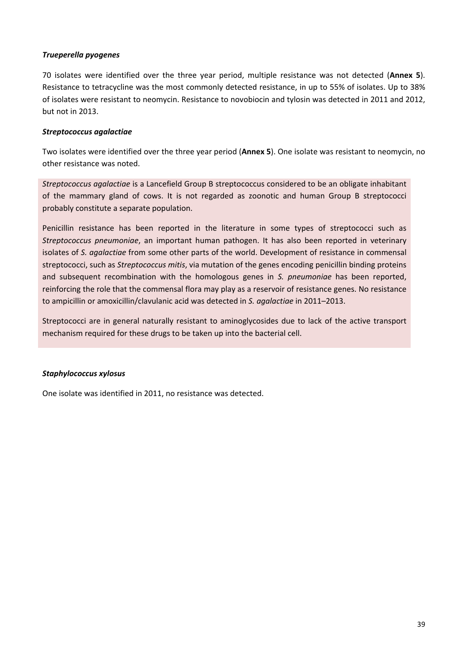### *Trueperella pyogenes*

70 isolates were identified over the three year period, multiple resistance was not detected (**Annex 5**). Resistance to tetracycline was the most commonly detected resistance, in up to 55% of isolates. Up to 38% of isolates were resistant to neomycin. Resistance to novobiocin and tylosin was detected in 2011 and 2012, but not in 2013.

### *Streptococcus agalactiae*

Two isolates were identified over the three year period (**Annex 5**). One isolate was resistant to neomycin, no other resistance was noted.

*Streptococcus agalactiae* is a Lancefield Group B streptococcus considered to be an obligate inhabitant of the mammary gland of cows. It is not regarded as zoonotic and human Group B streptococci probably constitute a separate population.

Penicillin resistance has been reported in the literature in some types of streptococci such as *Streptococcus pneumoniae*, an important human pathogen. It has also been reported in veterinary isolates of *S. agalactiae* from some other parts of the world. Development of resistance in commensal streptococci, such as *Streptococcus mitis*, via mutation of the genes encoding penicillin binding proteins and subsequent recombination with the homologous genes in *S. pneumoniae* has been reported, reinforcing the role that the commensal flora may play as a reservoir of resistance genes. No resistance to ampicillin or amoxicillin/clavulanic acid was detected in *S. agalactiae* in 2011–2013.

Streptococci are in general naturally resistant to aminoglycosides due to lack of the active transport mechanism required for these drugs to be taken up into the bacterial cell.

#### *Staphylococcus xylosus*

One isolate was identified in 2011, no resistance was detected.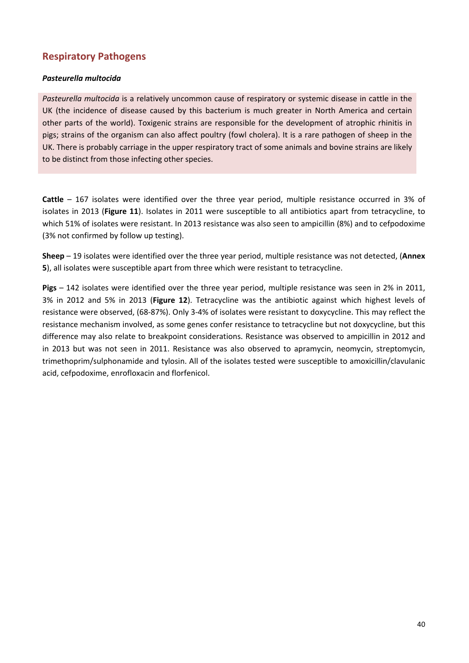## **Respiratory Pathogens**

### *Pasteurella multocida*

*Pasteurella multocida* is a relatively uncommon cause of respiratory or systemic disease in cattle in the UK (the incidence of disease caused by this bacterium is much greater in North America and certain other parts of the world). Toxigenic strains are responsible for the development of atrophic rhinitis in pigs; strains of the organism can also affect poultry (fowl cholera). It is a rare pathogen of sheep in the UK. There is probably carriage in the upper respiratory tract of some animals and bovine strains are likely to be distinct from those infecting other species.

**Cattle** – 167 isolates were identified over the three year period, multiple resistance occurred in 3% of isolates in 2013 (**Figure 11**). Isolates in 2011 were susceptible to all antibiotics apart from tetracycline, to which 51% of isolates were resistant. In 2013 resistance was also seen to ampicillin (8%) and to cefpodoxime (3% not confirmed by follow up testing).

**Sheep** – 19 isolates were identified over the three year period, multiple resistance was not detected, (**Annex 5**), all isolates were susceptible apart from three which were resistant to tetracycline.

**Pigs** – 142 isolates were identified over the three year period, multiple resistance was seen in 2% in 2011, 3% in 2012 and 5% in 2013 (**Figure 12**). Tetracycline was the antibiotic against which highest levels of resistance were observed, (68‐87%). Only 3‐4% of isolates were resistant to doxycycline. This may reflect the resistance mechanism involved, as some genes confer resistance to tetracycline but not doxycycline, but this difference may also relate to breakpoint considerations. Resistance was observed to ampicillin in 2012 and in 2013 but was not seen in 2011. Resistance was also observed to apramycin, neomycin, streptomycin, trimethoprim/sulphonamide and tylosin. All of the isolates tested were susceptible to amoxicillin/clavulanic acid, cefpodoxime, enrofloxacin and florfenicol.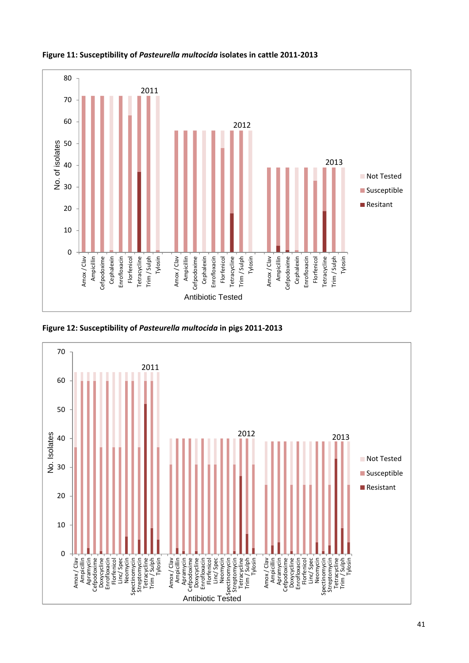

**Figure 11: Susceptibility of** *Pasteurella multocida* **isolates in cattle 2011‐2013**



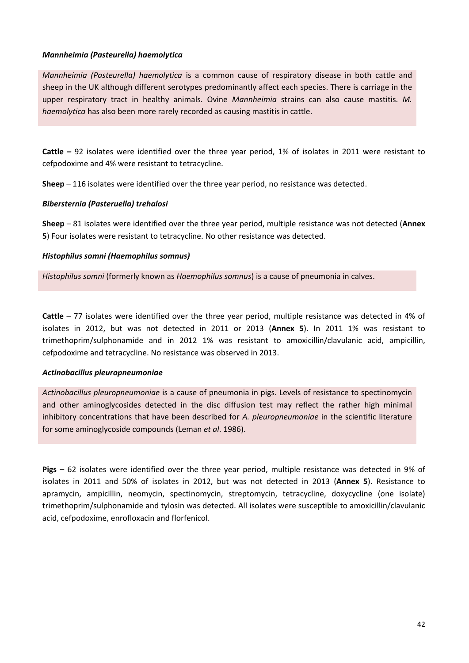### *Mannheimia (Pasteurella) haemolytica*

*Mannheimia (Pasteurella) haemolytica* is a common cause of respiratory disease in both cattle and sheep in the UK although different serotypes predominantly affect each species. There is carriage in the upper respiratory tract in healthy animals. Ovine *Mannheimia* strains can also cause mastitis. *M. haemolytica* has also been more rarely recorded as causing mastitis in cattle.

**Cattle –** 92 isolates were identified over the three year period, 1% of isolates in 2011 were resistant to cefpodoxime and 4% were resistant to tetracycline.

**Sheep** – 116 isolates were identified over the three year period, no resistance was detected.

### *Bibersternia (Pasteruella) trehalosi*

**Sheep** – 81 isolates were identified over the three year period, multiple resistance was not detected (**Annex 5**) Four isolates were resistant to tetracycline. No other resistance was detected.

### *Histophilus somni (Haemophilus somnus)*

*Histophilus somni* (formerly known as *Haemophilus somnus*) is a cause of pneumonia in calves.

**Cattle** – 77 isolates were identified over the three year period, multiple resistance was detected in 4% of isolates in 2012, but was not detected in 2011 or 2013 (**Annex 5**). In 2011 1% was resistant to trimethoprim/sulphonamide and in 2012 1% was resistant to amoxicillin/clavulanic acid, ampicillin, cefpodoxime and tetracycline. No resistance was observed in 2013.

#### *Actinobacillus pleuropneumoniae*

*Actinobacillus pleuropneumoniae* is a cause of pneumonia in pigs. Levels of resistance to spectinomycin and other aminoglycosides detected in the disc diffusion test may reflect the rather high minimal inhibitory concentrations that have been described for *A. pleuropneumoniae* in the scientific literature for some aminoglycoside compounds (Leman *et al*. 1986).

**Pigs** – 62 isolates were identified over the three year period, multiple resistance was detected in 9% of isolates in 2011 and 50% of isolates in 2012, but was not detected in 2013 (**Annex 5**). Resistance to apramycin, ampicillin, neomycin, spectinomycin, streptomycin, tetracycline, doxycycline (one isolate) trimethoprim/sulphonamide and tylosin was detected. All isolates were susceptible to amoxicillin/clavulanic acid, cefpodoxime, enrofloxacin and florfenicol.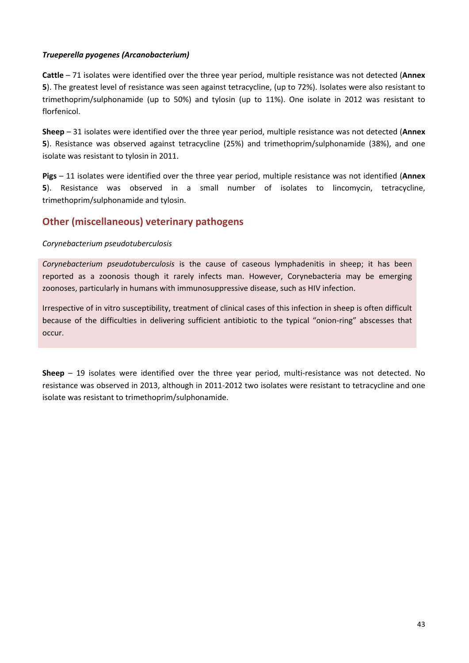### *Trueperella pyogenes (Arcanobacterium)*

**Cattle** – 71 isolates were identified over the three year period, multiple resistance was not detected (**Annex 5**). The greatest level of resistance was seen against tetracycline, (up to 72%). Isolates were also resistant to trimethoprim/sulphonamide (up to 50%) and tylosin (up to 11%). One isolate in 2012 was resistant to florfenicol.

**Sheep** – 31 isolates were identified over the three year period, multiple resistance was not detected (**Annex 5**). Resistance was observed against tetracycline (25%) and trimethoprim/sulphonamide (38%), and one isolate was resistant to tylosin in 2011.

**Pigs** – 11 isolates were identified over the three year period, multiple resistance was not identified (**Annex 5**). Resistance was observed in a small number of isolates to lincomycin, tetracycline, trimethoprim/sulphonamide and tylosin.

## **Other (miscellaneous) veterinary pathogens**

### *Corynebacterium pseudotuberculosis*

*Corynebacterium pseudotuberculosis* is the cause of caseous lymphadenitis in sheep; it has been reported as a zoonosis though it rarely infects man. However, Corynebacteria may be emerging zoonoses, particularly in humans with immunosuppressive disease, such as HIV infection.

Irrespective of in vitro susceptibility, treatment of clinical cases of this infection in sheep is often difficult because of the difficulties in delivering sufficient antibiotic to the typical "onion‐ring" abscesses that occur.

**Sheep** – 19 isolates were identified over the three year period, multi-resistance was not detected. No resistance was observed in 2013, although in 2011‐2012 two isolates were resistant to tetracycline and one isolate was resistant to trimethoprim/sulphonamide.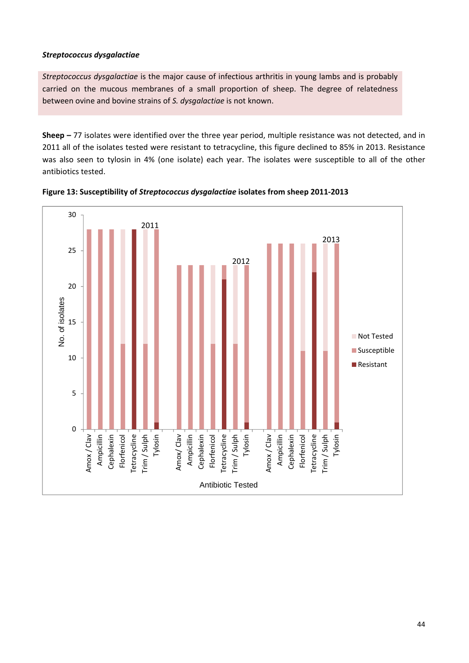### *Streptococcus dysgalactiae*

*Streptococcus dysgalactiae* is the major cause of infectious arthritis in young lambs and is probably carried on the mucous membranes of a small proportion of sheep. The degree of relatedness between ovine and bovine strains of *S. dysgalactiae* is not known.

**Sheep –** 77 isolates were identified over the three year period, multiple resistance was not detected, and in 2011 all of the isolates tested were resistant to tetracycline, this figure declined to 85% in 2013. Resistance was also seen to tylosin in 4% (one isolate) each year. The isolates were susceptible to all of the other antibiotics tested.



**Figure 13: Susceptibility of** *Streptococcus dysgalactiae* **isolates from sheep 2011‐2013**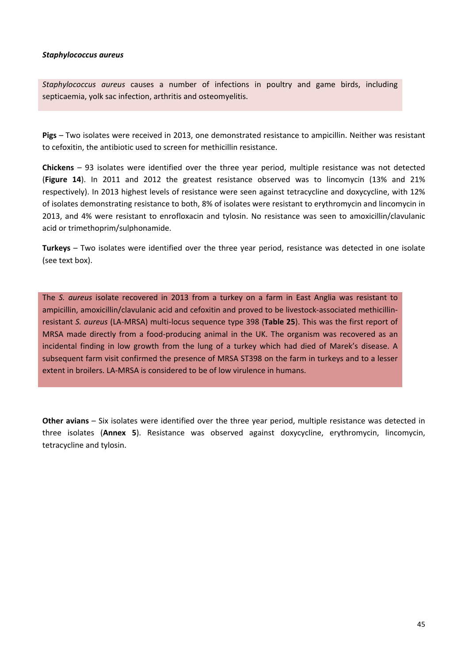#### *Staphylococcus aureus*

*Staphylococcus aureus* causes a number of infections in poultry and game birds, including septicaemia, yolk sac infection, arthritis and osteomyelitis.

**Pigs** – Two isolates were received in 2013, one demonstrated resistance to ampicillin. Neither was resistant to cefoxitin, the antibiotic used to screen for methicillin resistance.

**Chickens** – 93 isolates were identified over the three year period, multiple resistance was not detected (**Figure 14**). In 2011 and 2012 the greatest resistance observed was to lincomycin (13% and 21% respectively). In 2013 highest levels of resistance were seen against tetracycline and doxycycline, with 12% of isolates demonstrating resistance to both, 8% of isolates were resistant to erythromycin and lincomycin in 2013, and 4% were resistant to enrofloxacin and tylosin. No resistance was seen to amoxicillin/clavulanic acid or trimethoprim/sulphonamide.

**Turkeys** – Two isolates were identified over the three year period, resistance was detected in one isolate (see text box).

The *S. aureus* isolate recovered in 2013 from a turkey on a farm in East Anglia was resistant to ampicillin, amoxicillin/clavulanic acid and cefoxitin and proved to be livestock-associated methicillinresistant *S. aureus* (LA‐MRSA) multi‐locus sequence type 398 (**Table 25**). This was the first report of MRSA made directly from a food-producing animal in the UK. The organism was recovered as an incidental finding in low growth from the lung of a turkey which had died of Marek's disease. A subsequent farm visit confirmed the presence of MRSA ST398 on the farm in turkeys and to a lesser extent in broilers. LA‐MRSA is considered to be of low virulence in humans.

**Other avians** – Six isolates were identified over the three year period, multiple resistance was detected in three isolates (**Annex 5**). Resistance was observed against doxycycline, erythromycin, lincomycin, tetracycline and tylosin.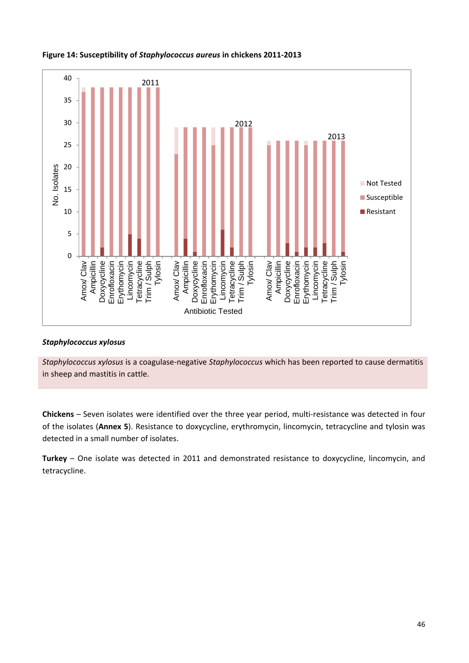

#### **Figure 14: Susceptibility of** *Staphylococcus aureus* **in chickens 2011‐2013**

#### *Staphylococcus xylosus*

*Staphylococcus xylosus* is a coagulase‐negative *Staphylococcus* which has been reported to cause dermatitis in sheep and mastitis in cattle.

**Chickens** – Seven isolates were identified over the three year period, multi‐resistance was detected in four of the isolates (**Annex 5**). Resistance to doxycycline, erythromycin, lincomycin, tetracycline and tylosin was detected in a small number of isolates.

**Turkey** – One isolate was detected in 2011 and demonstrated resistance to doxycycline, lincomycin, and tetracycline.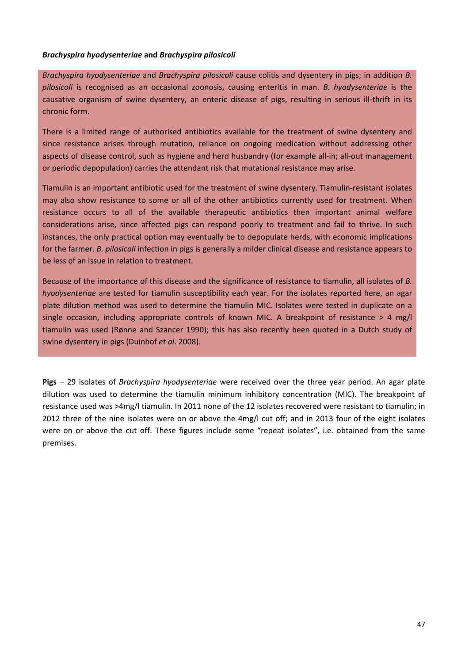#### *Brachyspira hyodysenteriae* **and** *Brachyspira pilosicoli*

*Brachyspira hyodysenteriae* and *Brachyspira pilosicoli* cause colitis and dysentery in pigs; in addition *B. pilosicoli* is recognised as an occasional zoonosis, causing enteritis in man. *B. hyodysenteriae* is the causative organism of swine dysentery, an enteric disease of pigs, resulting in serious ill‐thrift in its chronic form.

There is a limited range of authorised antibiotics available for the treatment of swine dysentery and since resistance arises through mutation, reliance on ongoing medication without addressing other aspects of disease control, such as hygiene and herd husbandry (for example all-in; all-out management or periodic depopulation) carries the attendant risk that mutational resistance may arise.

Tiamulin is an important antibiotic used for the treatment of swine dysentery. Tiamulin‐resistant isolates may also show resistance to some or all of the other antibiotics currently used for treatment. When resistance occurs to all of the available therapeutic antibiotics then important animal welfare considerations arise, since affected pigs can respond poorly to treatment and fail to thrive. In such instances, the only practical option may eventually be to depopulate herds, with economic implications for the farmer. *B. pilosicoli* infection in pigs is generally a milder clinical disease and resistance appears to be less of an issue in relation to treatment.

Because of the importance of this disease and the significance of resistance to tiamulin, all isolates of *B. hyodysenteriae* are tested for tiamulin susceptibility each year. For the isolates reported here, an agar plate dilution method was used to determine the tiamulin MIC. Isolates were tested in duplicate on a single occasion, including appropriate controls of known MIC. A breakpoint of resistance  $> 4$  mg/l tiamulin was used (Rønne and Szancer 1990); this has also recently been quoted in a Dutch study of swine dysentery in pigs (Duinhof *et al*. 2008).

**Pigs** – 29 isolates of *Brachyspira hyodysenteriae* were received over the three year period. An agar plate dilution was used to determine the tiamulin minimum inhibitory concentration (MIC). The breakpoint of resistance used was >4mg/l tiamulin. In 2011 none of the 12 isolates recovered were resistant to tiamulin; in 2012 three of the nine isolates were on or above the 4mg/l cut off; and in 2013 four of the eight isolates were on or above the cut off. These figures include some "repeat isolates", i.e. obtained from the same premises.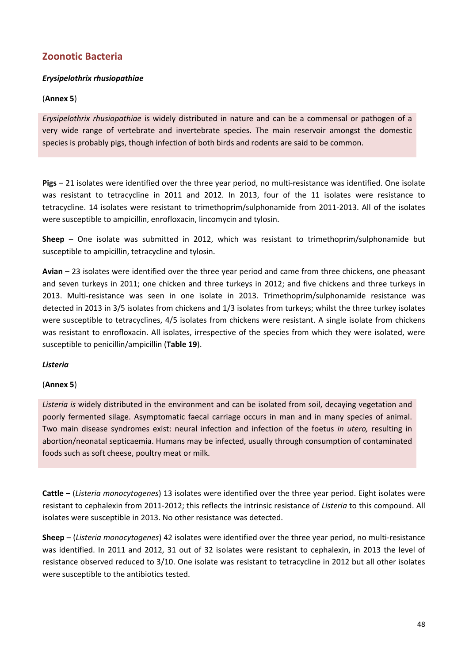## **Zoonotic Bacteria**

## *Erysipelothrix rhusiopathiae*

## (**Annex 5**)

*Erysipelothrix rhusiopathiae* is widely distributed in nature and can be a commensal or pathogen of a very wide range of vertebrate and invertebrate species. The main reservoir amongst the domestic species is probably pigs, though infection of both birds and rodents are said to be common.

**Pigs** – 21 isolates were identified over the three year period, no multi‐resistance was identified. One isolate was resistant to tetracycline in 2011 and 2012. In 2013, four of the 11 isolates were resistance to tetracycline. 14 isolates were resistant to trimethoprim/sulphonamide from 2011‐2013. All of the isolates were susceptible to ampicillin, enrofloxacin, lincomycin and tylosin.

**Sheep** – One isolate was submitted in 2012, which was resistant to trimethoprim/sulphonamide but susceptible to ampicillin, tetracycline and tylosin.

**Avian** – 23 isolates were identified over the three year period and came from three chickens, one pheasant and seven turkeys in 2011; one chicken and three turkeys in 2012; and five chickens and three turkeys in 2013. Multi-resistance was seen in one isolate in 2013. Trimethoprim/sulphonamide resistance was detected in 2013 in 3/5 isolates from chickens and 1/3 isolates from turkeys; whilst the three turkey isolates were susceptible to tetracyclines, 4/5 isolates from chickens were resistant. A single isolate from chickens was resistant to enrofloxacin. All isolates, irrespective of the species from which they were isolated, were susceptible to penicillin/ampicillin (**Table 19**).

## *Listeria*

## (**Annex 5**)

*Listeria is* widely distributed in the environment and can be isolated from soil, decaying vegetation and poorly fermented silage. Asymptomatic faecal carriage occurs in man and in many species of animal. Two main disease syndromes exist: neural infection and infection of the foetus *in utero,* resulting in abortion/neonatal septicaemia. Humans may be infected, usually through consumption of contaminated foods such as soft cheese, poultry meat or milk.

**Cattle** – (*Listeria monocytogenes*) 13 isolates were identified over the three year period. Eight isolates were resistant to cephalexin from 2011‐2012; this reflects the intrinsic resistance of *Listeria* to this compound. All isolates were susceptible in 2013. No other resistance was detected.

**Sheep** – (*Listeria monocytogenes*) 42 isolates were identified over the three year period, no multi‐resistance was identified. In 2011 and 2012, 31 out of 32 isolates were resistant to cephalexin, in 2013 the level of resistance observed reduced to 3/10. One isolate was resistant to tetracycline in 2012 but all other isolates were susceptible to the antibiotics tested.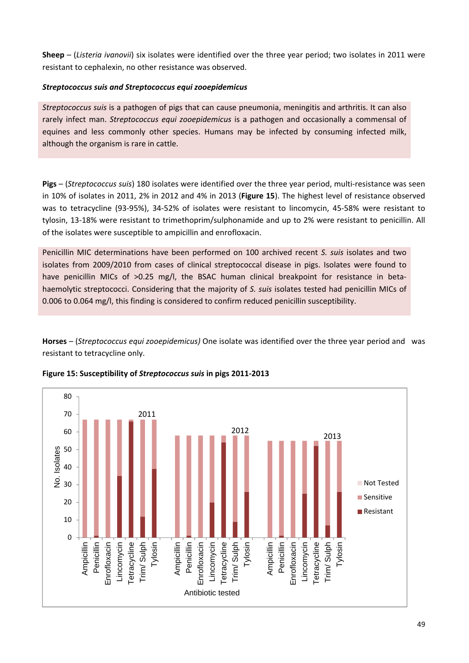**Sheep** – (*Listeria ivanovii*) six isolates were identified over the three year period; two isolates in 2011 were resistant to cephalexin, no other resistance was observed.

### *Streptococcus suis and Streptococcus equi zooepidemicus*

*Streptococcus suis* is a pathogen of pigs that can cause pneumonia, meningitis and arthritis. It can also rarely infect man. *Streptococcus equi zooepidemicus* is a pathogen and occasionally a commensal of equines and less commonly other species. Humans may be infected by consuming infected milk, although the organism is rare in cattle.

**Pigs** – (*Streptococcus suis*) 180 isolates were identified over the three year period, multi‐resistance was seen in 10% of isolates in 2011, 2% in 2012 and 4% in 2013 (**Figure 15**). The highest level of resistance observed was to tetracycline (93‐95%), 34‐52% of isolates were resistant to lincomycin, 45‐58% were resistant to tylosin, 13‐18% were resistant to trimethoprim/sulphonamide and up to 2% were resistant to penicillin. All of the isolates were susceptible to ampicillin and enrofloxacin.

Penicillin MIC determinations have been performed on 100 archived recent *S. suis* isolates and two isolates from 2009/2010 from cases of clinical streptococcal disease in pigs. Isolates were found to have penicillin MICs of >0.25 mg/l, the BSAC human clinical breakpoint for resistance in betahaemolytic streptococci. Considering that the majority of *S. suis* isolates tested had penicillin MICs of 0.006 to 0.064 mg/l, this finding is considered to confirm reduced penicillin susceptibility.

**Horses** – (*Streptococcus equi zooepidemicus)* One isolate was identified over the three year period and was resistant to tetracycline only.



**Figure 15: Susceptibility of** *Streptococcus suis* **in pigs 2011‐2013**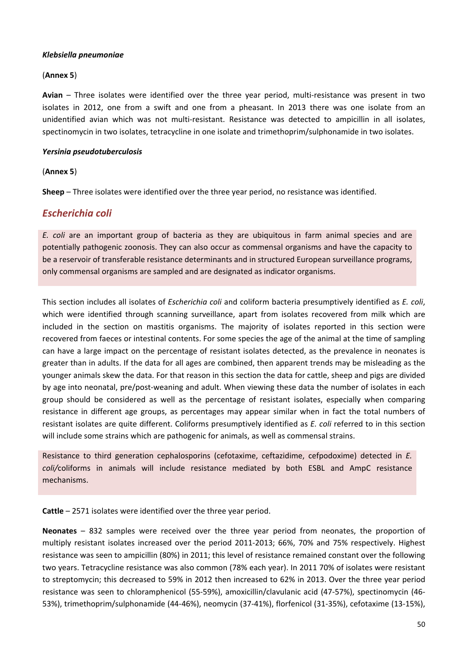### *Klebsiella pneumoniae*

### (**Annex 5**)

Avian – Three isolates were identified over the three year period, multi-resistance was present in two isolates in 2012, one from a swift and one from a pheasant. In 2013 there was one isolate from an unidentified avian which was not multi-resistant. Resistance was detected to ampicillin in all isolates, spectinomycin in two isolates, tetracycline in one isolate and trimethoprim/sulphonamide in two isolates.

### *Yersinia pseudotuberculosis*

## (**Annex 5**)

**Sheep** – Three isolates were identified over the three year period, no resistance was identified.

## *Escherichia coli*

*E. coli* are an important group of bacteria as they are ubiquitous in farm animal species and are potentially pathogenic zoonosis. They can also occur as commensal organisms and have the capacity to be a reservoir of transferable resistance determinants and in structured European surveillance programs, only commensal organisms are sampled and are designated as indicator organisms.

This section includes all isolates of *Escherichia coli* and coliform bacteria presumptively identified as *E. coli*, which were identified through scanning surveillance, apart from isolates recovered from milk which are included in the section on mastitis organisms. The majority of isolates reported in this section were recovered from faeces or intestinal contents. For some species the age of the animal at the time of sampling can have a large impact on the percentage of resistant isolates detected, as the prevalence in neonates is greater than in adults. If the data for all ages are combined, then apparent trends may be misleading as the younger animals skew the data. For that reason in this section the data for cattle, sheep and pigs are divided by age into neonatal, pre/post‐weaning and adult. When viewing these data the number of isolates in each group should be considered as well as the percentage of resistant isolates, especially when comparing resistance in different age groups, as percentages may appear similar when in fact the total numbers of resistant isolates are quite different. Coliforms presumptively identified as *E. coli* referred to in this section will include some strains which are pathogenic for animals, as well as commensal strains.

Resistance to third generation cephalosporins (cefotaxime, ceftazidime, cefpodoxime) detected in *E. coli/*coliforms in animals will include resistance mediated by both ESBL and AmpC resistance mechanisms.

**Cattle** – 2571 isolates were identified over the three year period.

**Neonates** – 832 samples were received over the three year period from neonates, the proportion of multiply resistant isolates increased over the period 2011‐2013; 66%, 70% and 75% respectively. Highest resistance was seen to ampicillin (80%) in 2011; this level of resistance remained constant over the following two years. Tetracycline resistance was also common (78% each year). In 2011 70% of isolates were resistant to streptomycin; this decreased to 59% in 2012 then increased to 62% in 2013. Over the three year period resistance was seen to chloramphenicol (55‐59%), amoxicillin/clavulanic acid (47‐57%), spectinomycin (46‐ 53%), trimethoprim/sulphonamide (44‐46%), neomycin (37‐41%), florfenicol (31‐35%), cefotaxime (13‐15%),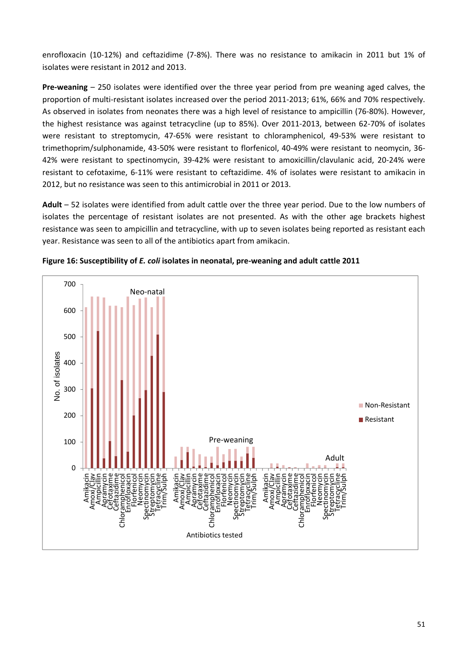enrofloxacin (10‐12%) and ceftazidime (7‐8%). There was no resistance to amikacin in 2011 but 1% of isolates were resistant in 2012 and 2013.

**Pre-weaning** - 250 isolates were identified over the three year period from pre weaning aged calves, the proportion of multi-resistant isolates increased over the period 2011-2013; 61%, 66% and 70% respectively. As observed in isolates from neonates there was a high level of resistance to ampicillin (76‐80%). However, the highest resistance was against tetracycline (up to 85%). Over 2011‐2013, between 62‐70% of isolates were resistant to streptomycin, 47‐65% were resistant to chloramphenicol, 49‐53% were resistant to trimethoprim/sulphonamide, 43‐50% were resistant to florfenicol, 40‐49% were resistant to neomycin, 36‐ 42% were resistant to spectinomycin, 39‐42% were resistant to amoxicillin/clavulanic acid, 20‐24% were resistant to cefotaxime, 6‐11% were resistant to ceftazidime. 4% of isolates were resistant to amikacin in 2012, but no resistance was seen to this antimicrobial in 2011 or 2013.

**Adult** – 52 isolates were identified from adult cattle over the three year period. Due to the low numbers of isolates the percentage of resistant isolates are not presented. As with the other age brackets highest resistance was seen to ampicillin and tetracycline, with up to seven isolates being reported as resistant each year. Resistance was seen to all of the antibiotics apart from amikacin.



**Figure 16: Susceptibility of** *E. coli* **isolates in neonatal, pre‐weaning and adult cattle 2011**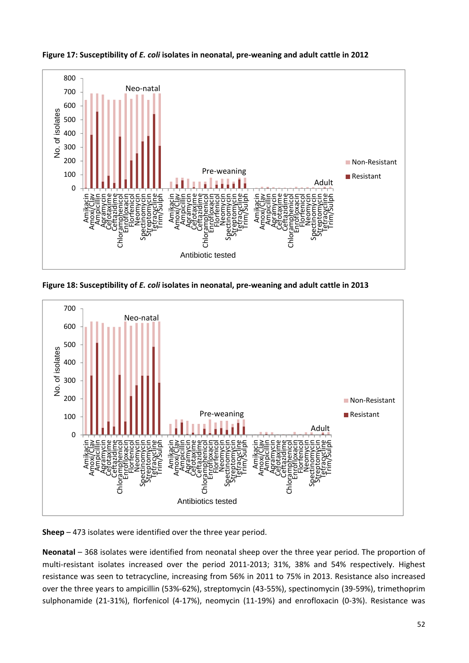

**Figure 17: Susceptibility of** *E. coli* **isolates in neonatal, pre‐weaning and adult cattle in 2012**

**Figure 18: Susceptibility of** *E. coli* **isolates in neonatal, pre‐weaning and adult cattle in 2013** 



**Sheep** – 473 isolates were identified over the three year period.

**Neonatal** – 368 isolates were identified from neonatal sheep over the three year period. The proportion of multi-resistant isolates increased over the period 2011-2013; 31%, 38% and 54% respectively. Highest resistance was seen to tetracycline, increasing from 56% in 2011 to 75% in 2013. Resistance also increased over the three years to ampicillin (53%‐62%), streptomycin (43‐55%), spectinomycin (39‐59%), trimethoprim sulphonamide (21-31%), florfenicol (4-17%), neomycin (11-19%) and enrofloxacin (0-3%). Resistance was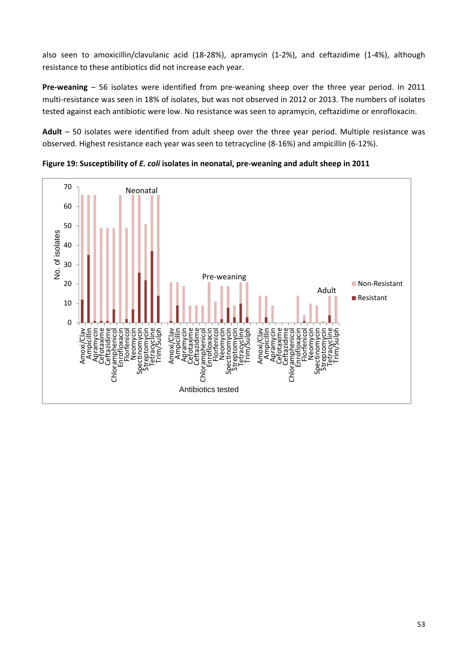also seen to amoxicillin/clavulanic acid (18‐28%), apramycin (1‐2%), and ceftazidime (1‐4%), although resistance to these antibiotics did not increase each year.

**Pre-weaning** – 56 isolates were identified from pre-weaning sheep over the three year period. In 2011 multi-resistance was seen in 18% of isolates, but was not observed in 2012 or 2013. The numbers of isolates tested against each antibiotic were low. No resistance was seen to apramycin, ceftazidime or enrofloxacin.

**Adult** – 50 isolates were identified from adult sheep over the three year period. Multiple resistance was observed. Highest resistance each year was seen to tetracycline (8‐16%) and ampicillin (6‐12%).



**Figure 19: Susceptibility of** *E. coli* **isolates in neonatal, pre‐weaning and adult sheep in 2011**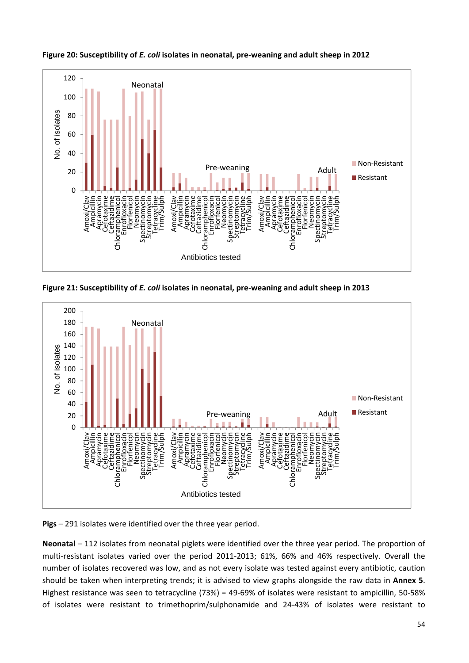

**Figure 20: Susceptibility of** *E. coli* **isolates in neonatal, pre‐weaning and adult sheep in 2012** 

**Figure 21: Susceptibility of** *E. coli* **isolates in neonatal, pre‐weaning and adult sheep in 2013** 



**Pigs** – 291 isolates were identified over the three year period.

**Neonatal** – 112 isolates from neonatal piglets were identified over the three year period. The proportion of multi‐resistant isolates varied over the period 2011‐2013; 61%, 66% and 46% respectively. Overall the number of isolates recovered was low, and as not every isolate was tested against every antibiotic, caution should be taken when interpreting trends; it is advised to view graphs alongside the raw data in **Annex 5**. Highest resistance was seen to tetracycline (73%) = 49‐69% of isolates were resistant to ampicillin, 50‐58% of isolates were resistant to trimethoprim/sulphonamide and 24‐43% of isolates were resistant to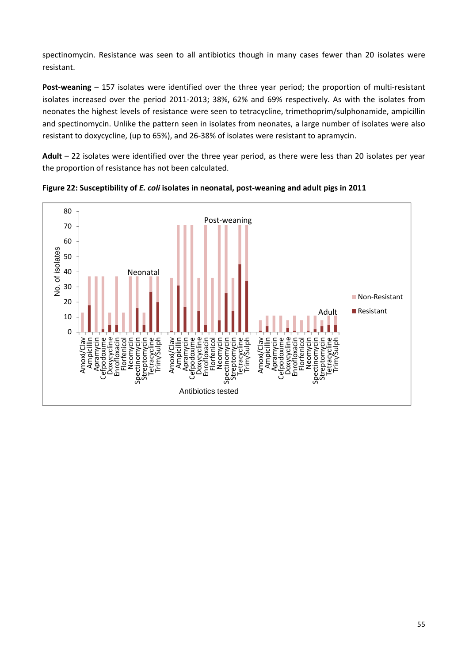spectinomycin. Resistance was seen to all antibiotics though in many cases fewer than 20 isolates were resistant.

**Post-weaning** – 157 isolates were identified over the three year period; the proportion of multi-resistant isolates increased over the period 2011‐2013; 38%, 62% and 69% respectively. As with the isolates from neonates the highest levels of resistance were seen to tetracycline, trimethoprim/sulphonamide, ampicillin and spectinomycin. Unlike the pattern seen in isolates from neonates, a large number of isolates were also resistant to doxycycline, (up to 65%), and 26‐38% of isolates were resistant to apramycin.

**Adult** – 22 isolates were identified over the three year period, as there were less than 20 isolates per year the proportion of resistance has not been calculated.



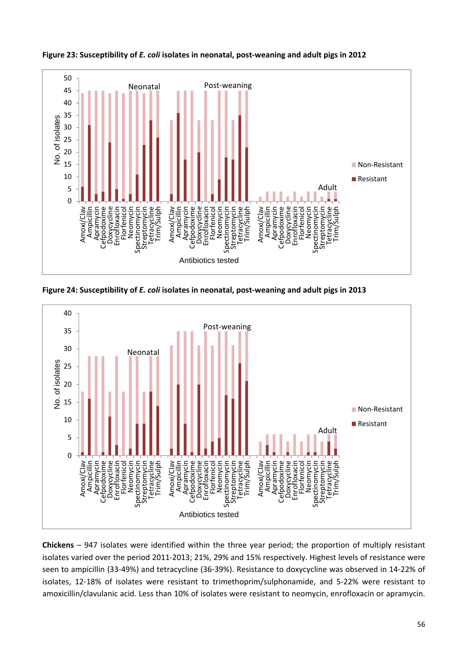

**Figure 23: Susceptibility of** *E. coli* **isolates in neonatal, post‐weaning and adult pigs in 2012** 

**Figure 24: Susceptibility of** *E. coli* **isolates in neonatal, post‐weaning and adult pigs in 2013** 



**Chickens** – 947 isolates were identified within the three year period; the proportion of multiply resistant isolates varied over the period 2011‐2013; 21%, 29% and 15% respectively. Highest levels of resistance were seen to ampicillin (33‐49%) and tetracycline (36‐39%). Resistance to doxycycline was observed in 14‐22% of isolates, 12-18% of isolates were resistant to trimethoprim/sulphonamide, and 5-22% were resistant to amoxicillin/clavulanic acid. Less than 10% of isolates were resistant to neomycin, enrofloxacin or apramycin.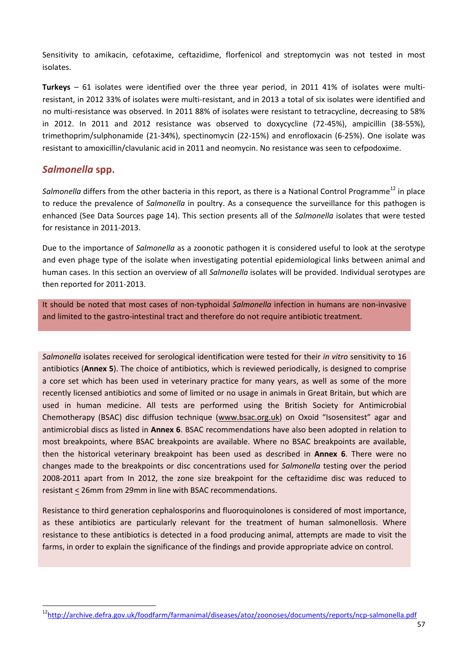Sensitivity to amikacin, cefotaxime, ceftazidime, florfenicol and streptomycin was not tested in most isolates.

**Turkeys** – 61 isolates were identified over the three year period, in 2011 41% of isolates were multi‐ resistant, in 2012 33% of isolates were multi‐resistant, and in 2013 a total of six isolates were identified and no multi-resistance was observed. In 2011 88% of isolates were resistant to tetracycline, decreasing to 58% in 2012. In 2011 and 2012 resistance was observed to doxycycline (72‐45%), ampicillin (38‐55%), trimethoprim/sulphonamide (21‐34%), spectinomycin (22‐15%) and enrofloxacin (6‐25%). One isolate was resistant to amoxicillin/clavulanic acid in 2011 and neomycin. No resistance was seen to cefpodoxime.

## *Salmonella* **spp.**

*Salmonella* differs from the other bacteria in this report, as there is a National Control Programme<sup>12</sup> in place to reduce the prevalence of *Salmonella* in poultry. As a consequence the surveillance for this pathogen is enhanced (See Data Sources page 14). This section presents all of the *Salmonella* isolates that were tested for resistance in 2011‐2013.

Due to the importance of *Salmonella* as a zoonotic pathogen it is considered useful to look at the serotype and even phage type of the isolate when investigating potential epidemiological links between animal and human cases. In this section an overview of all *Salmonella* isolates will be provided. Individual serotypes are then reported for 2011‐2013.

It should be noted that most cases of non‐typhoidal *Salmonella* infection in humans are non‐invasive and limited to the gastro-intestinal tract and therefore do not require antibiotic treatment.

*Salmonella* isolates received for serological identification were tested for their *in vitro* sensitivity to 16 antibiotics (**Annex 5**). The choice of antibiotics, which is reviewed periodically, is designed to comprise a core set which has been used in veterinary practice for many years, as well as some of the more recently licensed antibiotics and some of limited or no usage in animals in Great Britain, but which are used in human medicine. All tests are performed using the British Society for Antimicrobial Chemotherapy (BSAC) disc diffusion technique (www.bsac.org.uk) on Oxoid "Isosensitest" agar and antimicrobial discs as listed in **Annex 6**. BSAC recommendations have also been adopted in relation to most breakpoints, where BSAC breakpoints are available. Where no BSAC breakpoints are available, then the historical veterinary breakpoint has been used as described in **Annex 6**. There were no changes made to the breakpoints or disc concentrations used for *Salmonella* testing over the period 2008‐2011 apart from In 2012, the zone size breakpoint for the ceftazidime disc was reduced to resistant < 26mm from 29mm in line with BSAC recommendations.

Resistance to third generation cephalosporins and fluoroquinolones is considered of most importance, as these antibiotics are particularly relevant for the treatment of human salmonellosis. Where resistance to these antibiotics is detected in a food producing animal, attempts are made to visit the farms, in order to explain the significance of the findings and provide appropriate advice on control.

<sup>12</sup>http://archive.defra.gov.uk/foodfarm/farmanimal/diseases/atoz/zoonoses/documents/reports/ncp‐salmonella.pdf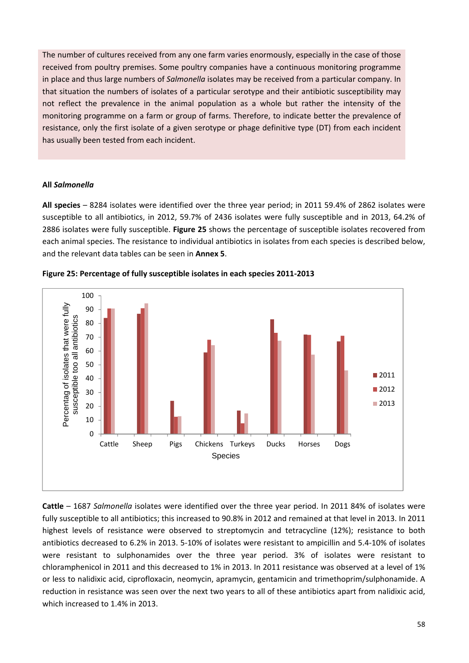The number of cultures received from any one farm varies enormously, especially in the case of those received from poultry premises. Some poultry companies have a continuous monitoring programme in place and thus large numbers of *Salmonella* isolates may be received from a particular company. In that situation the numbers of isolates of a particular serotype and their antibiotic susceptibility may not reflect the prevalence in the animal population as a whole but rather the intensity of the monitoring programme on a farm or group of farms. Therefore, to indicate better the prevalence of resistance, only the first isolate of a given serotype or phage definitive type (DT) from each incident has usually been tested from each incident.

#### **All** *Salmonella*

**All species** – 8284 isolates were identified over the three year period; in 2011 59.4% of 2862 isolates were susceptible to all antibiotics, in 2012, 59.7% of 2436 isolates were fully susceptible and in 2013, 64.2% of 2886 isolates were fully susceptible. **Figure 25** shows the percentage of susceptible isolates recovered from each animal species. The resistance to individual antibiotics in isolates from each species is described below, and the relevant data tables can be seen in **Annex 5**.



**Figure 25: Percentage of fully susceptible isolates in each species 2011‐2013** 

**Cattle** – 1687 *Salmonella* isolates were identified over the three year period. In 2011 84% of isolates were fully susceptible to all antibiotics; this increased to 90.8% in 2012 and remained at that level in 2013. In 2011 highest levels of resistance were observed to streptomycin and tetracycline (12%); resistance to both antibiotics decreased to 6.2% in 2013. 5‐10% of isolates were resistant to ampicillin and 5.4‐10% of isolates were resistant to sulphonamides over the three year period. 3% of isolates were resistant to chloramphenicol in 2011 and this decreased to 1% in 2013. In 2011 resistance was observed at a level of 1% or less to nalidixic acid, ciprofloxacin, neomycin, apramycin, gentamicin and trimethoprim/sulphonamide. A reduction in resistance was seen over the next two years to all of these antibiotics apart from nalidixic acid, which increased to 1.4% in 2013.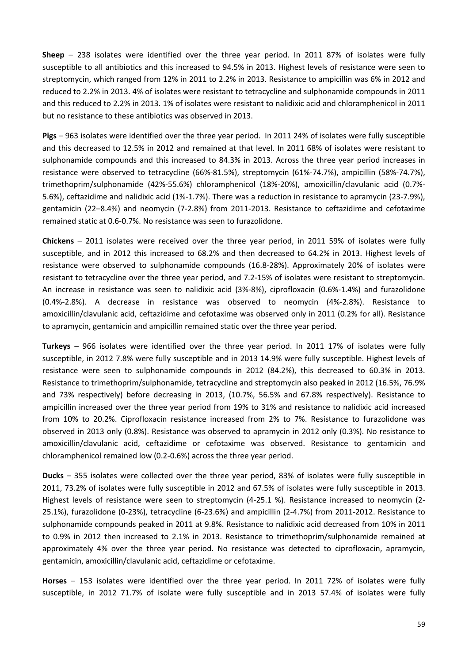**Sheep** – 238 isolates were identified over the three year period. In 2011 87% of isolates were fully susceptible to all antibiotics and this increased to 94.5% in 2013. Highest levels of resistance were seen to streptomycin, which ranged from 12% in 2011 to 2.2% in 2013. Resistance to ampicillin was 6% in 2012 and reduced to 2.2% in 2013. 4% of isolates were resistant to tetracycline and sulphonamide compounds in 2011 and this reduced to 2.2% in 2013. 1% of isolates were resistant to nalidixic acid and chloramphenicol in 2011 but no resistance to these antibiotics was observed in 2013.

**Pigs** – 963 isolates were identified over the three year period. In 2011 24% of isolates were fully susceptible and this decreased to 12.5% in 2012 and remained at that level. In 2011 68% of isolates were resistant to sulphonamide compounds and this increased to 84.3% in 2013. Across the three year period increases in resistance were observed to tetracycline (66%‐81.5%), streptomycin (61%‐74.7%), ampicillin (58%‐74.7%), trimethoprim/sulphonamide (42%‐55.6%) chloramphenicol (18%‐20%), amoxicillin/clavulanic acid (0.7%‐ 5.6%), ceftazidime and nalidixic acid (1%‐1.7%). There was a reduction in resistance to apramycin (23‐7.9%), gentamicin (22–8.4%) and neomycin (7‐2.8%) from 2011‐2013. Resistance to ceftazidime and cefotaxime remained static at 0.6‐0.7%. No resistance was seen to furazolidone.

**Chickens** – 2011 isolates were received over the three year period, in 2011 59% of isolates were fully susceptible, and in 2012 this increased to 68.2% and then decreased to 64.2% in 2013. Highest levels of resistance were observed to sulphonamide compounds (16.8‐28%). Approximately 20% of isolates were resistant to tetracycline over the three year period, and 7.2‐15% of isolates were resistant to streptomycin. An increase in resistance was seen to nalidixic acid (3%‐8%), ciprofloxacin (0.6%‐1.4%) and furazolidone (0.4%‐2.8%). A decrease in resistance was observed to neomycin (4%‐2.8%). Resistance to amoxicillin/clavulanic acid, ceftazidime and cefotaxime was observed only in 2011 (0.2% for all). Resistance to apramycin, gentamicin and ampicillin remained static over the three year period.

**Turkeys** – 966 isolates were identified over the three year period. In 2011 17% of isolates were fully susceptible, in 2012 7.8% were fully susceptible and in 2013 14.9% were fully susceptible. Highest levels of resistance were seen to sulphonamide compounds in 2012 (84.2%), this decreased to 60.3% in 2013. Resistance to trimethoprim/sulphonamide, tetracycline and streptomycin also peaked in 2012 (16.5%, 76.9% and 73% respectively) before decreasing in 2013, (10.7%, 56.5% and 67.8% respectively). Resistance to ampicillin increased over the three year period from 19% to 31% and resistance to nalidixic acid increased from 10% to 20.2%. Ciprofloxacin resistance increased from 2% to 7%. Resistance to furazolidone was observed in 2013 only (0.8%). Resistance was observed to apramycin in 2012 only (0.3%). No resistance to amoxicillin/clavulanic acid, ceftazidime or cefotaxime was observed. Resistance to gentamicin and chloramphenicol remained low (0.2‐0.6%) across the three year period.

**Ducks** – 355 isolates were collected over the three year period, 83% of isolates were fully susceptible in 2011, 73.2% of isolates were fully susceptible in 2012 and 67.5% of isolates were fully susceptible in 2013. Highest levels of resistance were seen to streptomycin (4‐25.1 %). Resistance increased to neomycin (2‐ 25.1%), furazolidone (0‐23%), tetracycline (6‐23.6%) and ampicillin (2‐4.7%) from 2011‐2012. Resistance to sulphonamide compounds peaked in 2011 at 9.8%. Resistance to nalidixic acid decreased from 10% in 2011 to 0.9% in 2012 then increased to 2.1% in 2013. Resistance to trimethoprim/sulphonamide remained at approximately 4% over the three year period. No resistance was detected to ciprofloxacin, apramycin, gentamicin, amoxicillin/clavulanic acid, ceftazidime or cefotaxime.

**Horses** – 153 isolates were identified over the three year period. In 2011 72% of isolates were fully susceptible, in 2012 71.7% of isolate were fully susceptible and in 2013 57.4% of isolates were fully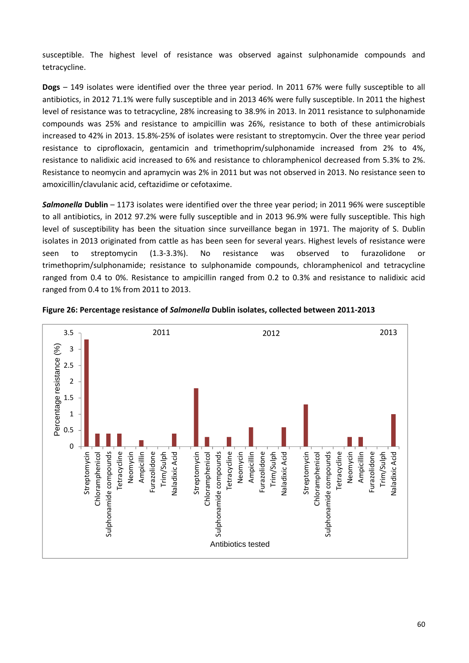susceptible. The highest level of resistance was observed against sulphonamide compounds and tetracycline.

**Dogs** – 149 isolates were identified over the three year period. In 2011 67% were fully susceptible to all antibiotics, in 2012 71.1% were fully susceptible and in 2013 46% were fully susceptible. In 2011 the highest level of resistance was to tetracycline, 28% increasing to 38.9% in 2013. In 2011 resistance to sulphonamide compounds was 25% and resistance to ampicillin was 26%, resistance to both of these antimicrobials increased to 42% in 2013. 15.8%‐25% of isolates were resistant to streptomycin. Over the three year period resistance to ciprofloxacin, gentamicin and trimethoprim/sulphonamide increased from 2% to 4%, resistance to nalidixic acid increased to 6% and resistance to chloramphenicol decreased from 5.3% to 2%. Resistance to neomycin and apramycin was 2% in 2011 but was not observed in 2013. No resistance seen to amoxicillin/clavulanic acid, ceftazidime or cefotaxime.

*Salmonella* **Dublin** – 1173 isolates were identified over the three year period; in 2011 96% were susceptible to all antibiotics, in 2012 97.2% were fully susceptible and in 2013 96.9% were fully susceptible. This high level of susceptibility has been the situation since surveillance began in 1971. The majority of S. Dublin isolates in 2013 originated from cattle as has been seen for several years. Highest levels of resistance were seen to streptomycin (1.3-3.3%). No resistance was observed to furazolidone or trimethoprim/sulphonamide; resistance to sulphonamide compounds, chloramphenicol and tetracycline ranged from 0.4 to 0%. Resistance to ampicillin ranged from 0.2 to 0.3% and resistance to nalidixic acid ranged from 0.4 to 1% from 2011 to 2013.



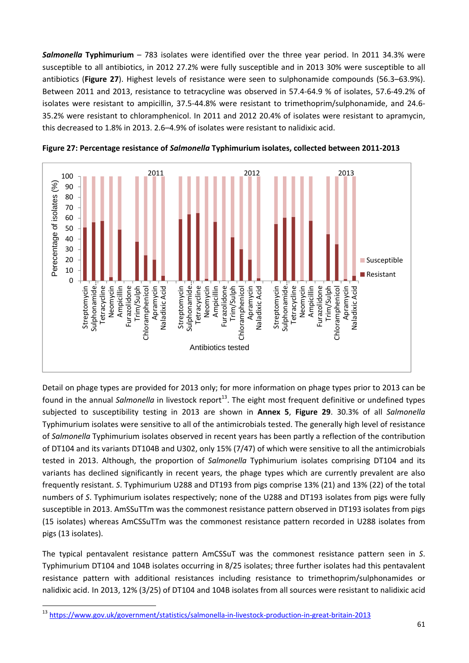*Salmonella* **Typhimurium** – 783 isolates were identified over the three year period. In 2011 34.3% were susceptible to all antibiotics, in 2012 27.2% were fully susceptible and in 2013 30% were susceptible to all antibiotics (**Figure 27**). Highest levels of resistance were seen to sulphonamide compounds (56.3–63.9%). Between 2011 and 2013, resistance to tetracycline was observed in 57.4‐64.9 % of isolates, 57.6‐49.2% of isolates were resistant to ampicillin, 37.5‐44.8% were resistant to trimethoprim/sulphonamide, and 24.6‐ 35.2% were resistant to chloramphenicol. In 2011 and 2012 20.4% of isolates were resistant to apramycin, this decreased to 1.8% in 2013. 2.6–4.9% of isolates were resistant to nalidixic acid.





Detail on phage types are provided for 2013 only; for more information on phage types prior to 2013 can be found in the annual *Salmonella* in livestock report<sup>13</sup>. The eight most frequent definitive or undefined types subjected to susceptibility testing in 2013 are shown in **Annex 5**, **Figure 29**. 30.3% of all *Salmonella* Typhimurium isolates were sensitive to all of the antimicrobials tested. The generally high level of resistance of *Salmonella* Typhimurium isolates observed in recent years has been partly a reflection of the contribution of DT104 and its variants DT104B and U302, only 15% (7/47) of which were sensitive to all the antimicrobials tested in 2013. Although, the proportion of *Salmonella* Typhimurium isolates comprising DT104 and its variants has declined significantly in recent years, the phage types which are currently prevalent are also frequently resistant. *S*. Typhimurium U288 and DT193 from pigs comprise 13% (21) and 13% (22) of the total numbers of *S*. Typhimurium isolates respectively; none of the U288 and DT193 isolates from pigs were fully susceptible in 2013. AmSSuTTm was the commonest resistance pattern observed in DT193 isolates from pigs (15 isolates) whereas AmCSSuTTm was the commonest resistance pattern recorded in U288 isolates from pigs (13 isolates).

The typical pentavalent resistance pattern AmCSSuT was the commonest resistance pattern seen in *S*. Typhimurium DT104 and 104B isolates occurring in 8/25 isolates; three further isolates had this pentavalent resistance pattern with additional resistances including resistance to trimethoprim/sulphonamides or nalidixic acid. In 2013, 12% (3/25) of DT104 and 104B isolates from all sources were resistant to nalidixic acid

<sup>&</sup>lt;sup>13</sup> https://www.gov.uk/government/statistics/salmonella-in-livestock-production-in-great-britain-2013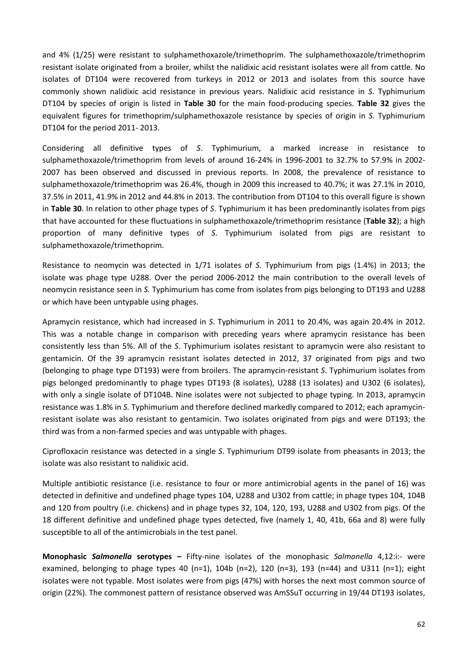and 4% (1/25) were resistant to sulphamethoxazole/trimethoprim. The sulphamethoxazole/trimethoprim resistant isolate originated from a broiler, whilst the nalidixic acid resistant isolates were all from cattle. No isolates of DT104 were recovered from turkeys in 2012 or 2013 and isolates from this source have commonly shown nalidixic acid resistance in previous years. Nalidixic acid resistance in *S.* Typhimurium DT104 by species of origin is listed in **Table 30** for the main food‐producing species. **Table 32** gives the equivalent figures for trimethoprim/sulphamethoxazole resistance by species of origin in *S.* Typhimurium DT104 for the period 2011‐ 2013.

Considering all definitive types of *S*. Typhimurium, a marked increase in resistance to sulphamethoxazole/trimethoprim from levels of around 16‐24% in 1996‐2001 to 32.7% to 57.9% in 2002‐ 2007 has been observed and discussed in previous reports. In 2008, the prevalence of resistance to sulphamethoxazole/trimethoprim was 26.4%, though in 2009 this increased to 40.7%; it was 27.1% in 2010, 37.5% in 2011, 41.9% in 2012 and 44.8% in 2013. The contribution from DT104 to this overall figure is shown in **Table 30**. In relation to other phage types of *S*. Typhimurium it has been predominantly isolates from pigs that have accounted for these fluctuations in sulphamethoxazole/trimethoprim resistance (**Table 32**); a high proportion of many definitive types of *S*. Typhimurium isolated from pigs are resistant to sulphamethoxazole/trimethoprim.

Resistance to neomycin was detected in 1/71 isolates of *S*. Typhimurium from pigs (1.4%) in 2013; the isolate was phage type U288. Over the period 2006‐2012 the main contribution to the overall levels of neomycin resistance seen in *S.* Typhimurium has come from isolates from pigs belonging to DT193 and U288 or which have been untypable using phages.

Apramycin resistance, which had increased in *S*. Typhimurium in 2011 to 20.4%, was again 20.4% in 2012. This was a notable change in comparison with preceding years where apramycin resistance has been consistently less than 5%. All of the *S*. Typhimurium isolates resistant to apramycin were also resistant to gentamicin. Of the 39 apramycin resistant isolates detected in 2012, 37 originated from pigs and two (belonging to phage type DT193) were from broilers. The apramycin‐resistant *S*. Typhimurium isolates from pigs belonged predominantly to phage types DT193 (8 isolates), U288 (13 isolates) and U302 (6 isolates), with only a single isolate of DT104B. Nine isolates were not subjected to phage typing. In 2013, apramycin resistance was 1.8% in *S.* Typhimurium and therefore declined markedly compared to 2012; each apramycin‐ resistant isolate was also resistant to gentamicin. Two isolates originated from pigs and were DT193; the third was from a non‐farmed species and was untypable with phages.

Ciprofloxacin resistance was detected in a single *S*. Typhimurium DT99 isolate from pheasants in 2013; the isolate was also resistant to nalidixic acid.

Multiple antibiotic resistance (i.e. resistance to four or more antimicrobial agents in the panel of 16) was detected in definitive and undefined phage types 104, U288 and U302 from cattle; in phage types 104, 104B and 120 from poultry (i.e. chickens) and in phage types 32, 104, 120, 193, U288 and U302 from pigs. Of the 18 different definitive and undefined phage types detected, five (namely 1, 40, 41b, 66a and 8) were fully susceptible to all of the antimicrobials in the test panel.

**Monophasic** *Salmonella* **serotypes –** Fifty‐nine isolates of the monophasic *Salmonella* 4,12:i:‐ were examined, belonging to phage types 40 (n=1), 104b (n=2), 120 (n=3), 193 (n=44) and U311 (n=1); eight isolates were not typable. Most isolates were from pigs (47%) with horses the next most common source of origin (22%). The commonest pattern of resistance observed was AmSSuT occurring in 19/44 DT193 isolates,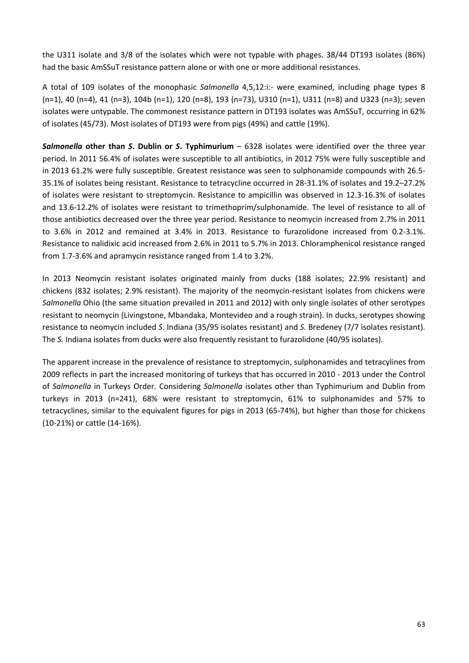the U311 isolate and 3/8 of the isolates which were not typable with phages. 38/44 DT193 isolates (86%) had the basic AmSSuT resistance pattern alone or with one or more additional resistances.

A total of 109 isolates of the monophasic *Salmonella* 4,5,12:i:‐ were examined, including phage types 8 (n=1), 40 (n=4), 41 (n=3), 104b (n=1), 120 (n=8), 193 (n=73), U310 (n=1), U311 (n=8) and U323 (n=3); seven isolates were untypable. The commonest resistance pattern in DT193 isolates was AmSSuT, occurring in 62% of isolates (45/73). Most isolates of DT193 were from pigs (49%) and cattle (19%).

*Salmonella* **other than** *S***. Dublin or** *S***. Typhimurium** – 6328 isolates were identified over the three year period. In 2011 56.4% of isolates were susceptible to all antibiotics, in 2012 75% were fully susceptible and in 2013 61.2% were fully susceptible. Greatest resistance was seen to sulphonamide compounds with 26.5‐ 35.1% of isolates being resistant. Resistance to tetracycline occurred in 28‐31.1% of isolates and 19.2–27.2% of isolates were resistant to streptomycin. Resistance to ampicillin was observed in 12.3‐16.3% of isolates and 13.6‐12.2% of isolates were resistant to trimethoprim/sulphonamide. The level of resistance to all of those antibiotics decreased over the three year period. Resistance to neomycin increased from 2.7% in 2011 to 3.6% in 2012 and remained at 3.4% in 2013. Resistance to furazolidone increased from 0.2‐3.1%. Resistance to nalidixic acid increased from 2.6% in 2011 to 5.7% in 2013. Chloramphenicol resistance ranged from 1.7‐3.6% and apramycin resistance ranged from 1.4 to 3.2%.

In 2013 Neomycin resistant isolates originated mainly from ducks (188 isolates; 22.9% resistant) and chickens (832 isolates; 2.9% resistant). The majority of the neomycin‐resistant isolates from chickens were *Salmonella* Ohio (the same situation prevailed in 2011 and 2012) with only single isolates of other serotypes resistant to neomycin (Livingstone, Mbandaka, Montevideo and a rough strain). In ducks, serotypes showing resistance to neomycin included *S*. Indiana (35/95 isolates resistant) and *S.* Bredeney (7/7 isolates resistant). The *S.* Indiana isolates from ducks were also frequently resistant to furazolidone (40/95 isolates).

The apparent increase in the prevalence of resistance to streptomycin, sulphonamides and tetracylines from 2009 reflects in part the increased monitoring of turkeys that has occurred in 2010 ‐ 2013 under the Control of *Salmonella* in Turkeys Order. Considering *Salmonella* isolates other than Typhimurium and Dublin from turkeys in 2013 (n=241), 68% were resistant to streptomycin, 61% to sulphonamides and 57% to tetracyclines, similar to the equivalent figures for pigs in 2013 (65‐74%), but higher than those for chickens (10‐21%) or cattle (14‐16%).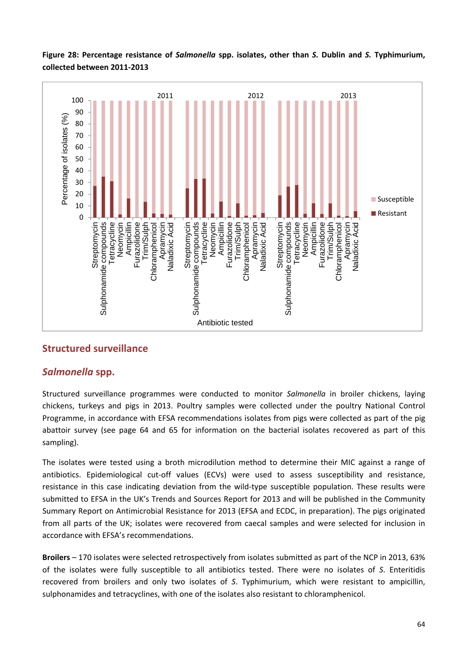

**Figure 28: Percentage resistance of** *Salmonella* **spp. isolates, other than** *S.* **Dublin and** *S.* **Typhimurium, collected between 2011‐2013** 

## **Structured surveillance**

## *Salmonella* **spp.**

Structured surveillance programmes were conducted to monitor *Salmonella* in broiler chickens, laying chickens, turkeys and pigs in 2013. Poultry samples were collected under the poultry National Control Programme, in accordance with EFSA recommendations isolates from pigs were collected as part of the pig abattoir survey (see page 64 and 65 for information on the bacterial isolates recovered as part of this sampling).

The isolates were tested using a broth microdilution method to determine their MIC against a range of antibiotics. Epidemiological cut-off values (ECVs) were used to assess susceptibility and resistance, resistance in this case indicating deviation from the wild-type susceptible population. These results were submitted to EFSA in the UK's Trends and Sources Report for 2013 and will be published in the Community Summary Report on Antimicrobial Resistance for 2013 (EFSA and ECDC, in preparation). The pigs originated from all parts of the UK; isolates were recovered from caecal samples and were selected for inclusion in accordance with EFSA's recommendations.

**Broilers** – 170 isolates were selected retrospectively from isolates submitted as part of the NCP in 2013, 63% of the isolates were fully susceptible to all antibiotics tested. There were no isolates of *S*. Enteritidis recovered from broilers and only two isolates of *S*. Typhimurium, which were resistant to ampicillin, sulphonamides and tetracyclines, with one of the isolates also resistant to chloramphenicol.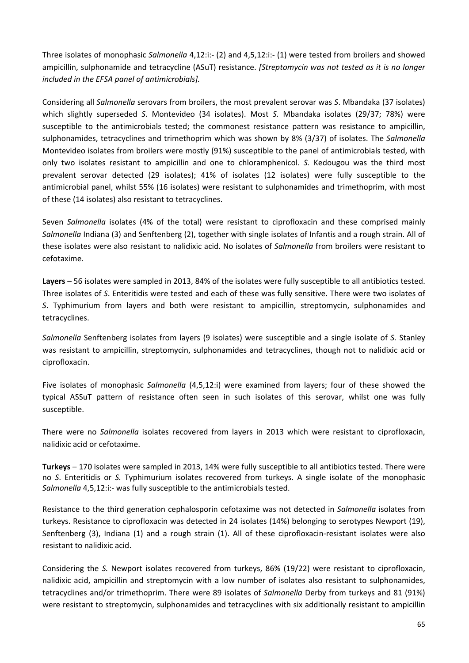Three isolates of monophasic *Salmonella* 4,12:i:‐ (2) and 4,5,12:i:‐ (1) were tested from broilers and showed ampicillin, sulphonamide and tetracycline (ASuT) resistance. *[Streptomycin was not tested as it is no longer included in the EFSA panel of antimicrobials].*

Considering all *Salmonella* serovars from broilers, the most prevalent serovar was *S*. Mbandaka (37 isolates) which slightly superseded *S*. Montevideo (34 isolates). Most *S.* Mbandaka isolates (29/37; 78%) were susceptible to the antimicrobials tested; the commonest resistance pattern was resistance to ampicillin, sulphonamides, tetracyclines and trimethoprim which was shown by 8% (3/37) of isolates. The *Salmonella* Montevideo isolates from broilers were mostly (91%) susceptible to the panel of antimicrobials tested, with only two isolates resistant to ampicillin and one to chloramphenicol. *S.* Kedougou was the third most prevalent serovar detected (29 isolates); 41% of isolates (12 isolates) were fully susceptible to the antimicrobial panel, whilst 55% (16 isolates) were resistant to sulphonamides and trimethoprim, with most of these (14 isolates) also resistant to tetracyclines.

Seven *Salmonella* isolates (4% of the total) were resistant to ciprofloxacin and these comprised mainly *Salmonella* Indiana (3) and Senftenberg (2), together with single isolates of Infantis and a rough strain. All of these isolates were also resistant to nalidixic acid. No isolates of *Salmonella* from broilers were resistant to cefotaxime.

**Layers** – 56 isolates were sampled in 2013, 84% of the isolates were fully susceptible to all antibiotics tested. Three isolates of *S*. Enteritidis were tested and each of these was fully sensitive. There were two isolates of *S*. Typhimurium from layers and both were resistant to ampicillin, streptomycin, sulphonamides and tetracyclines.

*Salmonella* Senftenberg isolates from layers (9 isolates) were susceptible and a single isolate of *S.* Stanley was resistant to ampicillin, streptomycin, sulphonamides and tetracyclines, though not to nalidixic acid or ciprofloxacin.

Five isolates of monophasic *Salmonella* (4,5,12:i) were examined from layers; four of these showed the typical ASSuT pattern of resistance often seen in such isolates of this serovar, whilst one was fully susceptible.

There were no *Salmonella* isolates recovered from layers in 2013 which were resistant to ciprofloxacin, nalidixic acid or cefotaxime.

**Turkeys** – 170 isolates were sampled in 2013, 14% were fully susceptible to all antibiotics tested. There were no *S*. Enteritidis or *S.* Typhimurium isolates recovered from turkeys. A single isolate of the monophasic *Salmonella* 4,5,12:i:‐ was fully susceptible to the antimicrobials tested.

Resistance to the third generation cephalosporin cefotaxime was not detected in *Salmonella* isolates from turkeys. Resistance to ciprofloxacin was detected in 24 isolates (14%) belonging to serotypes Newport (19), Senftenberg (3), Indiana (1) and a rough strain (1). All of these ciprofloxacin‐resistant isolates were also resistant to nalidixic acid.

Considering the *S.* Newport isolates recovered from turkeys, 86% (19/22) were resistant to ciprofloxacin, nalidixic acid, ampicillin and streptomycin with a low number of isolates also resistant to sulphonamides, tetracyclines and/or trimethoprim. There were 89 isolates of *Salmonella* Derby from turkeys and 81 (91%) were resistant to streptomycin, sulphonamides and tetracyclines with six additionally resistant to ampicillin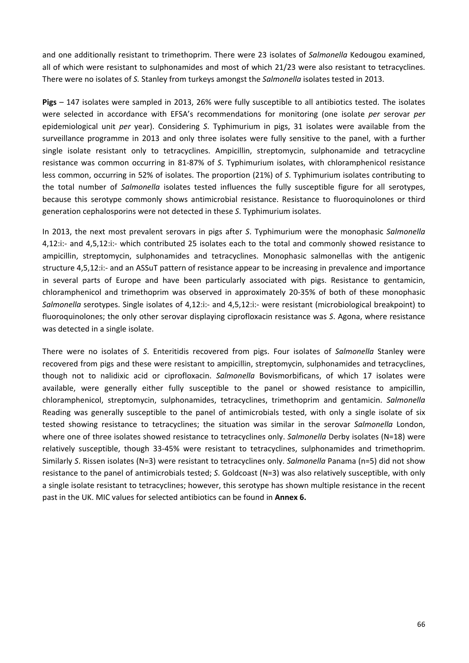and one additionally resistant to trimethoprim. There were 23 isolates of *Salmonella* Kedougou examined, all of which were resistant to sulphonamides and most of which 21/23 were also resistant to tetracyclines. There were no isolates of *S.* Stanley from turkeys amongst the *Salmonella* isolates tested in 2013.

**Pigs** – 147 isolates were sampled in 2013, 26% were fully susceptible to all antibiotics tested. The isolates were selected in accordance with EFSA's recommendations for monitoring (one isolate *per* serovar *per* epidemiological unit *per* year). Considering *S*. Typhimurium in pigs, 31 isolates were available from the surveillance programme in 2013 and only three isolates were fully sensitive to the panel, with a further single isolate resistant only to tetracyclines. Ampicillin, streptomycin, sulphonamide and tetracycline resistance was common occurring in 81‐87% of *S*. Typhimurium isolates, with chloramphenicol resistance less common, occurring in 52% of isolates. The proportion (21%) of *S*. Typhimurium isolates contributing to the total number of *Salmonella* isolates tested influences the fully susceptible figure for all serotypes, because this serotype commonly shows antimicrobial resistance. Resistance to fluoroquinolones or third generation cephalosporins were not detected in these *S*. Typhimurium isolates.

In 2013, the next most prevalent serovars in pigs after *S*. Typhimurium were the monophasic *Salmonella* 4,12:i:‐ and 4,5,12:i:‐ which contributed 25 isolates each to the total and commonly showed resistance to ampicillin, streptomycin, sulphonamides and tetracyclines. Monophasic salmonellas with the antigenic structure 4,5,12:i:‐ and an ASSuT pattern of resistance appear to be increasing in prevalence and importance in several parts of Europe and have been particularly associated with pigs. Resistance to gentamicin, chloramphenicol and trimethoprim was observed in approximately 20‐35% of both of these monophasic *Salmonella* serotypes. Single isolates of 4,12:i:‐ and 4,5,12:i:‐ were resistant (microbiological breakpoint) to fluoroquinolones; the only other serovar displaying ciprofloxacin resistance was *S*. Agona, where resistance was detected in a single isolate.

There were no isolates of *S*. Enteritidis recovered from pigs. Four isolates of *Salmonella* Stanley were recovered from pigs and these were resistant to ampicillin, streptomycin, sulphonamides and tetracyclines, though not to nalidixic acid or ciprofloxacin. *Salmonella* Bovismorbificans, of which 17 isolates were available, were generally either fully susceptible to the panel or showed resistance to ampicillin, chloramphenicol, streptomycin, sulphonamides, tetracyclines, trimethoprim and gentamicin. *Salmonella* Reading was generally susceptible to the panel of antimicrobials tested, with only a single isolate of six tested showing resistance to tetracyclines; the situation was similar in the serovar *Salmonella* London, where one of three isolates showed resistance to tetracyclines only. *Salmonella* Derby isolates (N=18) were relatively susceptible, though 33‐45% were resistant to tetracyclines, sulphonamides and trimethoprim. Similarly *S*. Rissen isolates (N=3) were resistant to tetracyclines only. *Salmonella* Panama (n=5) did not show resistance to the panel of antimicrobials tested; *S*. Goldcoast (N=3) was also relatively susceptible, with only a single isolate resistant to tetracyclines; however, this serotype has shown multiple resistance in the recent past in the UK. MIC values for selected antibiotics can be found in **Annex 6.**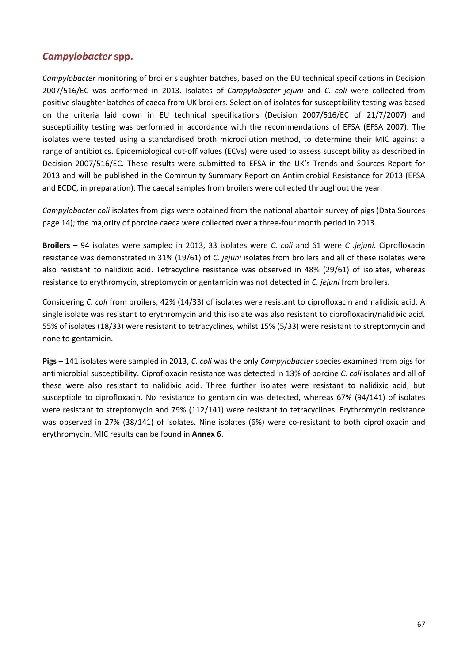## *Campylobacter* **spp.**

*Campylobacter* monitoring of broiler slaughter batches, based on the EU technical specifications in Decision 2007/516/EC was performed in 2013. Isolates of *Campylobacter jejuni* and *C. coli* were collected from positive slaughter batches of caeca from UK broilers. Selection of isolates for susceptibility testing was based on the criteria laid down in EU technical specifications (Decision 2007/516/EC of 21/7/2007) and susceptibility testing was performed in accordance with the recommendations of EFSA (EFSA 2007). The isolates were tested using a standardised broth microdilution method, to determine their MIC against a range of antibiotics. Epidemiological cut-off values (ECVs) were used to assess susceptibility as described in Decision 2007/516/EC. These results were submitted to EFSA in the UK's Trends and Sources Report for 2013 and will be published in the Community Summary Report on Antimicrobial Resistance for 2013 (EFSA and ECDC, in preparation). The caecal samples from broilers were collected throughout the year.

*Campylobacter coli* isolates from pigs were obtained from the national abattoir survey of pigs (Data Sources page 14); the majority of porcine caeca were collected over a three‐four month period in 2013.

**Broilers** – 94 isolates were sampled in 2013, 33 isolates were *C. coli* and 61 were *C .jejuni.* Ciprofloxacin resistance was demonstrated in 31% (19/61) of *C. jejuni* isolates from broilers and all of these isolates were also resistant to nalidixic acid. Tetracycline resistance was observed in 48% (29/61) of isolates, whereas resistance to erythromycin, streptomycin or gentamicin was not detected in *C. jejuni* from broilers.

Considering *C. coli* from broilers, 42% (14/33) of isolates were resistant to ciprofloxacin and nalidixic acid. A single isolate was resistant to erythromycin and this isolate was also resistant to ciprofloxacin/nalidixic acid. 55% of isolates (18/33) were resistant to tetracyclines, whilst 15% (5/33) were resistant to streptomycin and none to gentamicin.

**Pigs** – 141 isolates were sampled in 2013, *C. coli* was the only *Campylobacter* species examined from pigs for antimicrobial susceptibility. Ciprofloxacin resistance was detected in 13% of porcine *C. coli* isolates and all of these were also resistant to nalidixic acid. Three further isolates were resistant to nalidixic acid, but susceptible to ciprofloxacin. No resistance to gentamicin was detected, whereas 67% (94/141) of isolates were resistant to streptomycin and 79% (112/141) were resistant to tetracyclines. Erythromycin resistance was observed in 27% (38/141) of isolates. Nine isolates (6%) were co-resistant to both ciprofloxacin and erythromycin. MIC results can be found in **Annex 6**.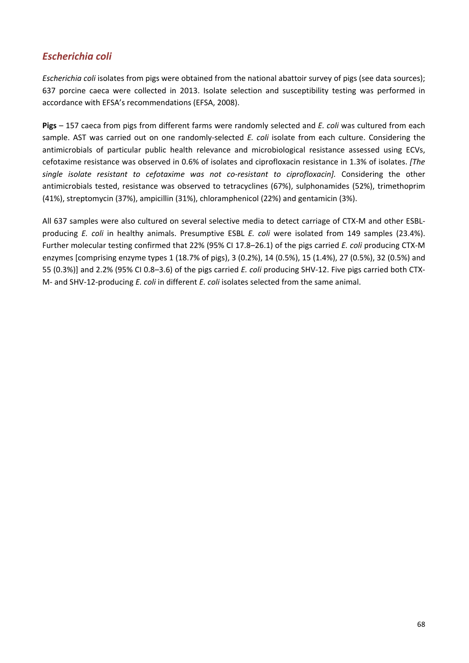## *Escherichia coli*

*Escherichia coli* isolates from pigs were obtained from the national abattoir survey of pigs (see data sources); 637 porcine caeca were collected in 2013. Isolate selection and susceptibility testing was performed in accordance with EFSA's recommendations (EFSA, 2008).

**Pigs** – 157 caeca from pigs from different farms were randomly selected and *E. coli* was cultured from each sample. AST was carried out on one randomly-selected *E. coli* isolate from each culture. Considering the antimicrobials of particular public health relevance and microbiological resistance assessed using ECVs, cefotaxime resistance was observed in 0.6% of isolates and ciprofloxacin resistance in 1.3% of isolates. *[The single isolate resistant to cefotaxime was not co‐resistant to ciprofloxacin].* Considering the other antimicrobials tested, resistance was observed to tetracyclines (67%), sulphonamides (52%), trimethoprim (41%), streptomycin (37%), ampicillin (31%), chloramphenicol (22%) and gentamicin (3%).

All 637 samples were also cultured on several selective media to detect carriage of CTX‐M and other ESBL‐ producing *E. coli* in healthy animals. Presumptive ESBL *E. coli* were isolated from 149 samples (23.4%). Further molecular testing confirmed that 22% (95% CI 17.8–26.1) of the pigs carried *E. coli* producing CTX‐M enzymes [comprising enzyme types 1 (18.7% of pigs), 3 (0.2%), 14 (0.5%), 15 (1.4%), 27 (0.5%), 32 (0.5%) and 55 (0.3%)] and 2.2% (95% CI 0.8–3.6) of the pigs carried *E. coli* producing SHV‐12. Five pigs carried both CTX‐ M‐ and SHV‐12‐producing *E. coli* in different *E. coli* isolates selected from the same animal.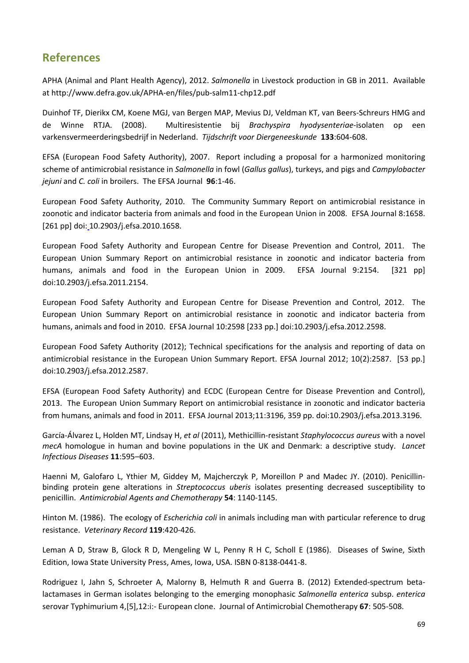# **References**

APHA (Animal and Plant Health Agency), 2012. *Salmonella* in Livestock production in GB in 2011. Available at http://www.defra.gov.uk/APHA‐en/files/pub‐salm11‐chp12.pdf

Duinhof TF, Dierikx CM, Koene MGJ, van Bergen MAP, Mevius DJ, Veldman KT, van Beers‐Schreurs HMG and de Winne RTJA. (2008). Multiresistentie bij *Brachyspira hyodysenteriae*‐isolaten op een varkensvermeerderingsbedrijf in Nederland. *Tijdschrift voor Diergeneeskunde* **133**:604‐608.

EFSA (European Food Safety Authority), 2007. Report including a proposal for a harmonized monitoring scheme of antimicrobial resistance in *Salmonella* in fowl (*Gallus gallus*), turkeys, and pigs and *Campylobacter jejuni* and *C. coli* in broilers. The EFSA Journal **96**:1‐46.

European Food Safety Authority, 2010. The Community Summary Report on antimicrobial resistance in zoonotic and indicator bacteria from animals and food in the European Union in 2008. EFSA Journal 8:1658. [261 pp] doi: 10.2903/j.efsa.2010.1658.

European Food Safety Authority and European Centre for Disease Prevention and Control, 2011. The European Union Summary Report on antimicrobial resistance in zoonotic and indicator bacteria from humans, animals and food in the European Union in 2009. EFSA Journal 9:2154. [321 pp] doi:10.2903/j.efsa.2011.2154.

European Food Safety Authority and European Centre for Disease Prevention and Control, 2012. The European Union Summary Report on antimicrobial resistance in zoonotic and indicator bacteria from humans, animals and food in 2010. EFSA Journal 10:2598 [233 pp.] doi:10.2903/j.efsa.2012.2598.

European Food Safety Authority (2012); Technical specifications for the analysis and reporting of data on antimicrobial resistance in the European Union Summary Report. EFSA Journal 2012; 10(2):2587. [53 pp.] doi:10.2903/j.efsa.2012.2587.

EFSA (European Food Safety Authority) and ECDC (European Centre for Disease Prevention and Control), 2013. The European Union Summary Report on antimicrobial resistance in zoonotic and indicator bacteria from humans, animals and food in 2011. EFSA Journal 2013;11:3196, 359 pp. doi:10.2903/j.efsa.2013.3196.

García‐Álvarez L, Holden MT, Lindsay H, *et al* (2011), Methicillin‐resistant *Staphylococcus aureus* with a novel *mecA* homologue in human and bovine populations in the UK and Denmark: a descriptive study. *Lancet Infectious Diseases* **11**:595–603.

Haenni M, Galofaro L, Ythier M, Giddey M, Majcherczyk P, Moreillon P and Madec JY. (2010). Penicillin‐ binding protein gene alterations in *Streptococcus uberis* isolates presenting decreased susceptibility to penicillin. *Antimicrobial Agents and Chemotherapy* **54**: 1140‐1145.

Hinton M. (1986). The ecology of *Escherichia coli* in animals including man with particular reference to drug resistance. *Veterinary Record* **119**:420‐426.

Leman A D, Straw B, Glock R D, Mengeling W L, Penny R H C, Scholl E (1986). Diseases of Swine, Sixth Edition, Iowa State University Press, Ames, Iowa, USA. ISBN 0‐8138‐0441‐8.

Rodriguez I, Jahn S, Schroeter A, Malorny B, Helmuth R and Guerra B. (2012) Extended‐spectrum beta‐ lactamases in German isolates belonging to the emerging monophasic *Salmonella enterica* subsp. *enterica* serovar Typhimurium 4,[5],12:i:‐ European clone. Journal of Antimicrobial Chemotherapy **67**: 505‐508.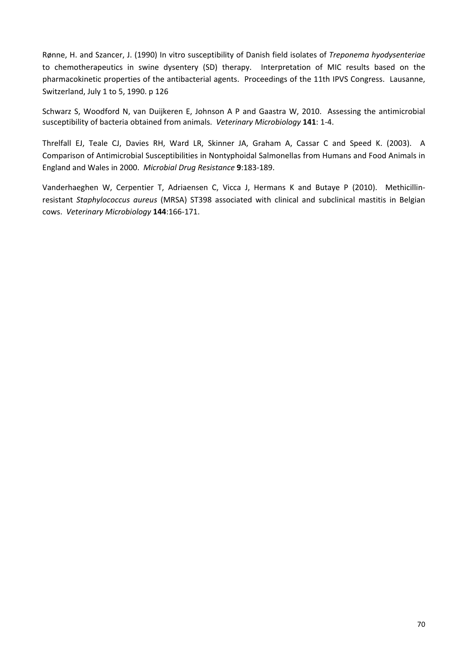Rønne, H. and Szancer, J. (1990) In vitro susceptibility of Danish field isolates of *Treponema hyodysenteriae* to chemotherapeutics in swine dysentery (SD) therapy. Interpretation of MIC results based on the pharmacokinetic properties of the antibacterial agents. Proceedings of the 11th IPVS Congress. Lausanne, Switzerland, July 1 to 5, 1990. p 126

Schwarz S, Woodford N, van Duijkeren E, Johnson A P and Gaastra W, 2010. Assessing the antimicrobial susceptibility of bacteria obtained from animals. *Veterinary Microbiology* **141**: 1‐4.

Threlfall EJ, Teale CJ, Davies RH, Ward LR, Skinner JA, Graham A, Cassar C and Speed K. (2003). A Comparison of Antimicrobial Susceptibilities in Nontyphoidal Salmonellas from Humans and Food Animals in England and Wales in 2000. *Microbial Drug Resistance* **9**:183‐189.

Vanderhaeghen W, Cerpentier T, Adriaensen C, Vicca J, Hermans K and Butaye P (2010). Methicillin‐ resistant *Staphylococcus aureus* (MRSA) ST398 associated with clinical and subclinical mastitis in Belgian cows. *Veterinary Microbiology* **144**:166‐171.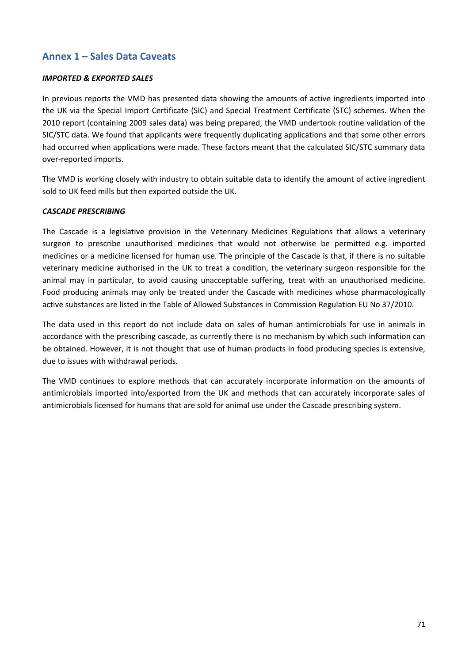## **Annex 1 – Sales Data Caveats**

### *IMPORTED & EXPORTED SALES*

In previous reports the VMD has presented data showing the amounts of active ingredients imported into the UK via the Special Import Certificate (SIC) and Special Treatment Certificate (STC) schemes. When the 2010 report (containing 2009 sales data) was being prepared, the VMD undertook routine validation of the SIC/STC data. We found that applicants were frequently duplicating applications and that some other errors had occurred when applications were made. These factors meant that the calculated SIC/STC summary data over‐reported imports.

The VMD is working closely with industry to obtain suitable data to identify the amount of active ingredient sold to UK feed mills but then exported outside the UK.

#### *CASCADE PRESCRIBING*

The Cascade is a legislative provision in the Veterinary Medicines Regulations that allows a veterinary surgeon to prescribe unauthorised medicines that would not otherwise be permitted e.g. imported medicines or a medicine licensed for human use. The principle of the Cascade is that, if there is no suitable veterinary medicine authorised in the UK to treat a condition, the veterinary surgeon responsible for the animal may in particular, to avoid causing unacceptable suffering, treat with an unauthorised medicine. Food producing animals may only be treated under the Cascade with medicines whose pharmacologically active substances are listed in the Table of Allowed Substances in Commission Regulation EU No 37/2010.

The data used in this report do not include data on sales of human antimicrobials for use in animals in accordance with the prescribing cascade, as currently there is no mechanism by which such information can be obtained. However, it is not thought that use of human products in food producing species is extensive, due to issues with withdrawal periods.

The VMD continues to explore methods that can accurately incorporate information on the amounts of antimicrobials imported into/exported from the UK and methods that can accurately incorporate sales of antimicrobials licensed for humans that are sold for animal use under the Cascade prescribing system.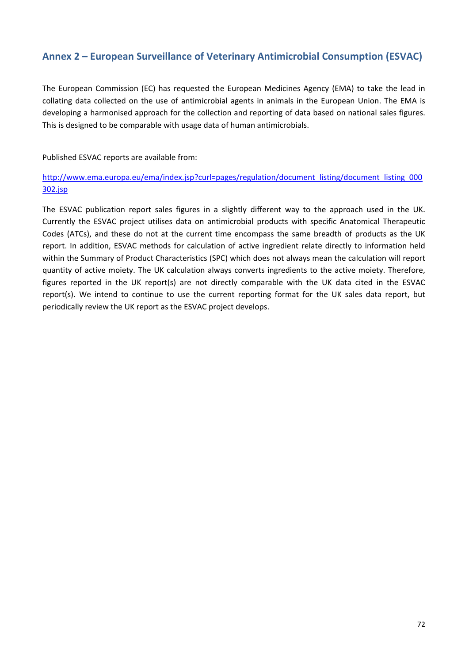## **Annex 2 – European Surveillance of Veterinary Antimicrobial Consumption (ESVAC)**

The European Commission (EC) has requested the European Medicines Agency (EMA) to take the lead in collating data collected on the use of antimicrobial agents in animals in the European Union. The EMA is developing a harmonised approach for the collection and reporting of data based on national sales figures. This is designed to be comparable with usage data of human antimicrobials.

Published ESVAC reports are available from:

http://www.ema.europa.eu/ema/index.jsp?curl=pages/regulation/document\_listing/document\_listing\_000 302.jsp

The ESVAC publication report sales figures in a slightly different way to the approach used in the UK. Currently the ESVAC project utilises data on antimicrobial products with specific Anatomical Therapeutic Codes (ATCs), and these do not at the current time encompass the same breadth of products as the UK report. In addition, ESVAC methods for calculation of active ingredient relate directly to information held within the Summary of Product Characteristics (SPC) which does not always mean the calculation will report quantity of active moiety. The UK calculation always converts ingredients to the active moiety. Therefore, figures reported in the UK report(s) are not directly comparable with the UK data cited in the ESVAC report(s). We intend to continue to use the current reporting format for the UK sales data report, but periodically review the UK report as the ESVAC project develops.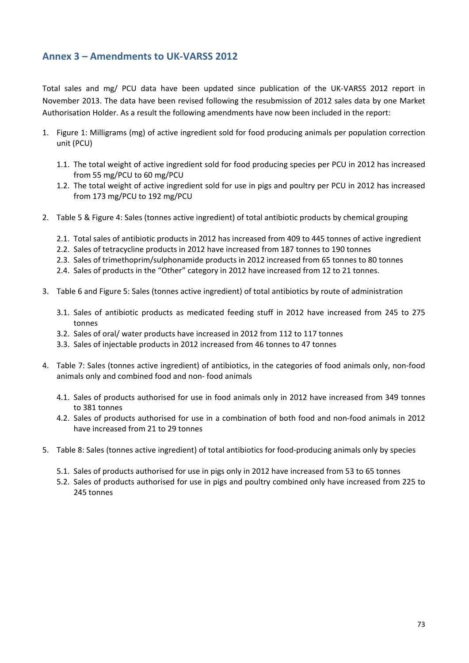# **Annex 3 – Amendments to UK‐VARSS 2012**

Total sales and mg/ PCU data have been updated since publication of the UK‐VARSS 2012 report in November 2013. The data have been revised following the resubmission of 2012 sales data by one Market Authorisation Holder. As a result the following amendments have now been included in the report:

- 1. Figure 1: Milligrams (mg) of active ingredient sold for food producing animals per population correction unit (PCU)
	- 1.1. The total weight of active ingredient sold for food producing species per PCU in 2012 has increased from 55 mg/PCU to 60 mg/PCU
	- 1.2. The total weight of active ingredient sold for use in pigs and poultry per PCU in 2012 has increased from 173 mg/PCU to 192 mg/PCU
- 2. Table 5 & Figure 4: Sales (tonnes active ingredient) of total antibiotic products by chemical grouping
	- 2.1. Total sales of antibiotic products in 2012 has increased from 409 to 445 tonnes of active ingredient
	- 2.2. Sales of tetracycline products in 2012 have increased from 187 tonnes to 190 tonnes
	- 2.3. Sales of trimethoprim/sulphonamide products in 2012 increased from 65 tonnes to 80 tonnes
	- 2.4. Sales of products in the "Other" category in 2012 have increased from 12 to 21 tonnes.
- 3. Table 6 and Figure 5: Sales (tonnes active ingredient) of total antibiotics by route of administration
	- 3.1. Sales of antibiotic products as medicated feeding stuff in 2012 have increased from 245 to 275 tonnes
	- 3.2. Sales of oral/ water products have increased in 2012 from 112 to 117 tonnes
	- 3.3. Sales of injectable products in 2012 increased from 46 tonnes to 47 tonnes
- 4. Table 7: Sales (tonnes active ingredient) of antibiotics, in the categories of food animals only, non‐food animals only and combined food and non‐ food animals
	- 4.1. Sales of products authorised for use in food animals only in 2012 have increased from 349 tonnes to 381 tonnes
	- 4.2. Sales of products authorised for use in a combination of both food and non‐food animals in 2012 have increased from 21 to 29 tonnes
- 5. Table 8: Sales (tonnes active ingredient) of total antibiotics for food-producing animals only by species
	- 5.1. Sales of products authorised for use in pigs only in 2012 have increased from 53 to 65 tonnes
	- 5.2. Sales of products authorised for use in pigs and poultry combined only have increased from 225 to 245 tonnes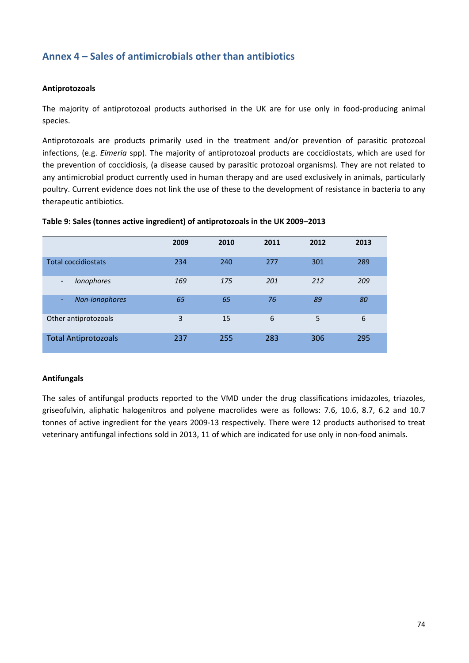# **Annex 4 – Sales of antimicrobials other than antibiotics**

#### **Antiprotozoals**

The majority of antiprotozoal products authorised in the UK are for use only in food-producing animal species.

Antiprotozoals are products primarily used in the treatment and/or prevention of parasitic protozoal infections, (e.g. *Eimeria* spp). The majority of antiprotozoal products are coccidiostats, which are used for the prevention of coccidiosis, (a disease caused by parasitic protozoal organisms). They are not related to any antimicrobial product currently used in human therapy and are used exclusively in animals, particularly poultry. Current evidence does not link the use of these to the development of resistance in bacteria to any therapeutic antibiotics.

|                             | 2009 | 2010 | 2011 | 2012 | 2013 |
|-----------------------------|------|------|------|------|------|
| <b>Total coccidiostats</b>  | 234  | 240  | 277  | 301  | 289  |
| <b>Ionophores</b><br>۰      | 169  | 175  | 201  | 212  | 209  |
| Non-ionophores<br>٠         | 65   | 65   | 76   | 89   | 80   |
| Other antiprotozoals        | 3    | 15   | 6    | 5    | 6    |
| <b>Total Antiprotozoals</b> | 237  | 255  | 283  | 306  | 295  |

#### **Table 9: Sales (tonnes active ingredient) of antiprotozoals in the UK 2009–2013**

#### **Antifungals**

The sales of antifungal products reported to the VMD under the drug classifications imidazoles, triazoles, griseofulvin, aliphatic halogenitros and polyene macrolides were as follows: 7.6, 10.6, 8.7, 6.2 and 10.7 tonnes of active ingredient for the years 2009‐13 respectively. There were 12 products authorised to treat veterinary antifungal infections sold in 2013, 11 of which are indicated for use only in non-food animals.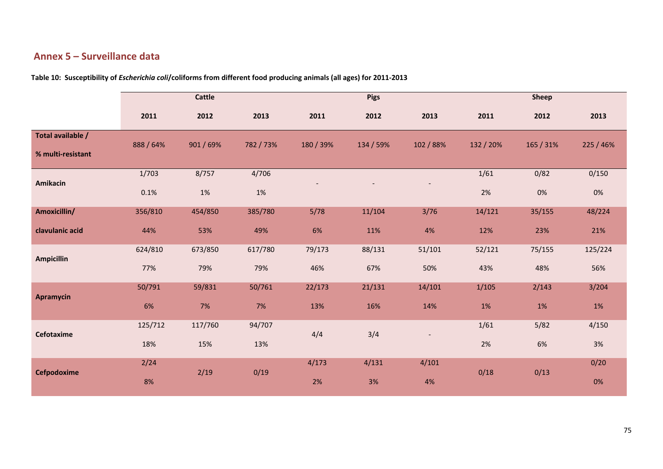## **Annex 5 – Surveillance data**

|                   | <b>Cattle</b> |           |           |           | <b>Pigs</b> |           |           | <b>Sheep</b> |           |
|-------------------|---------------|-----------|-----------|-----------|-------------|-----------|-----------|--------------|-----------|
|                   | 2011          | 2012      | 2013      | 2011      | 2012        | 2013      | 2011      | 2012         | 2013      |
| Total available / | 888 / 64%     | 901 / 69% | 782 / 73% | 180 / 39% | 134 / 59%   | 102 / 88% | 132 / 20% | 165 / 31%    | 225 / 46% |
| % multi-resistant |               |           |           |           |             |           |           |              |           |
| Amikacin          | 1/703         | 8/757     | 4/706     |           |             |           | 1/61      | 0/82         | 0/150     |
|                   | 0.1%          | $1\%$     | $1\%$     |           |             |           | 2%        | 0%           | $0\%$     |
| Amoxicillin/      | 356/810       | 454/850   | 385/780   | 5/78      | 11/104      | 3/76      | 14/121    | 35/155       | 48/224    |
| clavulanic acid   | 44%           | 53%       | 49%       | 6%        | 11%         | 4%        | 12%       | 23%          | 21%       |
| <b>Ampicillin</b> | 624/810       | 673/850   | 617/780   | 79/173    | 88/131      | 51/101    | 52/121    | 75/155       | 125/224   |
|                   | 77%           | 79%       | 79%       | 46%       | 67%         | 50%       | 43%       | 48%          | 56%       |
| <b>Apramycin</b>  | 50/791        | 59/831    | 50/761    | 22/173    | 21/131      | 14/101    | 1/105     | 2/143        | 3/204     |
|                   | 6%            | 7%        | 7%        | 13%       | 16%         | 14%       | 1%        | 1%           | $1\%$     |
| Cefotaxime        | 125/712       | 117/760   | 94/707    | 4/4       | 3/4         |           | 1/61      | 5/82         | 4/150     |
|                   | 18%           | 15%       | 13%       |           |             |           | 2%        | 6%           | $3%$      |
| Cefpodoxime       | 2/24          | 2/19      | 0/19      | 4/173     | 4/131       | 4/101     | 0/18      | 0/13         | 0/20      |
|                   | 8%            |           |           | 2%        | 3%          | 4%        |           |              | 0%        |

**Table 10: Susceptibility of** *Escherichia coli***/coliforms from different food producing animals (all ages) for 2011‐2013**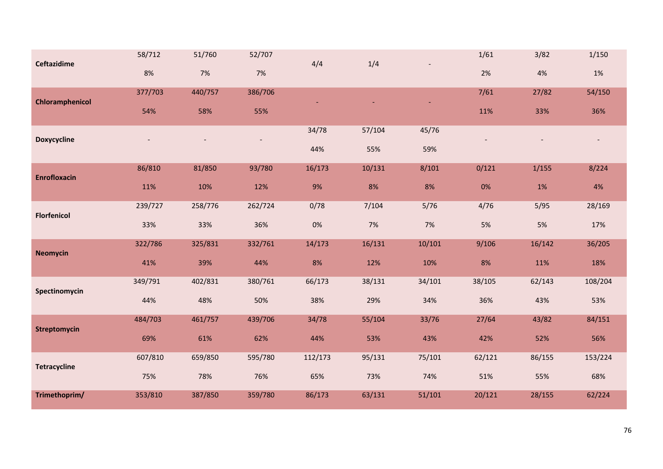| <b>Ceftazidime</b>  | 58/712  | 51/760  | 52/707  | 4/4     | 1/4    |        | 1/61   | 3/82   | 1/150   |
|---------------------|---------|---------|---------|---------|--------|--------|--------|--------|---------|
|                     | 8%      | $7%$    | $7%$    |         |        |        | 2%     | $4%$   | $1\%$   |
| Chloramphenicol     | 377/703 | 440/757 | 386/706 |         |        |        | 7/61   | 27/82  | 54/150  |
|                     | 54%     | 58%     | 55%     |         |        |        | 11%    | 33%    | 36%     |
| <b>Doxycycline</b>  |         |         |         | 34/78   | 57/104 | 45/76  |        |        |         |
|                     |         |         |         | 44%     | 55%    | 59%    |        |        |         |
| <b>Enrofloxacin</b> | 86/810  | 81/850  | 93/780  | 16/173  | 10/131 | 8/101  | 0/121  | 1/155  | 8/224   |
|                     | 11%     | 10%     | 12%     | 9%      | 8%     | 8%     | $0\%$  | 1%     | 4%      |
| <b>Florfenicol</b>  | 239/727 | 258/776 | 262/724 | 0/78    | 7/104  | 5/76   | 4/76   | 5/95   | 28/169  |
|                     | 33%     | 33%     | 36%     | $0\%$   | 7%     | 7%     | 5%     | 5%     | 17%     |
| <b>Neomycin</b>     | 322/786 | 325/831 | 332/761 | 14/173  | 16/131 | 10/101 | 9/106  | 16/142 | 36/205  |
|                     | 41%     | 39%     | 44%     | 8%      | 12%    | 10%    | 8%     | 11%    | 18%     |
| Spectinomycin       | 349/791 | 402/831 | 380/761 | 66/173  | 38/131 | 34/101 | 38/105 | 62/143 | 108/204 |
|                     | 44%     | 48%     | 50%     | 38%     | 29%    | 34%    | 36%    | 43%    | 53%     |
| <b>Streptomycin</b> | 484/703 | 461/757 | 439/706 | 34/78   | 55/104 | 33/76  | 27/64  | 43/82  | 84/151  |
|                     | 69%     | 61%     | 62%     | 44%     | 53%    | 43%    | 42%    | 52%    | 56%     |
| <b>Tetracycline</b> | 607/810 | 659/850 | 595/780 | 112/173 | 95/131 | 75/101 | 62/121 | 86/155 | 153/224 |
|                     | 75%     | 78%     | 76%     | 65%     | 73%    | 74%    | 51%    | 55%    | 68%     |
| Trimethoprim/       | 353/810 | 387/850 | 359/780 | 86/173  | 63/131 | 51/101 | 20/121 | 28/155 | 62/224  |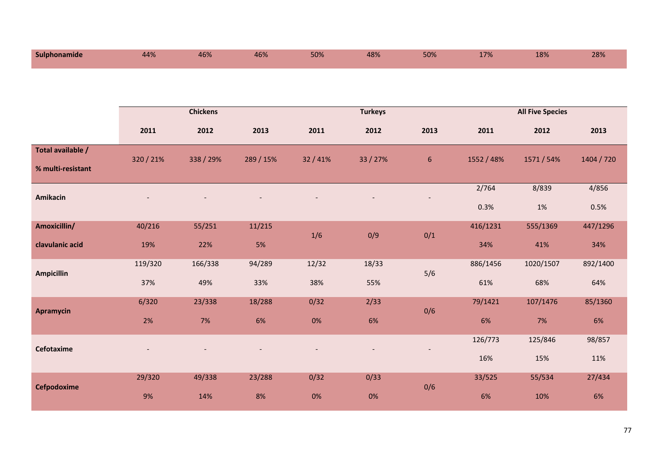| Sulphonamide      | 44%       | 46%             | 46%       | 50%    | 48%            | 50%  | 17%        | 18%                     | 28%        |
|-------------------|-----------|-----------------|-----------|--------|----------------|------|------------|-------------------------|------------|
|                   |           |                 |           |        |                |      |            |                         |            |
|                   |           | <b>Chickens</b> |           |        | <b>Turkeys</b> |      |            | <b>All Five Species</b> |            |
|                   | 2011      | 2012            | 2013      | 2011   | 2012           | 2013 | 2011       | 2012                    | 2013       |
| Total available / | 320 / 21% | 338 / 29%       | 289 / 15% | 32/41% | 33 / 27%       | 6    | 1552 / 48% | 1571 / 54%              | 1404 / 720 |
| % multi-resistant |           |                 |           |        |                |      |            |                         |            |
| Amikacin          |           |                 |           |        |                |      | 2/764      | 8/839                   | 4/856      |
|                   |           |                 |           |        |                |      | 0.3%       | 1%                      | 0.5%       |
| Amoxicillin/      | 40/216    | 55/251          | 11/215    | 1/6    | 0/9            | 0/1  | 416/1231   | 555/1369                | 447/1296   |
| clavulanic acid   | 19%       | 22%             | 5%        |        |                |      | 34%        | 41%                     | 34%        |
| <b>Ampicillin</b> | 119/320   | 166/338         | 94/289    | 12/32  | 18/33          | 5/6  | 886/1456   | 1020/1507               | 892/1400   |
|                   | 37%       | 49%             | 33%       | 38%    | 55%            |      | 61%        | 68%                     | 64%        |
| <b>Apramycin</b>  | 6/320     | 23/338          | 18/288    | 0/32   | 2/33           | 0/6  | 79/1421    | 107/1476                | 85/1360    |
|                   | 2%        | 7%              | 6%        | $0\%$  | 6%             |      | 6%         | 7%                      | 6%         |
| Cefotaxime        |           |                 |           |        |                |      | 126/773    | 125/846                 | 98/857     |
|                   |           |                 |           |        |                |      | 16%        | 15%                     | 11%        |
| Cefpodoxime       | 29/320    | 49/338          | 23/288    | 0/32   | 0/33           | 0/6  | 33/525     | 55/534                  | 27/434     |
|                   | 9%        | 14%             | 8%        | 0%     | 0%             |      | 6%         | 10%                     | 6%         |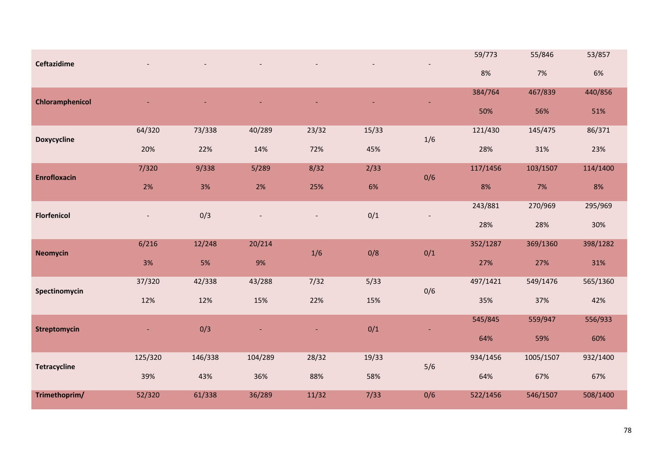| <b>Ceftazidime</b>  |         |         |         |       |       |       | 59/773   | 55/846    | 53/857   |
|---------------------|---------|---------|---------|-------|-------|-------|----------|-----------|----------|
|                     |         |         |         |       |       |       | 8%       | 7%        | 6%       |
| Chloramphenicol     |         |         |         |       |       |       | 384/764  | 467/839   | 440/856  |
|                     |         |         |         |       |       |       | 50%      | 56%       | 51%      |
| <b>Doxycycline</b>  | 64/320  | 73/338  | 40/289  | 23/32 | 15/33 | $1/6$ | 121/430  | 145/475   | 86/371   |
|                     | 20%     | 22%     | 14%     | 72%   | 45%   |       | 28%      | 31%       | 23%      |
| <b>Enrofloxacin</b> | 7/320   | 9/338   | 5/289   | 8/32  | 2/33  | 0/6   | 117/1456 | 103/1507  | 114/1400 |
|                     | $2\%$   | $3%$    | 2%      | 25%   | 6%    |       | 8%       | 7%        | 8%       |
| <b>Florfenicol</b>  |         | 0/3     |         |       | 0/1   |       | 243/881  | 270/969   | 295/969  |
|                     |         |         |         |       |       |       | 28%      | 28%       | 30%      |
| <b>Neomycin</b>     | 6/216   | 12/248  | 20/214  | 1/6   | 0/8   | 0/1   | 352/1287 | 369/1360  | 398/1282 |
|                     | 3%      | 5%      | 9%      |       |       |       | 27%      | 27%       | 31%      |
| Spectinomycin       | 37/320  | 42/338  | 43/288  | 7/32  | 5/33  | 0/6   | 497/1421 | 549/1476  | 565/1360 |
|                     | 12%     | 12%     | 15%     | 22%   | 15%   |       | 35%      | 37%       | 42%      |
| <b>Streptomycin</b> |         | 0/3     |         |       | 0/1   |       | 545/845  | 559/947   | 556/933  |
|                     |         |         |         |       |       |       | 64%      | 59%       | 60%      |
| <b>Tetracycline</b> | 125/320 | 146/338 | 104/289 | 28/32 | 19/33 | 5/6   | 934/1456 | 1005/1507 | 932/1400 |
|                     | 39%     | 43%     | 36%     | 88%   | 58%   |       | 64%      | 67%       | 67%      |
| Trimethoprim/       | 52/320  | 61/338  | 36/289  | 11/32 | 7/33  | 0/6   | 522/1456 | 546/1507  | 508/1400 |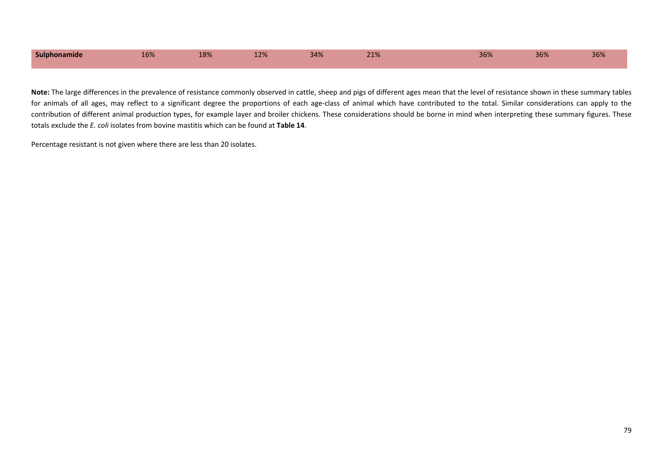| Sulphonamide | 16% | 100<br>TO 70 | 120/<br>14/0 | 2.801<br>34% | 240<br>$-10$ | 36% | 200<br>30% | 36% |
|--------------|-----|--------------|--------------|--------------|--------------|-----|------------|-----|
|              |     |              |              |              |              |     |            |     |

**Note:** The large differences in the prevalence of resistance commonly observed in cattle, sheep and pigs of different ages mean that the level of resistance shown in these summary tables for animals of all ages, may reflect to a significant degree the proportions of each age-class of animal which have contributed to the total. Similar considerations can apply to the contribution of different animal production types, for example layer and broiler chickens. These considerations should be borne in mind when interpreting these summary figures. These totals exclude the *E. coli* isolates from bovine mastitis which can be found at **Table 14**.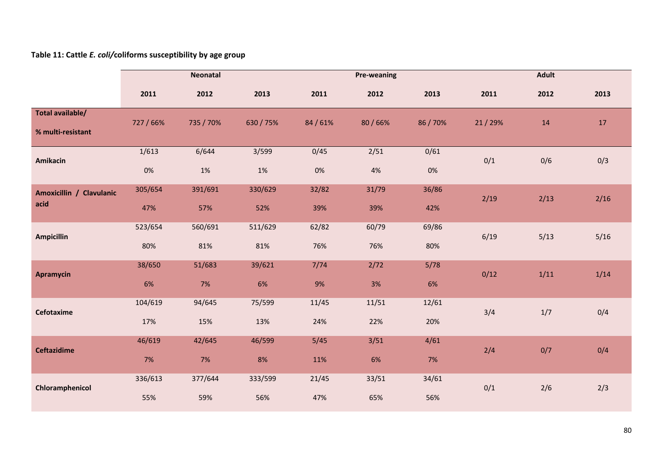#### **Table 11: Cattle** *E. coli/***coliforms susceptibility by age group**

|                                       | <b>Neonatal</b> |                |                |               | <b>Pre-weaning</b> |               | <b>Adult</b> |      |        |
|---------------------------------------|-----------------|----------------|----------------|---------------|--------------------|---------------|--------------|------|--------|
|                                       | 2011            | 2012           | 2013           | 2011          | 2012               | 2013          | 2011         | 2012 | 2013   |
| Total available/<br>% multi-resistant | 727 / 66%       | 735 / 70%      | 630 / 75%      | 84/61%        | 80/66%             | 86 / 70%      | 21/29%       | 14   | 17     |
| Amikacin                              | 1/613<br>$0\%$  | 6/644<br>$1\%$ | 3/599<br>$1\%$ | 0/45<br>$0\%$ | 2/51<br>4%         | 0/61<br>$0\%$ | 0/1          | 0/6  | 0/3    |
| Amoxicillin / Clavulanic<br>acid      | 305/654<br>47%  | 391/691<br>57% | 330/629<br>52% | 32/82<br>39%  | 31/79<br>39%       | 36/86<br>42%  | 2/19         | 2/13 | 2/16   |
| <b>Ampicillin</b>                     | 523/654<br>80%  | 560/691<br>81% | 511/629<br>81% | 62/82<br>76%  | 60/79<br>76%       | 69/86<br>80%  | 6/19         | 5/13 | $5/16$ |
| <b>Apramycin</b>                      | 38/650<br>6%    | 51/683<br>7%   | 39/621<br>6%   | 7/74<br>9%    | 2/72<br>3%         | 5/78<br>6%    | 0/12         | 1/11 | 1/14   |
| <b>Cefotaxime</b>                     | 104/619<br>17%  | 94/645<br>15%  | 75/599<br>13%  | 11/45<br>24%  | 11/51<br>22%       | 12/61<br>20%  | 3/4          | 1/7  | 0/4    |
| <b>Ceftazidime</b>                    | 46/619<br>7%    | 42/645<br>7%   | 46/599<br>8%   | 5/45<br>11%   | 3/51<br>6%         | 4/61<br>7%    | 2/4          | 0/7  | 0/4    |
| Chloramphenicol                       | 336/613<br>55%  | 377/644<br>59% | 333/599<br>56% | 21/45<br>47%  | 33/51<br>65%       | 34/61<br>56%  | 0/1          | 2/6  | 2/3    |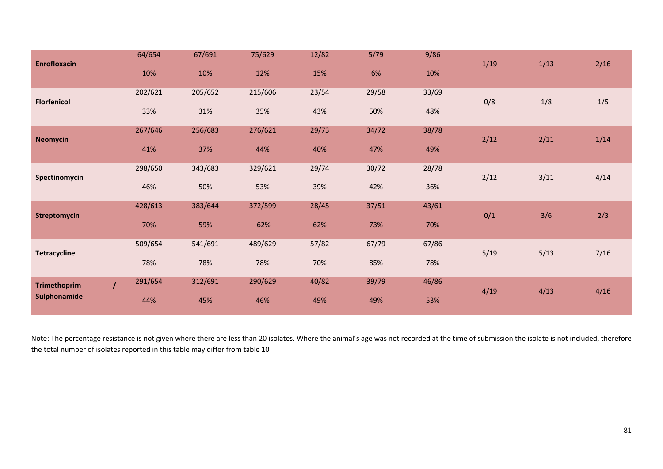| <b>Enrofloxacin</b> |                | 64/654  | 67/691  | 75/629  | 12/82 | 5/79  | 9/86  | 1/19 | 1/13 | 2/16 |
|---------------------|----------------|---------|---------|---------|-------|-------|-------|------|------|------|
|                     |                | 10%     | 10%     | 12%     | 15%   | 6%    | 10%   |      |      |      |
| <b>Florfenicol</b>  |                | 202/621 | 205/652 | 215/606 | 23/54 | 29/58 | 33/69 | 0/8  | 1/8  | 1/5  |
|                     |                | 33%     | 31%     | 35%     | 43%   | 50%   | 48%   |      |      |      |
| <b>Neomycin</b>     |                | 267/646 | 256/683 | 276/621 | 29/73 | 34/72 | 38/78 | 2/12 | 2/11 | 1/14 |
|                     |                | 41%     | 37%     | 44%     | 40%   | 47%   | 49%   |      |      |      |
| Spectinomycin       |                | 298/650 | 343/683 | 329/621 | 29/74 | 30/72 | 28/78 | 2/12 | 3/11 | 4/14 |
|                     |                | 46%     | 50%     | 53%     | 39%   | 42%   | 36%   |      |      |      |
| <b>Streptomycin</b> |                | 428/613 | 383/644 | 372/599 | 28/45 | 37/51 | 43/61 | 0/1  | 3/6  | 2/3  |
|                     |                | 70%     | 59%     | 62%     | 62%   | 73%   | 70%   |      |      |      |
| <b>Tetracycline</b> |                | 509/654 | 541/691 | 489/629 | 57/82 | 67/79 | 67/86 | 5/19 | 5/13 | 7/16 |
|                     |                | 78%     | 78%     | 78%     | 70%   | 85%   | 78%   |      |      |      |
| <b>Trimethoprim</b> | $\overline{I}$ | 291/654 | 312/691 | 290/629 | 40/82 | 39/79 | 46/86 | 4/19 | 4/13 | 4/16 |
| Sulphonamide        |                | 44%     | 45%     | 46%     | 49%   | 49%   | 53%   |      |      |      |

Note: The percentage resistance is not given where there are less than 20 isolates. Where the animal's age was not recorded at the time of submission the isolate is not included, therefore the total number of isolates reported in this table may differ from table 10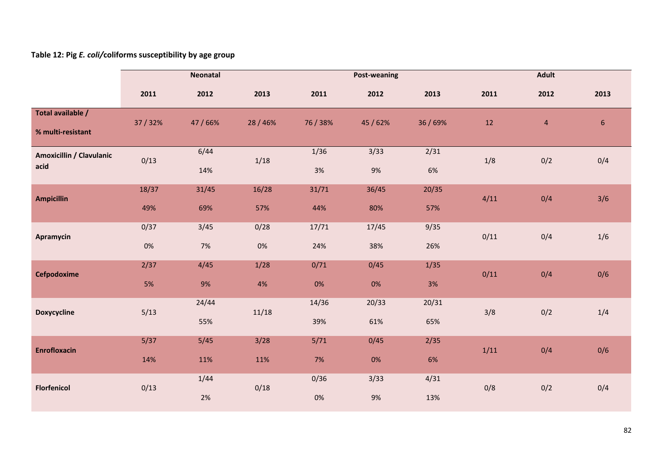# **Table 12: Pig** *E. coli/***coliforms susceptibility by age group**

|                                        | Neonatal      |              |               |               | <b>Post-weaning</b> |              | <b>Adult</b> |            |                |
|----------------------------------------|---------------|--------------|---------------|---------------|---------------------|--------------|--------------|------------|----------------|
|                                        | 2011          | 2012         | 2013          | 2011          | 2012                | 2013         | 2011         | 2012       | 2013           |
| Total available /<br>% multi-resistant | 37/32%        | 47/66%       | 28 / 46%      | 76/38%        | 45/62%              | 36 / 69%     | 12           | $\sqrt{4}$ | 6 <sup>1</sup> |
| Amoxicillin / Clavulanic<br>acid       | 0/13          | 6/44<br>14%  | 1/18          | 1/36<br>3%    | 3/33<br>9%          | 2/31<br>6%   | 1/8          | 0/2        | 0/4            |
| <b>Ampicillin</b>                      | 18/37<br>49%  | 31/45<br>69% | 16/28<br>57%  | 31/71<br>44%  | 36/45<br>80%        | 20/35<br>57% | 4/11         | 0/4        | 3/6            |
| Apramycin                              | 0/37<br>$0\%$ | 3/45<br>7%   | 0/28<br>$0\%$ | 17/71<br>24%  | 17/45<br>38%        | 9/35<br>26%  | 0/11         | 0/4        | 1/6            |
| Cefpodoxime                            | 2/37<br>5%    | 4/45<br>9%   | 1/28<br>4%    | 0/71<br>$0\%$ | 0/45<br>0%          | 1/35<br>3%   | 0/11         | 0/4        | 0/6            |
| <b>Doxycycline</b>                     | 5/13          | 24/44<br>55% | 11/18         | 14/36<br>39%  | 20/33<br>61%        | 20/31<br>65% | 3/8          | 0/2        | 1/4            |
| <b>Enrofloxacin</b>                    | 5/37<br>14%   | 5/45<br>11%  | 3/28<br>11%   | 5/71<br>7%    | 0/45<br>0%          | 2/35<br>6%   | 1/11         | 0/4        | 0/6            |
| <b>Florfenicol</b>                     | 0/13          | 1/44<br>2%   | 0/18          | 0/36<br>0%    | 3/33<br>9%          | 4/31<br>13%  | 0/8          | 0/2        | 0/4            |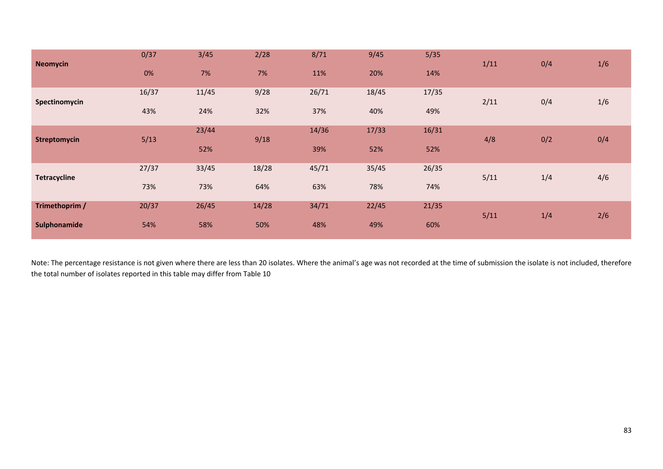| <b>Neomycin</b>     | 0/37  | 3/45  | 2/28  | 8/71  | 9/45  | 5/35  | 1/11 | 0/4 | 1/6 |
|---------------------|-------|-------|-------|-------|-------|-------|------|-----|-----|
|                     | 0%    | 7%    | 7%    | 11%   | 20%   | 14%   |      |     |     |
| Spectinomycin       | 16/37 | 11/45 | 9/28  | 26/71 | 18/45 | 17/35 | 2/11 | 0/4 | 1/6 |
|                     | 43%   | 24%   | 32%   | 37%   | 40%   | 49%   |      |     |     |
| <b>Streptomycin</b> | 5/13  | 23/44 | 9/18  | 14/36 | 17/33 | 16/31 | 4/8  | 0/2 | 0/4 |
|                     |       | 52%   |       | 39%   | 52%   | 52%   |      |     |     |
| <b>Tetracycline</b> | 27/37 | 33/45 | 18/28 | 45/71 | 35/45 | 26/35 | 5/11 | 1/4 | 4/6 |
|                     | 73%   | 73%   | 64%   | 63%   | 78%   | 74%   |      |     |     |
| Trimethoprim /      | 20/37 | 26/45 | 14/28 | 34/71 | 22/45 | 21/35 | 5/11 | 1/4 | 2/6 |
| Sulphonamide        | 54%   | 58%   | 50%   | 48%   | 49%   | 60%   |      |     |     |

Note: The percentage resistance is not given where there are less than 20 isolates. Where the animal's age was not recorded at the time of submission the isolate is not included, therefore the total number of isolates reported in this table may differ from Table 10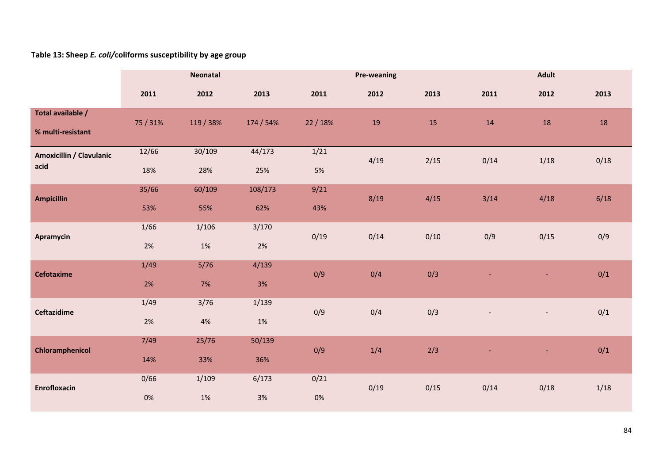**Table 13: Sheep** *E. coli/***coliforms susceptibility by age group**

|                                        | <b>Neonatal</b> |               |                |               | <b>Pre-weaning</b> |      |      | <b>Adult</b>             |      |
|----------------------------------------|-----------------|---------------|----------------|---------------|--------------------|------|------|--------------------------|------|
|                                        | 2011            | 2012          | 2013           | 2011          | 2012               | 2013 | 2011 | 2012                     | 2013 |
| Total available /<br>% multi-resistant | 75 / 31%        | 119 / 38%     | 174 / 54%      | 22 / 18%      | 19                 | 15   | 14   | 18                       | 18   |
| Amoxicillin / Clavulanic<br>acid       | 12/66<br>18%    | 30/109<br>28% | 44/173<br>25%  | 1/21<br>5%    | 4/19               | 2/15 | 0/14 | 1/18                     | 0/18 |
| <b>Ampicillin</b>                      | 35/66<br>53%    | 60/109<br>55% | 108/173<br>62% | 9/21<br>43%   | 8/19               | 4/15 | 3/14 | 4/18                     | 6/18 |
| Apramycin                              | 1/66<br>2%      | 1/106<br>1%   | 3/170<br>2%    | 0/19          | 0/14               | 0/10 | 0/9  | 0/15                     | 0/9  |
| <b>Cefotaxime</b>                      | 1/49<br>2%      | $5/76$<br>7%  | 4/139<br>3%    | 0/9           | 0/4                | 0/3  |      |                          | 0/1  |
| <b>Ceftazidime</b>                     | 1/49<br>2%      | 3/76<br>$4%$  | 1/139<br>$1\%$ | 0/9           | 0/4                | 0/3  |      | $\overline{\phantom{a}}$ | 0/1  |
| Chloramphenicol                        | 7/49<br>14%     | 25/76<br>33%  | 50/139<br>36%  | 0/9           | 1/4                | 2/3  |      |                          | 0/1  |
| <b>Enrofloxacin</b>                    | 0/66<br>0%      | 1/109<br>1%   | 6/173<br>3%    | 0/21<br>$0\%$ | 0/19               | 0/15 | 0/14 | 0/18                     | 1/18 |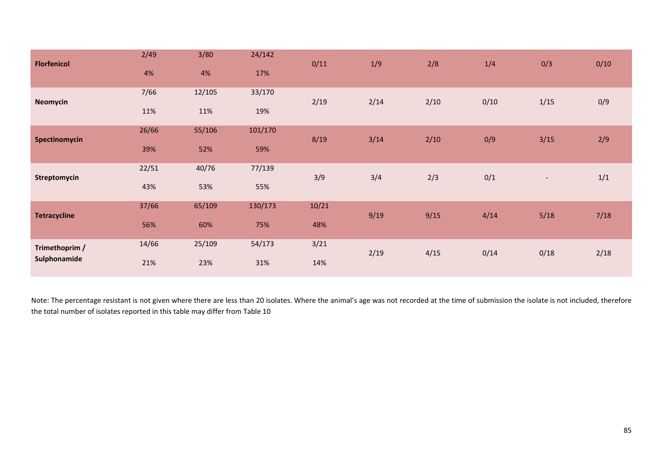| <b>Florfenicol</b>             | 2/49<br>4%   | 3/80<br>4%    | 24/142<br>17%  | 0/11         | 1/9  | 2/8  | 1/4  | 0/3                      | 0/10 |
|--------------------------------|--------------|---------------|----------------|--------------|------|------|------|--------------------------|------|
| <b>Neomycin</b>                | 7/66<br>11%  | 12/105<br>11% | 33/170<br>19%  | 2/19         | 2/14 | 2/10 | 0/10 | 1/15                     | 0/9  |
| Spectinomycin                  | 26/66<br>39% | 55/106<br>52% | 101/170<br>59% | 8/19         | 3/14 | 2/10 | 0/9  | 3/15                     | 2/9  |
| Streptomycin                   | 22/51<br>43% | 40/76<br>53%  | 77/139<br>55%  | 3/9          | 3/4  | 2/3  | 0/1  | $\overline{\phantom{a}}$ | 1/1  |
| <b>Tetracycline</b>            | 37/66<br>56% | 65/109<br>60% | 130/173<br>75% | 10/21<br>48% | 9/19 | 9/15 | 4/14 | 5/18                     | 7/18 |
| Trimethoprim /<br>Sulphonamide | 14/66<br>21% | 25/109<br>23% | 54/173<br>31%  | 3/21<br>14%  | 2/19 | 4/15 | 0/14 | 0/18                     | 2/18 |

Note: The percentage resistant is not given where there are less than 20 isolates. Where the animal's age was not recorded at the time of submission the isolate is not included, therefore the total number of isolates reported in this table may differ from Table 10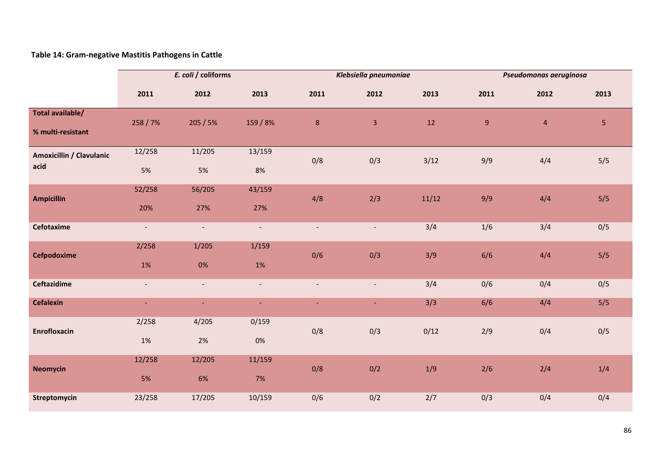## **Table 14: Gram‐negative Mastitis Pathogens in Cattle**

|                                         |                          | E. coli / coliforms      |                |                          | Klebsiella pneumoniae    |       |      | Pseudomonas aeruginosa |      |
|-----------------------------------------|--------------------------|--------------------------|----------------|--------------------------|--------------------------|-------|------|------------------------|------|
|                                         | 2011                     | 2012                     | 2013           | 2011                     | 2012                     | 2013  | 2011 | 2012                   | 2013 |
| Total available/<br>% multi-resistant   | 258 / 7%                 | 205/5%                   | 159 / 8%       | $\bf 8$                  | 3                        | 12    | 9    | $\overline{4}$         | 5    |
| <b>Amoxicillin / Clavulanic</b><br>acid | 12/258<br>5%             | 11/205<br>5%             | 13/159<br>8%   | 0/8                      | 0/3                      | 3/12  | 9/9  | 4/4                    | 5/5  |
| <b>Ampicillin</b>                       | 52/258<br>20%            | 56/205<br>27%            | 43/159<br>27%  | 4/8                      | 2/3                      | 11/12 | 9/9  | 4/4                    | 5/5  |
| Cefotaxime                              | $\overline{\phantom{a}}$ | $\overline{\phantom{a}}$ | $\sim$         | $\blacksquare$           | $\overline{\phantom{a}}$ | 3/4   | 1/6  | 3/4                    | 0/5  |
| Cefpodoxime                             | 2/258<br>$1\%$           | 1/205<br>$0\%$           | 1/159<br>$1\%$ | 0/6                      | 0/3                      | 3/9   | 6/6  | 4/4                    | 5/5  |
| <b>Ceftazidime</b>                      | $\blacksquare$           | $\blacksquare$           | $\blacksquare$ | $\overline{\phantom{a}}$ | $\blacksquare$           | 3/4   | 0/6  | 0/4                    | 0/5  |
| <b>Cefalexin</b>                        | $\sim$                   | $\sim$                   | $\sim$         | $\blacksquare$           | ٠                        | 3/3   | 6/6  | 4/4                    | 5/5  |
| <b>Enrofloxacin</b>                     | 2/258<br>1%              | 4/205<br>2%              | 0/159<br>0%    | 0/8                      | 0/3                      | 0/12  | 2/9  | 0/4                    | 0/5  |
| <b>Neomycin</b>                         | 12/258<br>5%             | 12/205<br>6%             | 11/159<br>7%   | 0/8                      | 0/2                      | 1/9   | 2/6  | 2/4                    | 1/4  |
| Streptomycin                            | 23/258                   | 17/205                   | 10/159         | 0/6                      | 0/2                      | 2/7   | 0/3  | 0/4                    | 0/4  |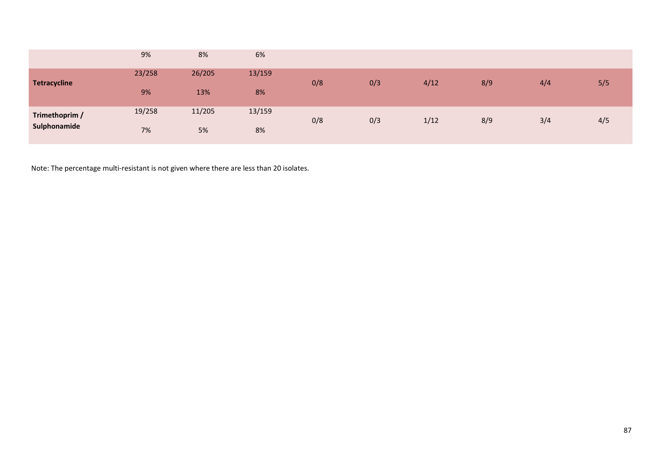|                     | 9%     | 8%     | 6%     |     |     |      |     |     |     |
|---------------------|--------|--------|--------|-----|-----|------|-----|-----|-----|
| <b>Tetracycline</b> | 23/258 | 26/205 | 13/159 | 0/8 | 0/3 | 4/12 | 8/9 | 4/4 | 5/5 |
|                     | 9%     | 13%    | 8%     |     |     |      |     |     |     |
| Trimethoprim /      | 19/258 | 11/205 | 13/159 | 0/8 | 0/3 | 1/12 | 8/9 | 3/4 | 4/5 |
| Sulphonamide        | 7%     | 5%     | 8%     |     |     |      |     |     |     |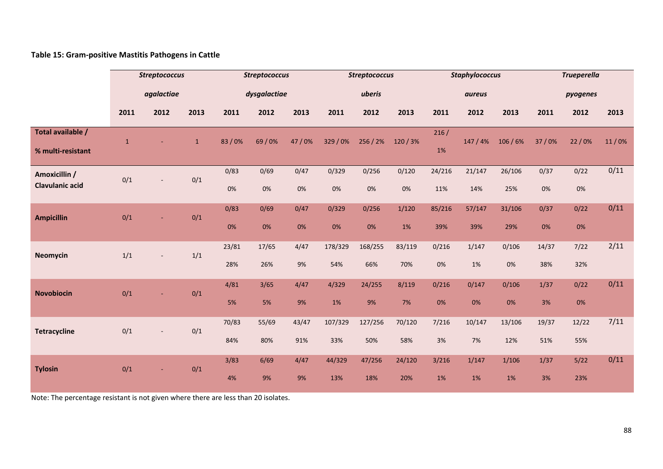## **Table 15: Gram‐positive Mastitis Pathogens in Cattle**

|                                         | <b>Streptococcus</b> |                          |              | <b>Streptococcus</b> |              |              | <b>Streptococcus</b> |                |               | <b>Staphylococcus</b> |                |                | <b>Trueperella</b> |              |       |
|-----------------------------------------|----------------------|--------------------------|--------------|----------------------|--------------|--------------|----------------------|----------------|---------------|-----------------------|----------------|----------------|--------------------|--------------|-------|
|                                         |                      | agalactiae               |              |                      | dysgalactiae |              |                      | uberis         |               |                       | aureus         |                |                    | pyogenes     |       |
|                                         | 2011                 | 2012                     | 2013         | 2011                 | 2012         | 2013         | 2011                 | 2012           | 2013          | 2011                  | 2012           | 2013           | 2011               | 2012         | 2013  |
| Total available /<br>% multi-resistant  | $\mathbf{1}$         |                          | $\mathbf{1}$ | 83/0%                | 69/0%        | 47/0%        | 329/0%               | 256 / 2%       | 120/3%        | 216/<br>1%            | 147/4%         | 106/6%         | 37/0%              | 22/0%        | 11/0% |
| Amoxicillin /<br><b>Clavulanic acid</b> | 0/1                  |                          | 0/1          | 0/83<br>0%           | 0/69<br>0%   | 0/47<br>0%   | 0/329<br>0%          | 0/256<br>0%    | 0/120<br>0%   | 24/216<br>11%         | 21/147<br>14%  | 26/106<br>25%  | 0/37<br>0%         | 0/22<br>0%   | 0/11  |
| <b>Ampicillin</b>                       | 0/1                  |                          | 0/1          | 0/83<br>0%           | 0/69<br>0%   | 0/47<br>0%   | 0/329<br>0%          | 0/256<br>0%    | 1/120<br>1%   | 85/216<br>39%         | 57/147<br>39%  | 31/106<br>29%  | 0/37<br>0%         | 0/22<br>0%   | 0/11  |
| <b>Neomycin</b>                         | 1/1                  |                          | $1/1$        | 23/81<br>28%         | 17/65<br>26% | 4/47<br>9%   | 178/329<br>54%       | 168/255<br>66% | 83/119<br>70% | 0/216<br>$0\%$        | 1/147<br>1%    | 0/106<br>$0\%$ | 14/37<br>38%       | 7/22<br>32%  | 2/11  |
| <b>Novobiocin</b>                       | 0/1                  |                          | 0/1          | 4/81<br>5%           | 3/65<br>5%   | 4/47<br>9%   | 4/329<br>$1\%$       | 24/255<br>9%   | 8/119<br>7%   | 0/216<br>0%           | 0/147<br>$0\%$ | 0/106<br>0%    | 1/37<br>3%         | 0/22<br>0%   | 0/11  |
| <b>Tetracycline</b>                     | 0/1                  | $\overline{\phantom{a}}$ | 0/1          | 70/83<br>84%         | 55/69<br>80% | 43/47<br>91% | 107/329<br>33%       | 127/256<br>50% | 70/120<br>58% | 7/216<br>3%           | 10/147<br>7%   | 13/106<br>12%  | 19/37<br>51%       | 12/22<br>55% | 7/11  |
| <b>Tylosin</b>                          | 0/1                  | ٠                        | 0/1          | 3/83<br>4%           | 6/69<br>9%   | 4/47<br>9%   | 44/329<br>13%        | 47/256<br>18%  | 24/120<br>20% | 3/216<br>1%           | 1/147<br>1%    | 1/106<br>1%    | 1/37<br>3%         | 5/22<br>23%  | 0/11  |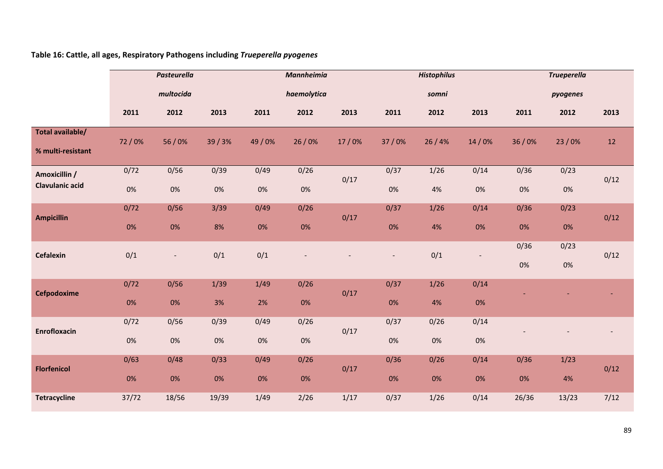**Table 16: Cattle, all ages, Respiratory Pathogens including** *Trueperella pyogenes*

|                                         |            | <b>Pasteurella</b>       |               |               | Mannheimia    |       |                          | <b>Histophilus</b> |                              |            | <b>Trueperella</b> |      |
|-----------------------------------------|------------|--------------------------|---------------|---------------|---------------|-------|--------------------------|--------------------|------------------------------|------------|--------------------|------|
|                                         |            | multocida                |               |               | haemolytica   |       |                          | somni              |                              |            | pyogenes           |      |
|                                         | 2011       | 2012                     | 2013          | 2011          | 2012          | 2013  | 2011                     | 2012               | 2013                         | 2011       | 2012               | 2013 |
| Total available/<br>% multi-resistant   | 72/0%      | 56/0%                    | 39/3%         | 49/0%         | 26/0%         | 17/0% | 37/0%                    | 26/4%              | 14/0%                        | 36/0%      | 23/0%              | 12   |
| Amoxicillin /<br><b>Clavulanic acid</b> | 0/72<br>0% | 0/56<br>0%               | 0/39<br>0%    | 0/49<br>0%    | 0/26<br>0%    | 0/17  | 0/37<br>0%               | $1/26$<br>4%       | 0/14<br>0%                   | 0/36<br>0% | 0/23<br>$0\%$      | 0/12 |
| <b>Ampicillin</b>                       | 0/72<br>0% | 0/56<br>0%               | 3/39<br>8%    | 0/49<br>0%    | 0/26<br>0%    | 0/17  | 0/37<br>0%               | 1/26<br>4%         | 0/14<br>$0\%$                | 0/36<br>0% | 0/23<br>0%         | 0/12 |
| <b>Cefalexin</b>                        | 0/1        | $\overline{\phantom{a}}$ | 0/1           | 0/1           |               |       | $\overline{\phantom{a}}$ | 0/1                | $\qquad \qquad \blacksquare$ | 0/36<br>0% | 0/23<br>$0\%$      | 0/12 |
| Cefpodoxime                             | 0/72<br>0% | 0/56<br>0%               | 1/39<br>3%    | 1/49<br>2%    | 0/26<br>0%    | 0/17  | 0/37<br>0%               | $1/26$<br>4%       | 0/14<br>$0\%$                |            |                    |      |
| Enrofloxacin                            | 0/72<br>0% | 0/56<br>$0\%$            | 0/39<br>$0\%$ | 0/49<br>$0\%$ | 0/26<br>$0\%$ | 0/17  | 0/37<br>0%               | 0/26<br>0%         | 0/14<br>$0\%$                |            |                    |      |
| <b>Florfenicol</b>                      | 0/63<br>0% | 0/48<br>0%               | 0/33<br>0%    | 0/49<br>0%    | 0/26<br>0%    | 0/17  | 0/36<br>0%               | 0/26<br>0%         | 0/14<br>0%                   | 0/36<br>0% | 1/23<br>4%         | 0/12 |
| <b>Tetracycline</b>                     | 37/72      | 18/56                    | 19/39         | 1/49          | 2/26          | 1/17  | 0/37                     | 1/26               | 0/14                         | 26/36      | 13/23              | 7/12 |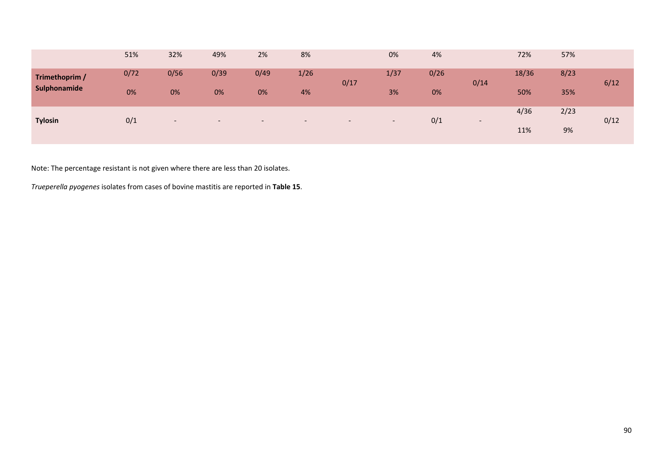|                | 51%  | 32%                      | 49%    | 2%     | 8%     |        | 0%                       | 4%   |                          | 72%   | 57%  |      |
|----------------|------|--------------------------|--------|--------|--------|--------|--------------------------|------|--------------------------|-------|------|------|
| Trimethoprim / | 0/72 | 0/56                     | 0/39   | 0/49   | 1/26   | 0/17   | 1/37                     | 0/26 | 0/14                     | 18/36 | 8/23 | 6/12 |
| Sulphonamide   | 0%   | 0%                       | 0%     | 0%     | 4%     |        | 3%                       | 0%   |                          | 50%   | 35%  |      |
| <b>Tylosin</b> | 0/1  | $\overline{\phantom{0}}$ | $\sim$ | $\sim$ | $\sim$ | $\sim$ | $\overline{\phantom{0}}$ | 0/1  | $\overline{\phantom{a}}$ | 4/36  | 2/23 | 0/12 |
|                |      |                          |        |        |        |        |                          |      |                          | 11%   | 9%   |      |

Note: The percentage resistant is not given where there are less than 20 isolates.

*Trueperella pyogenes* isolates from cases of bovine mastitis are reported in **Table 15**.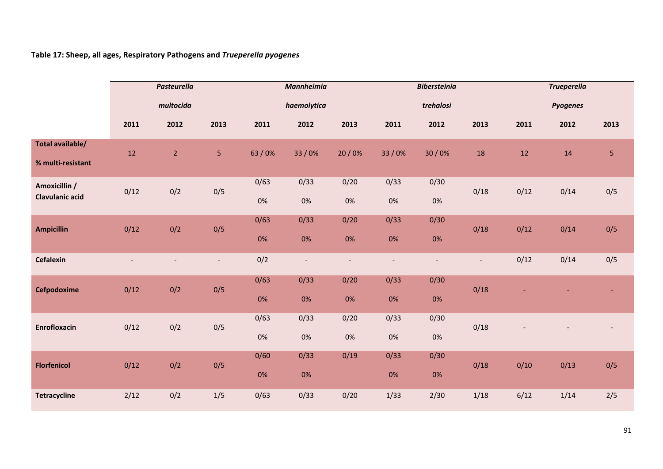**Table 17: Sheep, all ages, Respiratory Pathogens and** *Trueperella pyogenes*

|                                         |                | <b>Pasteurella</b> |                |            | <b>Mannheimia</b>        |                          |                          | <b>Bibersteinia</b>      |                          |      | <b>Trueperella</b> |                |
|-----------------------------------------|----------------|--------------------|----------------|------------|--------------------------|--------------------------|--------------------------|--------------------------|--------------------------|------|--------------------|----------------|
|                                         |                | multocida          |                |            | haemolytica              |                          |                          | trehalosi                |                          |      | <b>Pyogenes</b>    |                |
|                                         | 2011           | 2012               | 2013           | 2011       | 2012                     | 2013                     | 2011                     | 2012                     | 2013                     | 2011 | 2012               | 2013           |
| Total available/<br>% multi-resistant   | 12             | 2 <sup>7</sup>     | $5\phantom{.}$ | 63 / 0%    | 33/0%                    | 20/0%                    | 33/0%                    | 30/0%                    | 18                       | 12   | 14                 | $\overline{5}$ |
| Amoxicillin /<br><b>Clavulanic acid</b> | 0/12           | 0/2                | 0/5            | 0/63<br>0% | 0/33<br>$0\%$            | 0/20<br>$0\%$            | 0/33<br>$0\%$            | 0/30<br>$0\%$            | 0/18                     | 0/12 | 0/14               | 0/5            |
| <b>Ampicillin</b>                       | 0/12           | 0/2                | 0/5            | 0/63<br>0% | 0/33<br>0%               | 0/20<br>0%               | 0/33<br>$0\%$            | 0/30<br>0%               | 0/18                     | 0/12 | 0/14               | 0/5            |
| Cefalexin                               | $\overline{a}$ |                    |                | 0/2        | $\overline{\phantom{a}}$ | $\overline{\phantom{a}}$ | $\overline{\phantom{a}}$ | $\overline{\phantom{a}}$ | $\overline{\phantom{a}}$ | 0/12 | 0/14               | 0/5            |
| Cefpodoxime                             | 0/12           | 0/2                | 0/5            | 0/63<br>0% | 0/33<br>0%               | 0/20<br>0%               | 0/33<br>$0\%$            | 0/30<br>0%               | 0/18                     |      |                    |                |
| <b>Enrofloxacin</b>                     | 0/12           | 0/2                | 0/5            | 0/63<br>0% | 0/33<br>0%               | 0/20<br>$0\%$            | 0/33<br>0%               | 0/30<br>0%               | 0/18                     |      |                    |                |
| <b>Florfenicol</b>                      | 0/12           | 0/2                | 0/5            | 0/60<br>0% | 0/33<br>$0\%$            | 0/19                     | 0/33<br>0%               | 0/30<br>0%               | 0/18                     | 0/10 | 0/13               | 0/5            |
| <b>Tetracycline</b>                     | 2/12           | 0/2                | $1/5$          | 0/63       | 0/33                     | 0/20                     | 1/33                     | 2/30                     | 1/18                     | 6/12 | 1/14               | 2/5            |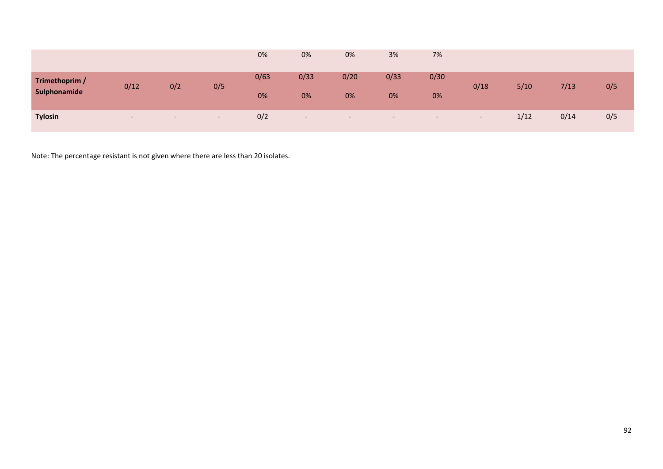|                |                          |        |        | 0%   | 0%                       | 0%                       | 3%                       | 7%                       |        |        |      |     |
|----------------|--------------------------|--------|--------|------|--------------------------|--------------------------|--------------------------|--------------------------|--------|--------|------|-----|
| Trimethoprim / | 0/12                     | 0/2    | 0/5    | 0/63 | 0/33                     | 0/20                     | 0/33                     | 0/30                     | 0/18   | $5/10$ | 7/13 | 0/5 |
| Sulphonamide   |                          |        |        | 0%   | 0%                       | 0%                       | 0%                       | 0%                       |        |        |      |     |
| <b>Tylosin</b> | $\overline{\phantom{0}}$ | $\sim$ | $\sim$ | 0/2  | $\overline{\phantom{a}}$ | $\overline{\phantom{a}}$ | $\overline{\phantom{0}}$ | $\overline{\phantom{0}}$ | $\sim$ | 1/12   | 0/14 | 0/5 |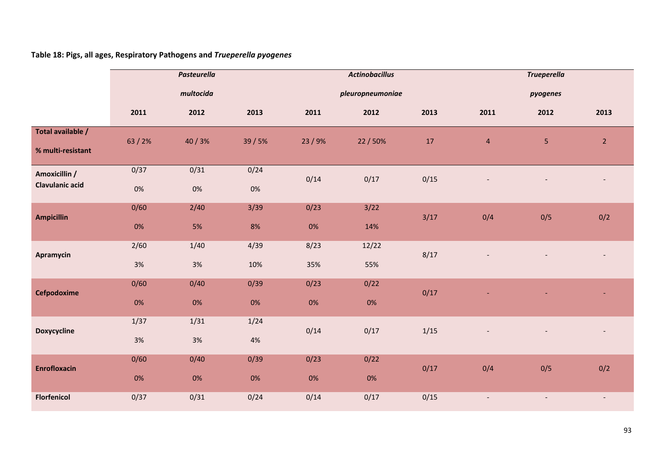**Table 18: Pigs, all ages, Respiratory Pathogens and** *Trueperella pyogenes*

|                                         | <b>Pasteurella</b><br>multocida |               |               |             | <b>Actinobacillus</b> |      |                          | <b>Trueperella</b>       |                |
|-----------------------------------------|---------------------------------|---------------|---------------|-------------|-----------------------|------|--------------------------|--------------------------|----------------|
|                                         |                                 |               |               |             | pleuropneumoniae      |      |                          | pyogenes                 |                |
|                                         | 2011                            | 2012          | 2013          | 2011        | 2012                  | 2013 | 2011                     | 2012                     | 2013           |
| Total available /<br>% multi-resistant  | 63/2%                           | 40/3%         | 39 / 5%       | 23/9%       | 22/50%                | 17   | $\overline{4}$           | $\overline{\mathbf{5}}$  | $\overline{2}$ |
| Amoxicillin /<br><b>Clavulanic acid</b> | 0/37<br>$0\%$                   | 0/31<br>$0\%$ | 0/24<br>$0\%$ | 0/14        | 0/17                  | 0/15 |                          |                          |                |
| <b>Ampicillin</b>                       | 0/60<br>0%                      | 2/40<br>5%    | $3/39$<br>8%  | 0/23<br>0%  | 3/22<br>14%           | 3/17 | 0/4                      | 0/5                      | 0/2            |
| Apramycin                               | 2/60<br>3%                      | 1/40<br>$3%$  | 4/39<br>10%   | 8/23<br>35% | 12/22<br>55%          | 8/17 |                          |                          |                |
| Cefpodoxime                             | 0/60<br>0%                      | 0/40<br>$0\%$ | 0/39<br>$0\%$ | 0/23<br>0%  | 0/22<br>$0\%$         | 0/17 |                          |                          |                |
| <b>Doxycycline</b>                      | 1/37<br>3%                      | 1/31<br>$3%$  | 1/24<br>$4%$  | 0/14        | 0/17                  | 1/15 |                          |                          |                |
| <b>Enrofloxacin</b>                     | 0/60<br>0%                      | 0/40<br>0%    | 0/39<br>$0\%$ | 0/23<br>0%  | 0/22<br>0%            | 0/17 | 0/4                      | 0/5                      | 0/2            |
| <b>Florfenicol</b>                      | 0/37                            | 0/31          | 0/24          | 0/14        | 0/17                  | 0/15 | $\overline{\phantom{a}}$ | $\overline{\phantom{a}}$ | $\blacksquare$ |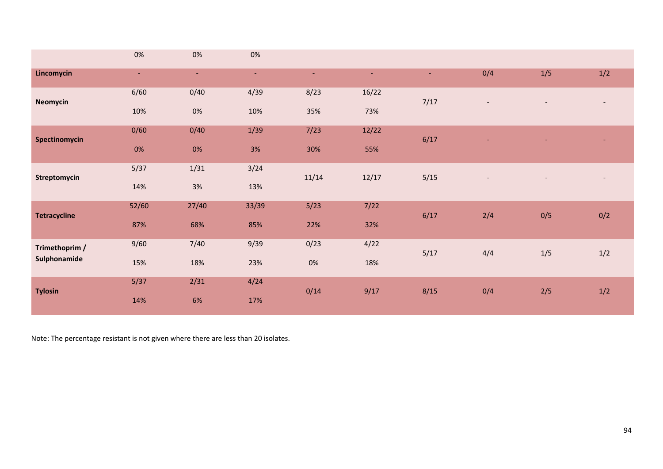|                     | 0%     | 0%     | 0%     |       |       |      |                          |                          |                          |
|---------------------|--------|--------|--------|-------|-------|------|--------------------------|--------------------------|--------------------------|
| Lincomycin          | $\sim$ | $\sim$ | $\sim$ | ٠     | ٠     | ٠    | 0/4                      | 1/5                      | 1/2                      |
| <b>Neomycin</b>     | 6/60   | 0/40   | 4/39   | 8/23  | 16/22 | 7/17 | $\overline{\phantom{a}}$ | $\overline{\phantom{a}}$ | $\overline{\phantom{a}}$ |
|                     | 10%    | 0%     | 10%    | 35%   | 73%   |      |                          |                          |                          |
| Spectinomycin       | 0/60   | 0/40   | 1/39   | 7/23  | 12/22 | 6/17 |                          |                          |                          |
|                     | 0%     | 0%     | 3%     | 30%   | 55%   |      |                          |                          |                          |
| Streptomycin        | 5/37   | 1/31   | 3/24   | 11/14 | 12/17 | 5/15 | $\overline{\phantom{a}}$ | $\overline{\phantom{a}}$ | $\overline{\phantom{a}}$ |
|                     | 14%    | 3%     | 13%    |       |       |      |                          |                          |                          |
| <b>Tetracycline</b> | 52/60  | 27/40  | 33/39  | 5/23  | 7/22  | 6/17 | 2/4                      | 0/5                      | 0/2                      |
|                     | 87%    | 68%    | 85%    | 22%   | 32%   |      |                          |                          |                          |
| Trimethoprim /      | 9/60   | $7/40$ | 9/39   | 0/23  | 4/22  | 5/17 | 4/4                      | 1/5                      | 1/2                      |
| Sulphonamide        | 15%    | 18%    | 23%    | 0%    | 18%   |      |                          |                          |                          |
| <b>Tylosin</b>      | 5/37   | 2/31   | 4/24   | 0/14  | 9/17  | 8/15 | 0/4                      | 2/5                      | 1/2                      |
|                     | 14%    | 6%     | 17%    |       |       |      |                          |                          |                          |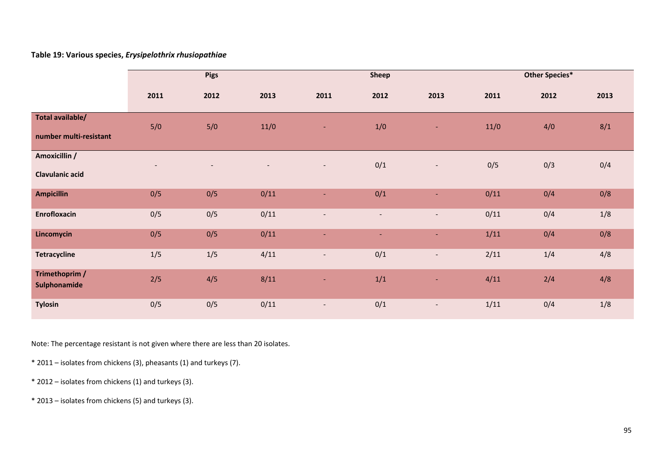#### **Table 19: Various species,** *Erysipelothrix rhusiopathiae*

|                                            | <b>Pigs</b> |      |      |                          | <b>Sheep</b>             |                          |      | <b>Other Species*</b> |      |
|--------------------------------------------|-------------|------|------|--------------------------|--------------------------|--------------------------|------|-----------------------|------|
|                                            | 2011        | 2012 | 2013 | 2011                     | 2012                     | 2013                     | 2011 | 2012                  | 2013 |
| Total available/<br>number multi-resistant | 5/0         | 5/0  | 11/0 | ٠                        | 1/0                      | ٠                        | 11/0 | 4/0                   | 8/1  |
| Amoxicillin /<br><b>Clavulanic acid</b>    |             |      |      | $\overline{\phantom{a}}$ | 0/1                      | $\overline{\phantom{a}}$ | 0/5  | 0/3                   | 0/4  |
| <b>Ampicillin</b>                          | 0/5         | 0/5  | 0/11 | ٠                        | 0/1                      | Ξ                        | 0/11 | 0/4                   | 0/8  |
| Enrofloxacin                               | 0/5         | 0/5  | 0/11 | $\overline{\phantom{a}}$ | $\overline{\phantom{a}}$ | $\overline{\phantom{a}}$ | 0/11 | 0/4                   | 1/8  |
| Lincomycin                                 | 0/5         | 0/5  | 0/11 | $\overline{\phantom{a}}$ | $\sim$                   | $\blacksquare$           | 1/11 | 0/4                   | 0/8  |
| <b>Tetracycline</b>                        | 1/5         | 1/5  | 4/11 | $\overline{\phantom{a}}$ | 0/1                      | $\overline{\phantom{a}}$ | 2/11 | 1/4                   | 4/8  |
| Trimethoprim /<br>Sulphonamide             | 2/5         | 4/5  | 8/11 | ٠                        | 1/1                      | ٠                        | 4/11 | 2/4                   | 4/8  |
| <b>Tylosin</b>                             | 0/5         | 0/5  | 0/11 | $\overline{\phantom{a}}$ | 0/1                      | $\overline{\phantom{a}}$ | 1/11 | 0/4                   | 1/8  |

- \* 2011 isolates from chickens (3), pheasants (1) and turkeys (7).
- \* 2012 isolates from chickens (1) and turkeys (3).
- \* 2013 isolates from chickens (5) and turkeys (3).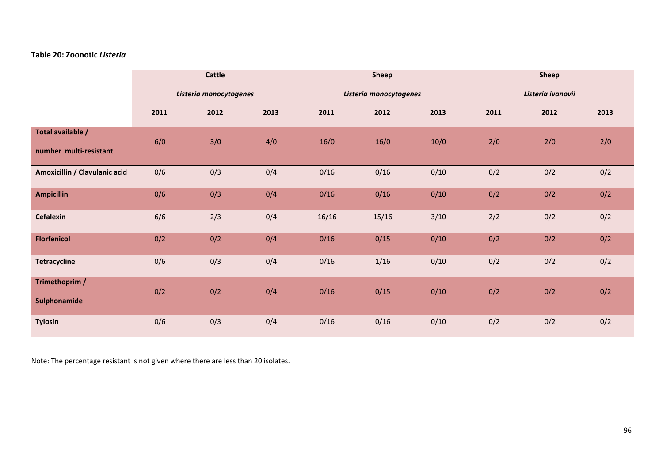#### **Table 20: Zoonotic** *Listeria*

|                                |      | <b>Cattle</b>          |      |       | <b>Sheep</b>           |        |      | Sheep             |      |
|--------------------------------|------|------------------------|------|-------|------------------------|--------|------|-------------------|------|
|                                |      | Listeria monocytogenes |      |       | Listeria monocytogenes |        |      | Listeria ivanovii |      |
|                                | 2011 | 2012                   | 2013 | 2011  | 2012                   | 2013   | 2011 | 2012              | 2013 |
| Total available /              | 6/0  | 3/0                    | 4/0  | 16/0  | 16/0                   | 10/0   | 2/0  | 2/0               | 2/0  |
| number multi-resistant         |      |                        |      |       |                        |        |      |                   |      |
| Amoxicillin / Clavulanic acid  | 0/6  | 0/3                    | 0/4  | 0/16  | 0/16                   | 0/10   | 0/2  | 0/2               | 0/2  |
| <b>Ampicillin</b>              | 0/6  | 0/3                    | 0/4  | 0/16  | 0/16                   | 0/10   | 0/2  | 0/2               | 0/2  |
| Cefalexin                      | 6/6  | 2/3                    | 0/4  | 16/16 | 15/16                  | $3/10$ | 2/2  | 0/2               | 0/2  |
| <b>Florfenicol</b>             | 0/2  | 0/2                    | 0/4  | 0/16  | 0/15                   | 0/10   | 0/2  | 0/2               | 0/2  |
| <b>Tetracycline</b>            | 0/6  | 0/3                    | 0/4  | 0/16  | 1/16                   | 0/10   | 0/2  | 0/2               | 0/2  |
| Trimethoprim /<br>Sulphonamide | 0/2  | 0/2                    | 0/4  | 0/16  | 0/15                   | 0/10   | 0/2  | 0/2               | 0/2  |
| <b>Tylosin</b>                 | 0/6  | 0/3                    | 0/4  | 0/16  | 0/16                   | 0/10   | 0/2  | 0/2               | 0/2  |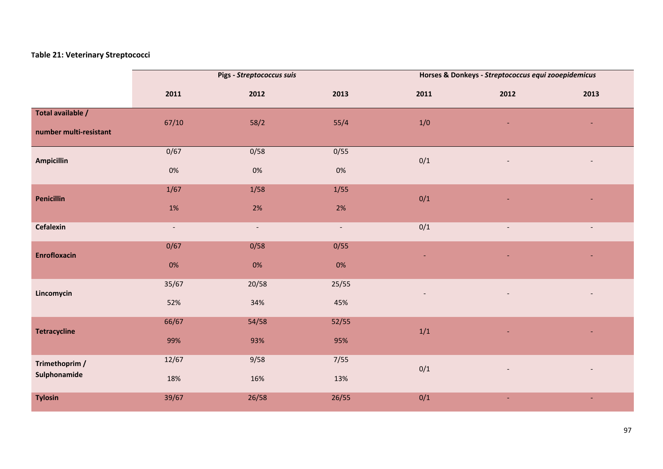## **Table 21: Veterinary Streptococci**

|                                             |                          | Pigs - Streptococcus suis |                |       | Horses & Donkeys - Streptococcus equi zooepidemicus |                |
|---------------------------------------------|--------------------------|---------------------------|----------------|-------|-----------------------------------------------------|----------------|
|                                             | 2011                     | 2012                      | 2013           | 2011  | 2012                                                | 2013           |
| Total available /<br>number multi-resistant | 67/10                    | 58/2                      | 55/4           | 1/0   |                                                     |                |
| <b>Ampicillin</b>                           | 0/67                     | 0/58                      | 0/55           | 0/1   |                                                     |                |
|                                             | $0\%$                    | 0%                        | $0\%$          |       |                                                     |                |
| <b>Penicillin</b>                           | $1/67$                   | $1/58$                    | 1/55           | 0/1   |                                                     |                |
|                                             | $1\%$                    | $2\%$                     | $2\%$          |       |                                                     |                |
| Cefalexin                                   | $\overline{\phantom{a}}$ | $\blacksquare$            | $\blacksquare$ | 0/1   | $\qquad \qquad -$                                   | $\sim$         |
| <b>Enrofloxacin</b>                         | 0/67                     | 0/58                      | 0/55           |       |                                                     |                |
|                                             | 0%                       | 0%                        | 0%             |       |                                                     |                |
| Lincomycin                                  | 35/67                    | 20/58                     | 25/55          |       |                                                     |                |
|                                             | 52%                      | 34%                       | 45%            |       |                                                     |                |
| <b>Tetracycline</b>                         | 66/67                    | 54/58                     | 52/55          | $1/1$ |                                                     |                |
|                                             | 99%                      | 93%                       | 95%            |       |                                                     |                |
| Trimethoprim /                              | 12/67                    | 9/58                      | 7/55           | 0/1   |                                                     |                |
| Sulphonamide                                | 18%                      | 16%                       | 13%            |       |                                                     |                |
| <b>Tylosin</b>                              | 39/67                    | 26/58                     | 26/55          | 0/1   | ÷                                                   | $\blacksquare$ |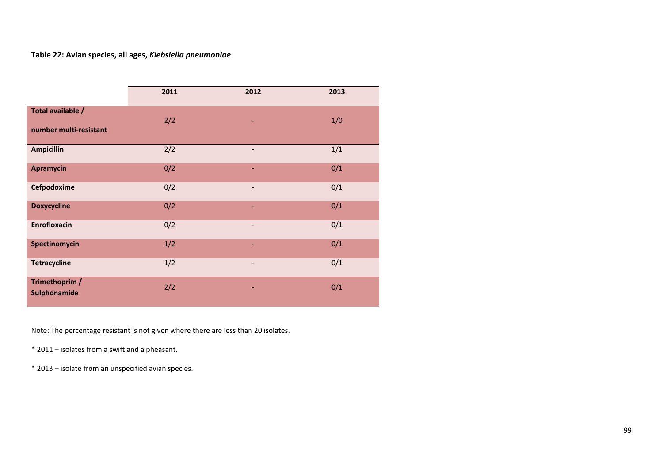## **Table 22: Avian species, all ages,** *Klebsiella pneumoniae*

|                                             | 2011 | 2012                     | 2013 |
|---------------------------------------------|------|--------------------------|------|
| Total available /<br>number multi-resistant | 2/2  | ٠                        | 1/0  |
| <b>Ampicillin</b>                           | 2/2  | $\overline{\phantom{a}}$ | 1/1  |
| <b>Apramycin</b>                            | 0/2  | ٠                        | 0/1  |
| Cefpodoxime                                 | 0/2  | $\overline{\phantom{a}}$ | 0/1  |
| <b>Doxycycline</b>                          | 0/2  | ٠                        | 0/1  |
| <b>Enrofloxacin</b>                         | 0/2  | $\overline{\phantom{a}}$ | 0/1  |
| Spectinomycin                               | 1/2  | ٠                        | 0/1  |
| <b>Tetracycline</b>                         | 1/2  | $\overline{\phantom{a}}$ | 0/1  |
| Trimethoprim /<br>Sulphonamide              | 2/2  | ٠                        | 0/1  |

Note: The percentage resistant is not given where there are less than 20 isolates.

\* 2011 – isolates from <sup>a</sup> swift and <sup>a</sup> pheasant.

\* 2013 – isolate from an unspecified avian species.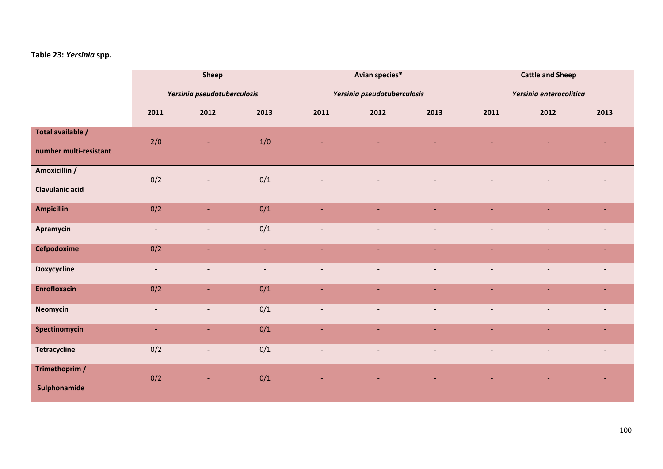## **Table 23:** *Yersinia* **spp.**

|                                             |                          | Sheep                       |                  |                          | Avian species*              |                          | <b>Cattle and Sheep</b>  |                          |                |  |  |
|---------------------------------------------|--------------------------|-----------------------------|------------------|--------------------------|-----------------------------|--------------------------|--------------------------|--------------------------|----------------|--|--|
|                                             |                          | Yersinia pseudotuberculosis |                  |                          | Yersinia pseudotuberculosis |                          |                          | Yersinia enterocolitica  |                |  |  |
|                                             | 2011                     | 2012                        | 2013             | 2011                     | 2012                        | 2013                     | 2011                     | 2012                     | 2013           |  |  |
| Total available /<br>number multi-resistant | 2/0                      |                             | 1/0              |                          |                             |                          |                          |                          | $\sim$         |  |  |
| Amoxicillin /<br>Clavulanic acid            | 0/2                      | $\overline{\phantom{a}}$    | 0/1              |                          |                             |                          |                          |                          |                |  |  |
| <b>Ampicillin</b>                           | 0/2                      | ÷.                          | 0/1              | ÷                        | ÷.                          |                          | $\blacksquare$           | $\sim$                   | ٠              |  |  |
| Apramycin                                   | $\blacksquare$           | $\overline{\phantom{a}}$    | 0/1              | $\overline{\phantom{a}}$ | $\blacksquare$              | $\sim$                   | $\blacksquare$           | $\blacksquare$           | $\sim$         |  |  |
| Cefpodoxime                                 | 0/2                      | ٠                           | $\omega_{\rm c}$ | ٠                        | ÷.                          |                          | $\overline{\phantom{a}}$ | $\sim$                   | ٠              |  |  |
| <b>Doxycycline</b>                          | $\sim$                   | $\blacksquare$              | $\blacksquare$   | $\overline{\phantom{a}}$ | $\overline{\phantom{a}}$    | $\overline{\phantom{a}}$ | $\overline{\phantom{a}}$ | $\overline{\phantom{a}}$ | $\sim$         |  |  |
| <b>Enrofloxacin</b>                         | 0/2                      | ٠                           | 0/1              |                          | $\blacksquare$              |                          |                          | $\blacksquare$           | $\sim$         |  |  |
| Neomycin                                    | $\overline{\phantom{a}}$ | $\blacksquare$              | 0/1              | $\overline{\phantom{a}}$ | $\blacksquare$              | $\overline{\phantom{a}}$ | $\overline{\phantom{a}}$ | $\overline{\phantom{a}}$ | $\sim$         |  |  |
| Spectinomycin                               | $\overline{\phantom{a}}$ | ÷.                          | 0/1              | ٠                        | $\overline{\phantom{a}}$    |                          |                          |                          | $\sim$         |  |  |
| Tetracycline                                | 0/2                      | $\overline{\phantom{a}}$    | 0/1              | $\blacksquare$           | $\overline{\phantom{a}}$    | $\overline{\phantom{a}}$ | $\blacksquare$           | $\overline{\phantom{a}}$ | $\blacksquare$ |  |  |
| Trimethoprim /<br>Sulphonamide              | 0/2                      | ٠                           | 0/1              |                          |                             |                          |                          |                          |                |  |  |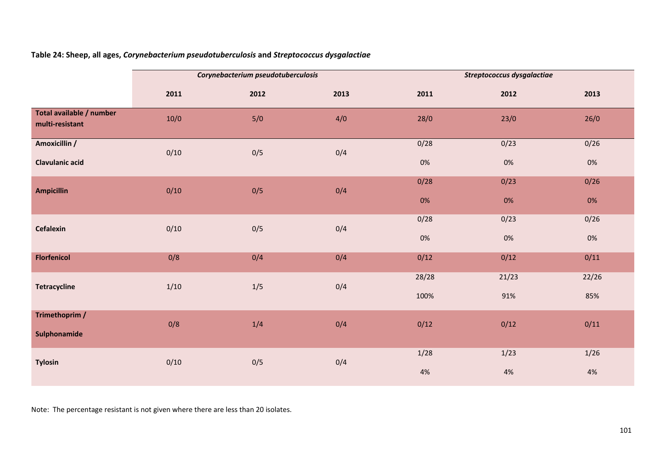|                                             |        | Corynebacterium pseudotuberculosis |      | Streptococcus dysgalactiae |       |       |  |  |  |
|---------------------------------------------|--------|------------------------------------|------|----------------------------|-------|-------|--|--|--|
|                                             | 2011   | 2012                               | 2013 | 2011                       | 2012  | 2013  |  |  |  |
| Total available / number<br>multi-resistant | $10/0$ | 5/0                                | 4/0  | 28/0                       | 23/0  | 26/0  |  |  |  |
| Amoxicillin /                               | 0/10   | 0/5                                | 0/4  | 0/28                       | 0/23  | 0/26  |  |  |  |
| <b>Clavulanic acid</b>                      |        |                                    |      | $0\%$                      | $0\%$ | $0\%$ |  |  |  |
| <b>Ampicillin</b>                           | 0/10   | 0/5                                | 0/4  | 0/28                       | 0/23  | 0/26  |  |  |  |
|                                             |        |                                    |      | 0%                         | $0\%$ | $0\%$ |  |  |  |
| Cefalexin                                   | 0/10   | 0/5                                | 0/4  | 0/28                       | 0/23  | 0/26  |  |  |  |
|                                             |        |                                    |      | $0\%$                      | $0\%$ | 0%    |  |  |  |
| <b>Florfenicol</b>                          | 0/8    | 0/4                                | 0/4  | 0/12                       | 0/12  | 0/11  |  |  |  |
|                                             |        |                                    |      | 28/28                      | 21/23 | 22/26 |  |  |  |
| <b>Tetracycline</b>                         | 1/10   | 1/5                                | 0/4  | 100%                       | 91%   | 85%   |  |  |  |
| Trimethoprim /                              | 0/8    | 1/4                                | 0/4  | 0/12                       | 0/12  | 0/11  |  |  |  |
| Sulphonamide                                |        |                                    |      |                            |       |       |  |  |  |
| <b>Tylosin</b>                              | 0/10   | 0/5                                | 0/4  | 1/28                       | 1/23  | 1/26  |  |  |  |
|                                             |        |                                    |      | $4%$                       | $4%$  | $4%$  |  |  |  |

**Table 24: Sheep, all ages,** *Corynebacterium pseudotuberculosis* **and** *Streptococcus dysgalactiae*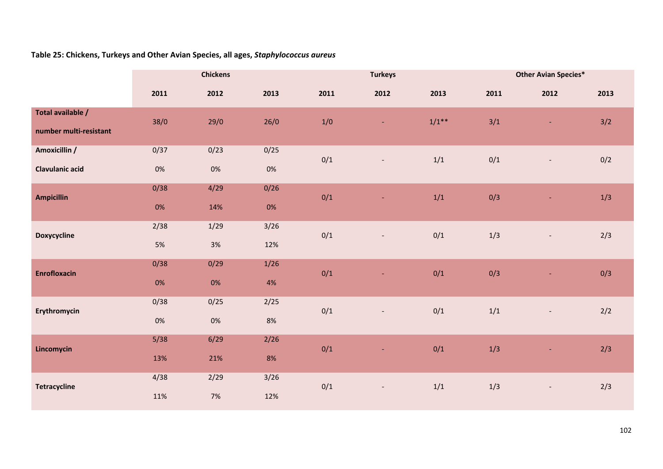# **Table 25: Chickens, Turkeys and Other Avian Species, all ages,** *Staphylococcus aureus*

|                        |       | <b>Chickens</b> |        |      | <b>Turkeys</b>           |         | <b>Other Avian Species*</b> |                          |      |  |  |
|------------------------|-------|-----------------|--------|------|--------------------------|---------|-----------------------------|--------------------------|------|--|--|
|                        | 2011  | 2012            | 2013   | 2011 | 2012                     | 2013    | 2011                        | 2012                     | 2013 |  |  |
| Total available /      | 38/0  | 29/0            | 26/0   | 1/0  | $\blacksquare$           | $1/1**$ | 3/1                         | $\blacksquare$           | 3/2  |  |  |
| number multi-resistant |       |                 |        |      |                          |         |                             |                          |      |  |  |
| Amoxicillin /          | 0/37  | 0/23            | 0/25   | 0/1  | $\overline{\phantom{a}}$ | 1/1     | 0/1                         | $\overline{\phantom{a}}$ | 0/2  |  |  |
| <b>Clavulanic acid</b> | $0\%$ | $0\%$           | $0\%$  |      |                          |         |                             |                          |      |  |  |
| <b>Ampicillin</b>      | 0/38  | 4/29            | 0/26   | 0/1  | $\blacksquare$           | 1/1     | 0/3                         | $\blacksquare$           | 1/3  |  |  |
|                        | 0%    | 14%             | $0\%$  |      |                          |         |                             |                          |      |  |  |
| <b>Doxycycline</b>     | 2/38  | 1/29            | $3/26$ | 0/1  | $\overline{\phantom{a}}$ | 0/1     | $1/3$                       | $\overline{\phantom{a}}$ | 2/3  |  |  |
|                        | 5%    | 3%              | 12%    |      |                          |         |                             |                          |      |  |  |
| <b>Enrofloxacin</b>    | 0/38  | 0/29            | 1/26   | 0/1  | Ξ                        | 0/1     | 0/3                         | ٠                        | 0/3  |  |  |
|                        | 0%    | 0%              | 4%     |      |                          |         |                             |                          |      |  |  |
| Erythromycin           | 0/38  | 0/25            | 2/25   | 0/1  | $\overline{\phantom{a}}$ | 0/1     | $1/1$                       | $\overline{\phantom{m}}$ | 2/2  |  |  |
|                        | 0%    | $0\%$           | $8\%$  |      |                          |         |                             |                          |      |  |  |
| Lincomycin             | 5/38  | 6/29            | 2/26   | 0/1  | Ξ                        | 0/1     | 1/3                         | ٠                        | 2/3  |  |  |
|                        | 13%   | 21%             | 8%     |      |                          |         |                             |                          |      |  |  |
| <b>Tetracycline</b>    | 4/38  | 2/29            | $3/26$ | 0/1  | $\blacksquare$           | $1/1$   | 1/3                         | $\overline{\phantom{a}}$ | 2/3  |  |  |
|                        | 11%   | $7%$            | 12%    |      |                          |         |                             |                          |      |  |  |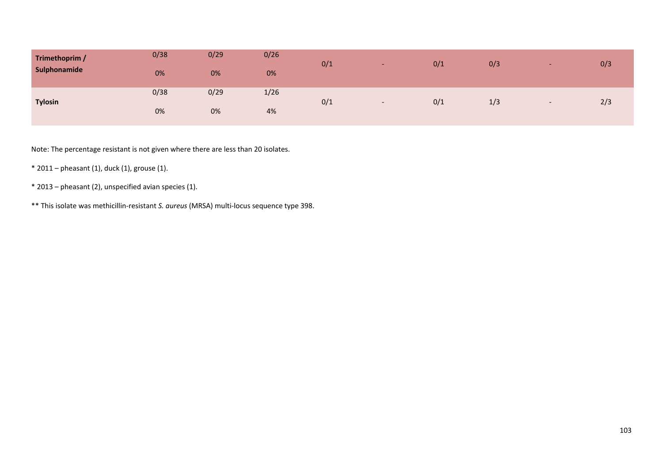| Trimethoprim /<br>Sulphonamide | 0/38<br>0% | 0/29<br>0% | 0/26<br>0% | 0/1 | -                        | 0/1 | 0/3 |  | 0/3 |
|--------------------------------|------------|------------|------------|-----|--------------------------|-----|-----|--|-----|
| <b>Tylosin</b>                 | 0/38       | 0/29       | 1/26       | 0/1 |                          |     |     |  | 2/3 |
|                                | 0%         | 0%         | 4%         |     | $\overline{\phantom{0}}$ | 0/1 | 1/3 |  |     |

- \* 2011 pheasant (1), duck (1), grouse (1).
- \* 2013 pheasant (2), unspecified avian species (1).
- \*\* This isolate was methicillin‐resistant *S. aureus* (MRSA) multi‐locus sequence type 398.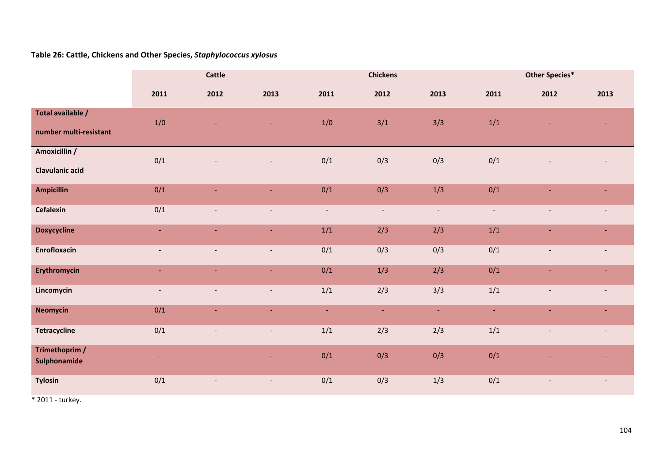# **Table 26: Cattle, Chickens and Other Species,** *Staphylococcus xylosus*

|                                |                          | <b>Cattle</b>            |                          |                          | <b>Chickens</b>          |                |                | <b>Other Species*</b>    |                          |  |  |
|--------------------------------|--------------------------|--------------------------|--------------------------|--------------------------|--------------------------|----------------|----------------|--------------------------|--------------------------|--|--|
|                                | 2011                     | 2012                     | 2013                     | 2011                     | 2012                     | 2013           | 2011           | 2012                     | 2013                     |  |  |
| Total available /              | 1/0                      |                          | ۰                        | 1/0                      | 3/1                      | 3/3            | 1/1            |                          |                          |  |  |
| number multi-resistant         |                          |                          |                          |                          |                          |                |                |                          |                          |  |  |
| Amoxicillin /                  | 0/1                      |                          |                          | 0/1                      | 0/3                      | 0/3            | 0/1            |                          |                          |  |  |
| <b>Clavulanic acid</b>         |                          |                          |                          |                          |                          |                |                |                          |                          |  |  |
| <b>Ampicillin</b>              | 0/1                      | $\blacksquare$           | $\blacksquare$           | 0/1                      | 0/3                      | 1/3            | 0/1            | $\blacksquare$           | $\sim$                   |  |  |
| Cefalexin                      | 0/1                      | $\overline{\phantom{a}}$ | $\overline{\phantom{a}}$ | $\overline{\phantom{a}}$ | $\overline{\phantom{a}}$ | $\sim$         | $\sim$         | $\overline{\phantom{m}}$ | $\overline{\phantom{a}}$ |  |  |
| <b>Doxycycline</b>             | ÷                        | ٠                        | $\equiv$                 | 1/1                      | 2/3                      | 2/3            | 1/1            | ٠                        | $\blacksquare$           |  |  |
| Enrofloxacin                   | $\blacksquare$           | $\blacksquare$           | $\sim$                   | 0/1                      | 0/3                      | 0/3            | 0/1            | $\overline{\phantom{a}}$ | $\overline{\phantom{a}}$ |  |  |
| Erythromycin                   | $\blacksquare$           | $\blacksquare$           | $\sim$                   | 0/1                      | 1/3                      | 2/3            | 0/1            | $\blacksquare$           | $\blacksquare$           |  |  |
| Lincomycin                     | $\overline{\phantom{a}}$ | $\overline{\phantom{a}}$ | $\overline{\phantom{a}}$ | 1/1                      | 2/3                      | 3/3            | 1/1            | $\overline{\phantom{a}}$ | $\overline{\phantom{a}}$ |  |  |
| <b>Neomycin</b>                | 0/1                      | ÷,                       | $\omega$                 | $\blacksquare$           | $\blacksquare$           | $\blacksquare$ | $\blacksquare$ | Ξ                        | ä,                       |  |  |
| <b>Tetracycline</b>            | 0/1                      | $\overline{\phantom{a}}$ | $\sim$                   | 1/1                      | 2/3                      | 2/3            | 1/1            | $\overline{\phantom{a}}$ | $\blacksquare$           |  |  |
| Trimethoprim /<br>Sulphonamide | ٠                        | Ξ                        | $\blacksquare$           | 0/1                      | 0/3                      | 0/3            | 0/1            |                          | ٠                        |  |  |
| <b>Tylosin</b>                 | 0/1                      | $\overline{\phantom{a}}$ | $\sim$                   | 0/1                      | 0/3                      | 1/3            | 0/1            | $\overline{\phantom{a}}$ | $\overline{\phantom{a}}$ |  |  |

\* 2011 ‐ turkey.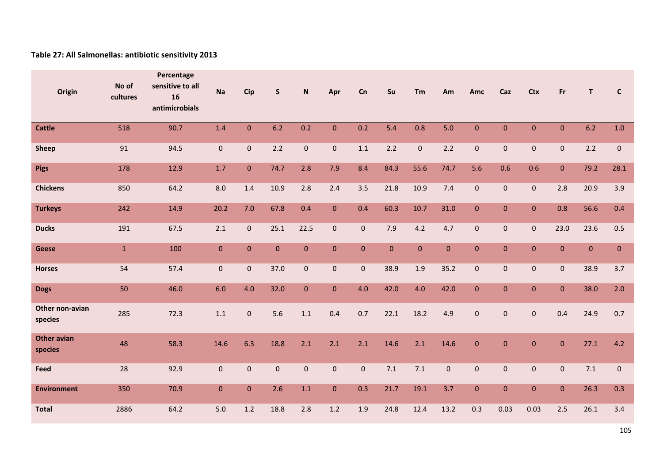## **Table 27: All Salmonellas: antibiotic sensitivity 2013**

| Origin                        | No of<br>cultures | Percentage<br>sensitive to all<br>16<br>antimicrobials | <b>Na</b>    | <b>Cip</b>   | $\mathsf{s}$ | ${\sf N}$      | Apr            | Cn             | Su             | Tm           | Am           | Amc          | Caz          | <b>Ctx</b>   | Fr             | $\mathsf{T}$ | $\mathbf{C}$ |
|-------------------------------|-------------------|--------------------------------------------------------|--------------|--------------|--------------|----------------|----------------|----------------|----------------|--------------|--------------|--------------|--------------|--------------|----------------|--------------|--------------|
| <b>Cattle</b>                 | 518               | 90.7                                                   | 1.4          | $\mathbf{0}$ | 6.2          | 0.2            | $\mathbf{0}$   | 0.2            | 5.4            | 0.8          | 5.0          | $\mathbf{0}$ | $\mathbf{0}$ | $\mathbf{0}$ | $\mathbf{0}$   | 6.2          | 1.0          |
| <b>Sheep</b>                  | 91                | 94.5                                                   | $\mathbf{0}$ | $\mathbf{0}$ | 2.2          | $\mathbf{0}$   | $\mathbf{0}$   | 1.1            | 2.2            | $\pmb{0}$    | 2.2          | $\pmb{0}$    | $\mathbf{0}$ | $\mathbf 0$  | $\pmb{0}$      | 2.2          | $\mathbf{0}$ |
| <b>Pigs</b>                   | 178               | 12.9                                                   | 1.7          | $\mathbf{0}$ | 74.7         | 2.8            | 7.9            | 8.4            | 84.3           | 55.6         | 74.7         | 5.6          | 0.6          | 0.6          | $\mathbf{0}$   | 79.2         | 28.1         |
| <b>Chickens</b>               | 850               | 64.2                                                   | 8.0          | 1.4          | 10.9         | 2.8            | 2.4            | 3.5            | 21.8           | 10.9         | 7.4          | $\mathbf{0}$ | $\mathbf 0$  | $\mathbf 0$  | 2.8            | 20.9         | 3.9          |
| <b>Turkeys</b>                | 242               | 14.9                                                   | 20.2         | 7.0          | 67.8         | 0.4            | $\overline{0}$ | 0.4            | 60.3           | 10.7         | 31.0         | $\mathbf{0}$ | $\mathbf 0$  | $\pmb{0}$    | 0.8            | 56.6         | 0.4          |
| <b>Ducks</b>                  | 191               | 67.5                                                   | 2.1          | $\mathbf{0}$ | 25.1         | 22.5           | $\mathbf{0}$   | $\mathbf{0}$   | 7.9            | 4.2          | 4.7          | $\pmb{0}$    | $\mathbf 0$  | $\mathbf 0$  | 23.0           | 23.6         | 0.5          |
| <b>Geese</b>                  | $\mathbf{1}$      | 100                                                    | $\mathbf{0}$ | $\mathbf{0}$ | $\mathbf{0}$ | $\mathbf{0}$   | $\overline{0}$ | $\overline{0}$ | $\overline{0}$ | $\mathbf{0}$ | $\mathbf{0}$ | $\mathbf{0}$ | $\mathbf{0}$ | $\mathbf{0}$ | $\mathbf{0}$   | $\mathbf 0$  | $\mathbf{0}$ |
| <b>Horses</b>                 | 54                | 57.4                                                   | $\mathbf 0$  | $\mathbf 0$  | 37.0         | $\overline{0}$ | $\overline{0}$ | $\mathbf{0}$   | 38.9           | 1.9          | 35.2         | $\mathbf 0$  | $\mathbf{0}$ | $\mathbf 0$  | $\mathbf{0}$   | 38.9         | 3.7          |
| <b>Dogs</b>                   | 50                | 46.0                                                   | 6.0          | 4.0          | 32.0         | $\pmb{0}$      | $\overline{0}$ | 4.0            | 42.0           | 4.0          | 42.0         | $\mathbf{0}$ | $\mathbf{0}$ | $\mathbf{0}$ | $\overline{0}$ | 38.0         | 2.0          |
| Other non-avian<br>species    | 285               | 72.3                                                   | 1.1          | $\pmb{0}$    | 5.6          | $1.1\,$        | 0.4            | 0.7            | 22.1           | 18.2         | 4.9          | $\pmb{0}$    | $\pmb{0}$    | $\mathbf 0$  | 0.4            | 24.9         | 0.7          |
| <b>Other avian</b><br>species | 48                | 58.3                                                   | 14.6         | 6.3          | 18.8         | 2.1            | 2.1            | 2.1            | 14.6           | 2.1          | 14.6         | $\mathbf{0}$ | $\mathbf{0}$ | $\mathbf{0}$ | $\mathbf{0}$   | 27.1         | 4.2          |
| Feed                          | 28                | 92.9                                                   | $\mathbf 0$  | $\pmb{0}$    | $\mathbf 0$  | $\mathbf 0$    | $\mathbf{0}$   | $\mathbf{0}$   | 7.1            | $7.1$        | $\mathbf 0$  | $\pmb{0}$    | $\mathbf{0}$ | $\mathbf 0$  | $\mathbf{0}$   | 7.1          | $\mathbf 0$  |
| <b>Environment</b>            | 350               | 70.9                                                   | $\mathbf{0}$ | $\mathbf{0}$ | 2.6          | $1.1\,$        | $\overline{0}$ | 0.3            | 21.7           | 19.1         | 3.7          | $\pmb{0}$    | $\mathbf{0}$ | $\mathbf 0$  | $\overline{0}$ | 26.3         | 0.3          |
| <b>Total</b>                  | 2886              | 64.2                                                   | 5.0          | 1.2          | 18.8         | 2.8            | 1.2            | 1.9            | 24.8           | 12.4         | 13.2         | 0.3          | 0.03         | 0.03         | 2.5            | 26.1         | 3.4          |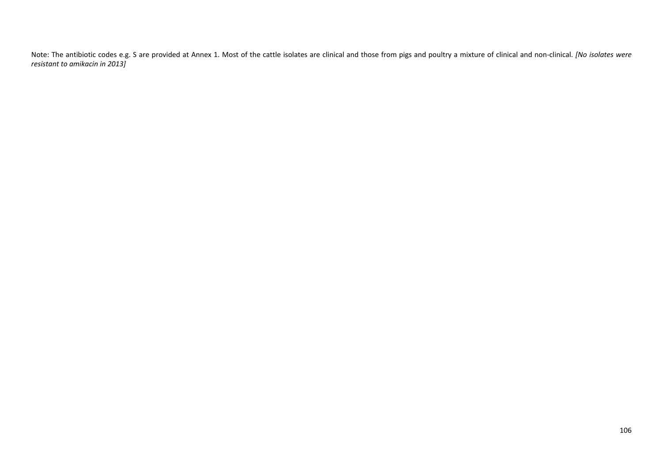Note: The antibiotic codes e.g. S are provided at Annex 1. Most of the cattle isolates are clinical and those from pigs and poultry <sup>a</sup> mixture of clinical and non‐clinical. *[No isolates were resistant to amikacin in 2013]*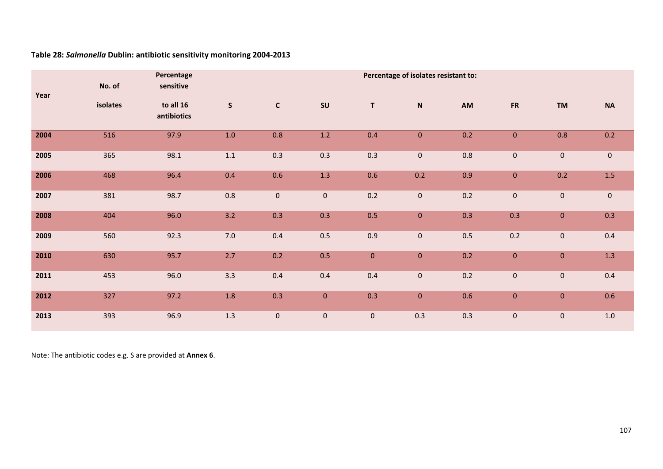|      | No. of   | Percentage<br>sensitive  |              |              | Percentage of isolates resistant to: |             |             |         |              |                |             |  |  |
|------|----------|--------------------------|--------------|--------------|--------------------------------------|-------------|-------------|---------|--------------|----------------|-------------|--|--|
| Year | isolates | to all 16<br>antibiotics | $\mathsf{S}$ | $\mathbf{C}$ | SU                                   | $\mathsf T$ | $\mathsf N$ | AM      | ${\sf FR}$   | <b>TM</b>      | <b>NA</b>   |  |  |
| 2004 | 516      | 97.9                     | 1.0          | 0.8          | $1.2\,$                              | 0.4         | $\mathbf 0$ | 0.2     | $\pmb{0}$    | 0.8            | 0.2         |  |  |
| 2005 | 365      | 98.1                     | $1.1$        | 0.3          | 0.3                                  | 0.3         | $\pmb{0}$   | $0.8\,$ | $\mathbf 0$  | $\overline{0}$ | $\mathbf 0$ |  |  |
| 2006 | 468      | 96.4                     | 0.4          | 0.6          | 1.3                                  | 0.6         | 0.2         | 0.9     | $\mathbf 0$  | 0.2            | $1.5\,$     |  |  |
| 2007 | 381      | 98.7                     | 0.8          | $\pmb{0}$    | $\pmb{0}$                            | 0.2         | $\pmb{0}$   | 0.2     | $\mathbf 0$  | $\mathbf 0$    | $\mathbf 0$ |  |  |
| 2008 | 404      | 96.0                     | 3.2          | 0.3          | 0.3                                  | 0.5         | $\mathbf 0$ | 0.3     | 0.3          | $\mathbf{0}$   | 0.3         |  |  |
| 2009 | 560      | 92.3                     | 7.0          | 0.4          | 0.5                                  | 0.9         | $\mathbf 0$ | 0.5     | 0.2          | $\pmb{0}$      | 0.4         |  |  |
| 2010 | 630      | 95.7                     | 2.7          | 0.2          | 0.5                                  | $\pmb{0}$   | $\pmb{0}$   | 0.2     | $\pmb{0}$    | $\mathbf 0$    | 1.3         |  |  |
| 2011 | 453      | 96.0                     | 3.3          | 0.4          | 0.4                                  | 0.4         | $\pmb{0}$   | 0.2     | $\mathbf 0$  | $\pmb{0}$      | 0.4         |  |  |
| 2012 | 327      | 97.2                     | 1.8          | 0.3          | $\pmb{0}$                            | 0.3         | $\pmb{0}$   | 0.6     | $\mathbf{0}$ | $\mathbf{0}$   | 0.6         |  |  |
| 2013 | 393      | 96.9                     | 1.3          | $\pmb{0}$    | $\pmb{0}$                            | $\mathbf 0$ | 0.3         | 0.3     | $\pmb{0}$    | $\pmb{0}$      | $1.0\,$     |  |  |

**Table 28:** *Salmonella* **Dublin: antibiotic sensitivity monitoring 2004‐2013**

Note: The antibiotic codes e.g. S are provided at **Annex 6**.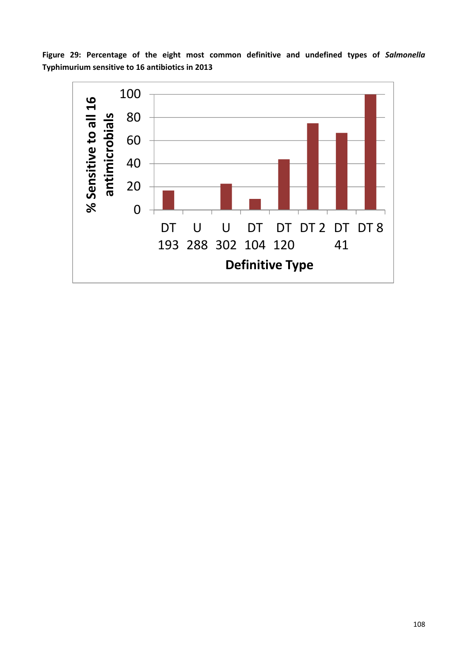**Figure 29: Percentage of the eight most common definitive and undefined types of** *Salmonella* **Typhimurium sensitive to 16 antibiotics in 2013** 

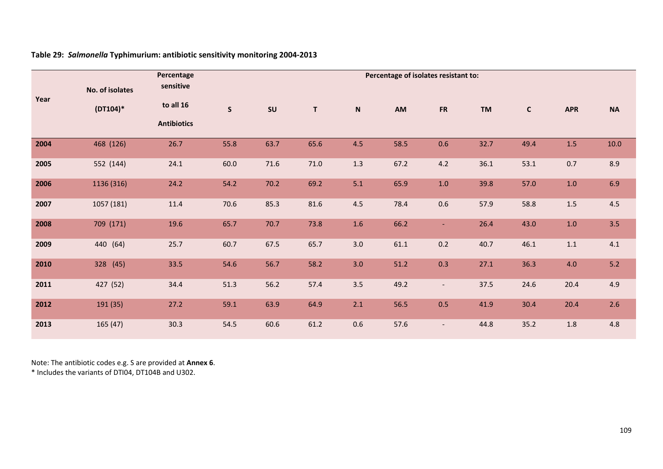|      |                 | Percentage         |             |      |             |                           | Percentage of isolates resistant to: |                          |           |              |            |           |
|------|-----------------|--------------------|-------------|------|-------------|---------------------------|--------------------------------------|--------------------------|-----------|--------------|------------|-----------|
|      | No. of isolates | sensitive          |             |      |             |                           |                                      |                          |           |              |            |           |
| Year | $(DT104)^*$     | to all 16          | $\mathsf S$ | SU   | $\mathbf T$ | $\boldsymbol{\mathsf{N}}$ | AM                                   | <b>FR</b>                | <b>TM</b> | $\mathsf{C}$ | <b>APR</b> | <b>NA</b> |
|      |                 | <b>Antibiotics</b> |             |      |             |                           |                                      |                          |           |              |            |           |
| 2004 | 468 (126)       | 26.7               | 55.8        | 63.7 | 65.6        | 4.5                       | 58.5                                 | 0.6                      | 32.7      | 49.4         | 1.5        | 10.0      |
| 2005 | 552 (144)       | 24.1               | 60.0        | 71.6 | 71.0        | 1.3                       | 67.2                                 | 4.2                      | 36.1      | 53.1         | 0.7        | 8.9       |
| 2006 | 1136 (316)      | 24.2               | 54.2        | 70.2 | 69.2        | 5.1                       | 65.9                                 | $1.0\,$                  | 39.8      | 57.0         | 1.0        | 6.9       |
| 2007 | 1057 (181)      | 11.4               | 70.6        | 85.3 | 81.6        | 4.5                       | 78.4                                 | 0.6                      | 57.9      | 58.8         | $1.5\,$    | 4.5       |
| 2008 | 709 (171)       | 19.6               | 65.7        | 70.7 | 73.8        | 1.6                       | 66.2                                 | $\blacksquare$           | 26.4      | 43.0         | $1.0$      | 3.5       |
| 2009 | 440 (64)        | 25.7               | 60.7        | 67.5 | 65.7        | 3.0                       | 61.1                                 | 0.2                      | 40.7      | 46.1         | 1.1        | 4.1       |
| 2010 | 328 (45)        | 33.5               | 54.6        | 56.7 | 58.2        | 3.0                       | 51.2                                 | 0.3                      | 27.1      | 36.3         | 4.0        | 5.2       |
| 2011 | 427 (52)        | 34.4               | 51.3        | 56.2 | 57.4        | 3.5                       | 49.2                                 | $\overline{\phantom{a}}$ | 37.5      | 24.6         | 20.4       | 4.9       |
| 2012 | 191 (35)        | 27.2               | 59.1        | 63.9 | 64.9        | 2.1                       | 56.5                                 | 0.5                      | 41.9      | 30.4         | 20.4       | 2.6       |
| 2013 | 165 (47)        | 30.3               | 54.5        | 60.6 | 61.2        | 0.6                       | 57.6                                 | $\overline{\phantom{a}}$ | 44.8      | 35.2         | 1.8        | 4.8       |

### **Table 29:** *Salmonella* **Typhimurium: antibiotic sensitivity monitoring 2004‐2013**

Note: The antibiotic codes e.g. S are provided at **Annex 6**.

\* Includes the variants of DTI04, DT104B and U302.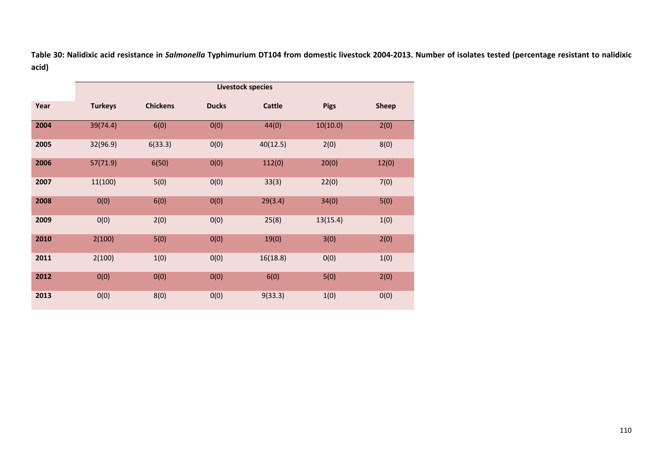**Table 30: Nalidixic acid resistance in** *Salmonella* **Typhimurium DT104 from domestic livestock 2004‐2013. Number of isolates tested (percentage resistant to nalidixic acid)** 

|      |                |                 |              | <b>Livestock species</b> |             |              |
|------|----------------|-----------------|--------------|--------------------------|-------------|--------------|
| Year | <b>Turkeys</b> | <b>Chickens</b> | <b>Ducks</b> | <b>Cattle</b>            | <b>Pigs</b> | <b>Sheep</b> |
| 2004 | 39(74.4)       | 6(0)            | O(0)         | 44(0)                    | 10(10.0)    | 2(0)         |
| 2005 | 32(96.9)       | 6(33.3)         | O(0)         | 40(12.5)                 | 2(0)        | 8(0)         |
| 2006 | 57(71.9)       | 6(50)           | O(0)         | 112(0)                   | 20(0)       | 12(0)        |
| 2007 | 11(100)        | 5(0)            | O(0)         | 33(3)                    | 22(0)       | 7(0)         |
| 2008 | 0(0)           | 6(0)            | O(0)         | 29(3.4)                  | 34(0)       | 5(0)         |
| 2009 | 0(0)           | 2(0)            | 0(0)         | 25(8)                    | 13(15.4)    | 1(0)         |
| 2010 | 2(100)         | 5(0)            | O(0)         | 19(0)                    | 3(0)        | 2(0)         |
| 2011 | 2(100)         | 1(0)            | O(0)         | 16(18.8)                 | O(0)        | 1(0)         |
| 2012 | O(0)           | 0(0)            | 0(0)         | 6(0)                     | 5(0)        | 2(0)         |
| 2013 | 0(0)           | 8(0)            | O(0)         | 9(33.3)                  | 1(0)        | O(0)         |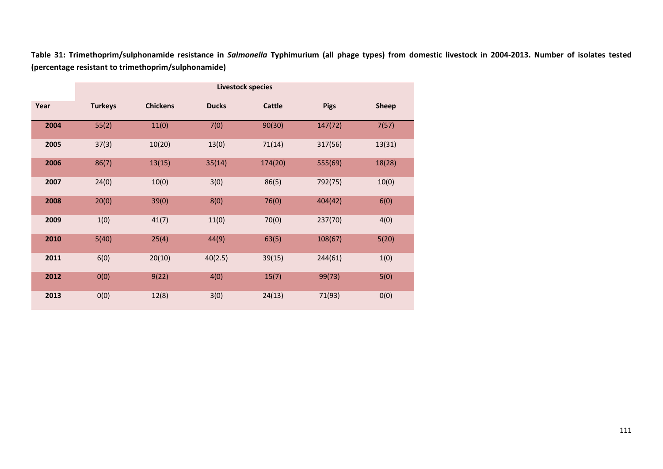|      |                |                 |              | <b>Livestock species</b> |             |              |
|------|----------------|-----------------|--------------|--------------------------|-------------|--------------|
| Year | <b>Turkeys</b> | <b>Chickens</b> | <b>Ducks</b> | <b>Cattle</b>            | <b>Pigs</b> | <b>Sheep</b> |
| 2004 | 55(2)          | 11(0)           | 7(0)         | 90(30)                   | 147(72)     | 7(57)        |
| 2005 | 37(3)          | 10(20)          | 13(0)        | 71(14)                   | 317(56)     | 13(31)       |
| 2006 | 86(7)          | 13(15)          | 35(14)       | 174(20)                  | 555(69)     | 18(28)       |
| 2007 | 24(0)          | 10(0)           | 3(0)         | 86(5)                    | 792(75)     | 10(0)        |
| 2008 | 20(0)          | 39(0)           | 8(0)         | 76(0)                    | 404(42)     | 6(0)         |
| 2009 | 1(0)           | 41(7)           | 11(0)        | 70(0)                    | 237(70)     | 4(0)         |
| 2010 | 5(40)          | 25(4)           | 44(9)        | 63(5)                    | 108(67)     | 5(20)        |
| 2011 | 6(0)           | 20(10)          | 40(2.5)      | 39(15)                   | 244(61)     | 1(0)         |
| 2012 | 0(0)           | 9(22)           | 4(0)         | 15(7)                    | 99(73)      | 5(0)         |
| 2013 | 0(0)           | 12(8)           | 3(0)         | 24(13)                   | 71(93)      | 0(0)         |

**Table 31: Trimethoprim/sulphonamide resistance in** *Salmonella* **Typhimurium (all phage types) from domestic livestock in 2004‐2013. Number of isolates tested (percentage resistant to trimethoprim/sulphonamide)**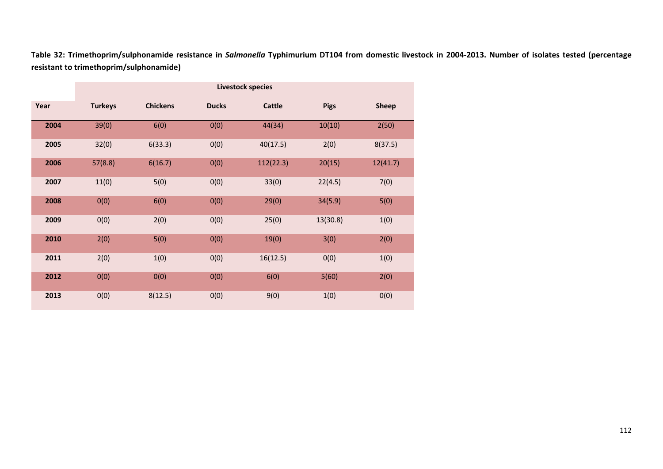|      |                |                 |              | <b>Livestock species</b> |             |              |
|------|----------------|-----------------|--------------|--------------------------|-------------|--------------|
| Year | <b>Turkeys</b> | <b>Chickens</b> | <b>Ducks</b> | <b>Cattle</b>            | <b>Pigs</b> | <b>Sheep</b> |
| 2004 | 39(0)          | 6(0)            | O(0)         | 44(34)                   | 10(10)      | 2(50)        |
| 2005 | 32(0)          | 6(33.3)         | O(0)         | 40(17.5)                 | 2(0)        | 8(37.5)      |
| 2006 | 57(8.8)        | 6(16.7)         | 0(0)         | 112(22.3)                | 20(15)      | 12(41.7)     |
| 2007 | 11(0)          | 5(0)            | 0(0)         | 33(0)                    | 22(4.5)     | 7(0)         |
| 2008 | O(0)           | 6(0)            | O(0)         | 29(0)                    | 34(5.9)     | 5(0)         |
| 2009 | 0(0)           | 2(0)            | O(0)         | 25(0)                    | 13(30.8)    | 1(0)         |
| 2010 | 2(0)           | 5(0)            | 0(0)         | 19(0)                    | 3(0)        | 2(0)         |
| 2011 | 2(0)           | 1(0)            | O(0)         | 16(12.5)                 | O(0)        | 1(0)         |
| 2012 | 0(0)           | O(0)            | O(0)         | 6(0)                     | 5(60)       | 2(0)         |
| 2013 | 0(0)           | 8(12.5)         | O(0)         | 9(0)                     | 1(0)        | O(0)         |

**Table 32: Trimethoprim/sulphonamide resistance in** *Salmonella* **Typhimurium DT104 from domestic livestock in 2004‐2013. Number of isolates tested (percentage resistant to trimethoprim/sulphonamide)**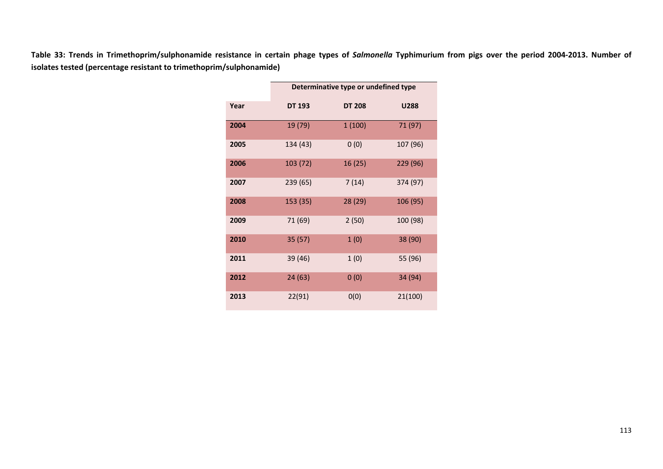**Table 33: Trends in Trimethoprim/sulphonamide resistance in certain phage types of** *Salmonella* **Typhimurium from pigs over the period 2004‐2013. Number of isolates tested (percentage resistant to trimethoprim/sulphonamide)**

|      |               | Determinative type or undefined type |          |
|------|---------------|--------------------------------------|----------|
| Year | <b>DT 193</b> | <b>DT 208</b>                        | U288     |
| 2004 | 19 (79)       | 1(100)                               | 71 (97)  |
| 2005 | 134 (43)      | 0(0)                                 | 107 (96) |
| 2006 | 103 (72)      | 16(25)                               | 229 (96) |
| 2007 | 239 (65)      | 7(14)                                | 374 (97) |
| 2008 | 153 (35)      | 28 (29)                              | 106 (95) |
| 2009 | 71 (69)       | 2(50)                                | 100 (98) |
| 2010 | 35(57)        | 1(0)                                 | 38 (90)  |
| 2011 | 39 (46)       | 1(0)                                 | 55 (96)  |
| 2012 | 24(63)        | 0(0)                                 | 34 (94)  |
| 2013 | 22(91)        | 0(0)                                 | 21(100)  |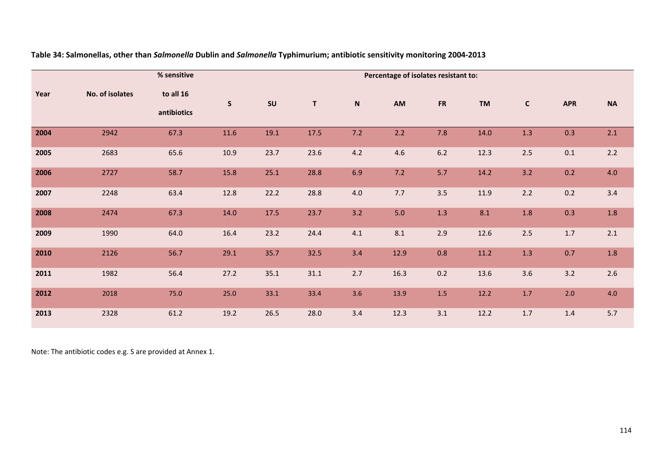|      |                 | % sensitive              |              |      |             |                           | Percentage of isolates resistant to: |           |           |              |            |           |
|------|-----------------|--------------------------|--------------|------|-------------|---------------------------|--------------------------------------|-----------|-----------|--------------|------------|-----------|
| Year | No. of isolates | to all 16<br>antibiotics | $\mathsf{s}$ | SU   | $\mathsf T$ | $\boldsymbol{\mathsf{N}}$ | AM                                   | <b>FR</b> | <b>TM</b> | $\mathbf{C}$ | <b>APR</b> | <b>NA</b> |
| 2004 | 2942            | 67.3                     | 11.6         | 19.1 | 17.5        | 7.2                       | 2.2                                  | 7.8       | 14.0      | 1.3          | 0.3        | 2.1       |
| 2005 | 2683            | 65.6                     | 10.9         | 23.7 | 23.6        | 4.2                       | 4.6                                  | $6.2$     | 12.3      | $2.5\,$      | 0.1        | 2.2       |
| 2006 | 2727            | 58.7                     | 15.8         | 25.1 | 28.8        | 6.9                       | 7.2                                  | 5.7       | 14.2      | 3.2          | 0.2        | 4.0       |
| 2007 | 2248            | 63.4                     | 12.8         | 22.2 | 28.8        | 4.0                       | 7.7                                  | 3.5       | 11.9      | 2.2          | 0.2        | 3.4       |
| 2008 | 2474            | 67.3                     | 14.0         | 17.5 | 23.7        | 3.2                       | 5.0                                  | 1.3       | 8.1       | $1.8\,$      | 0.3        | 1.8       |
| 2009 | 1990            | 64.0                     | 16.4         | 23.2 | 24.4        | 4.1                       | 8.1                                  | 2.9       | 12.6      | 2.5          | 1.7        | 2.1       |
| 2010 | 2126            | 56.7                     | 29.1         | 35.7 | 32.5        | 3.4                       | 12.9                                 | 0.8       | $11.2$    | 1.3          | 0.7        | 1.8       |
| 2011 | 1982            | 56.4                     | 27.2         | 35.1 | 31.1        | 2.7                       | 16.3                                 | 0.2       | 13.6      | 3.6          | 3.2        | 2.6       |
| 2012 | 2018            | 75.0                     | 25.0         | 33.1 | 33.4        | 3.6                       | 13.9                                 | $1.5\,$   | 12.2      | $1.7$        | $2.0$      | 4.0       |
| 2013 | 2328            | 61.2                     | 19.2         | 26.5 | 28.0        | 3.4                       | 12.3                                 | 3.1       | 12.2      | $1.7$        | 1.4        | 5.7       |

**Table 34: Salmonellas, other than** *Salmonella* **Dublin and** *Salmonella* **Typhimurium; antibiotic sensitivity monitoring 2004‐2013** 

Note: The antibiotic codes e.g. S are provided at Annex 1.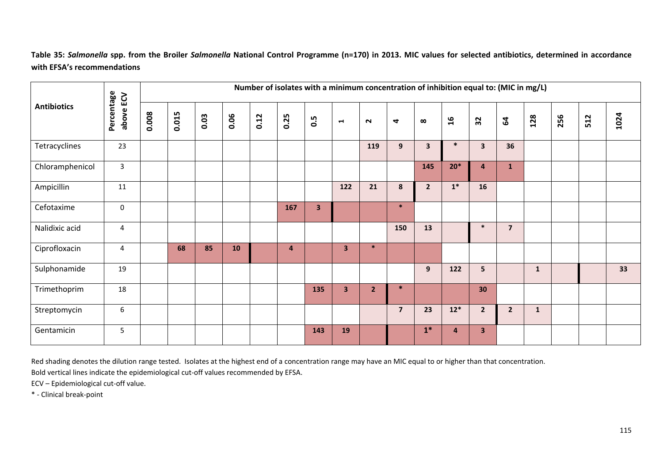**Table 35:** *Salmonella* **spp. from the Broiler** *Salmonella* **National Control Programme (n=170) in 2013. MIC values for selected antibiotics, determined in accordance with EFSA's recommendations** 

|                    | ECV                 |       |       |      |      |      | Number of isolates with a minimum concentration of inhibition equal to: (MIC in mg/L) |            |                         |                |                |                         |                |                         |                         |              |     |     |      |
|--------------------|---------------------|-------|-------|------|------|------|---------------------------------------------------------------------------------------|------------|-------------------------|----------------|----------------|-------------------------|----------------|-------------------------|-------------------------|--------------|-----|-----|------|
| <b>Antibiotics</b> | Percentage<br>above | 0.008 | 0.015 | 0.03 | 0.06 | 0.12 | 0.25                                                                                  | <b>S.O</b> | $\blacksquare$          | $\sim$         | 4              | $\infty$                | $\mathfrak{a}$ | 32                      | $\mathbf{g}$            | 128          | 256 | 512 | 1024 |
| Tetracyclines      | 23                  |       |       |      |      |      |                                                                                       |            |                         | 119            | 9              | $\overline{\mathbf{3}}$ | $\ast$         | $\overline{\mathbf{3}}$ | 36                      |              |     |     |      |
| Chloramphenicol    | 3                   |       |       |      |      |      |                                                                                       |            |                         |                |                | 145                     | $20*$          | $\overline{4}$          | $\mathbf{1}$            |              |     |     |      |
| Ampicillin         | 11                  |       |       |      |      |      |                                                                                       |            | 122                     | 21             | 8              | $\overline{2}$          | $\mathbf{1}^*$ | 16                      |                         |              |     |     |      |
| Cefotaxime         | $\mathbf 0$         |       |       |      |      |      | 167                                                                                   | 3          |                         |                | $\ast$         |                         |                |                         |                         |              |     |     |      |
| Nalidixic acid     | 4                   |       |       |      |      |      |                                                                                       |            |                         |                | 150            | 13                      |                | $\ast$                  | $\overline{\mathbf{z}}$ |              |     |     |      |
| Ciprofloxacin      | 4                   |       | 68    | 85   | 10   |      | 4                                                                                     |            | $\overline{\mathbf{3}}$ | $\ast$         |                |                         |                |                         |                         |              |     |     |      |
| Sulphonamide       | 19                  |       |       |      |      |      |                                                                                       |            |                         |                |                | 9                       | 122            | 5                       |                         | $\mathbf{1}$ |     |     | 33   |
| Trimethoprim       | 18                  |       |       |      |      |      |                                                                                       | 135        | $\overline{\mathbf{3}}$ | $\overline{2}$ | $\ast$         |                         |                | 30 <sub>o</sub>         |                         |              |     |     |      |
| Streptomycin       | 6                   |       |       |      |      |      |                                                                                       |            |                         |                | $\overline{7}$ | 23                      | $12*$          | $\overline{2}$          | $\overline{2}$          | $\mathbf{1}$ |     |     |      |
| Gentamicin         | 5                   |       |       |      |      |      |                                                                                       | 143        | 19                      |                |                | $1*$                    | 4              | 3 <sup>2</sup>          |                         |              |     |     |      |

Red shading denotes the dilution range tested. Isolates at the highest end of <sup>a</sup> concentration range may have an MIC equal to or higher than that concentration.

Bold vertical lines indicate the epidemiological cut‐off values recommended by EFSA.

ECV – Epidemiological cut‐off value.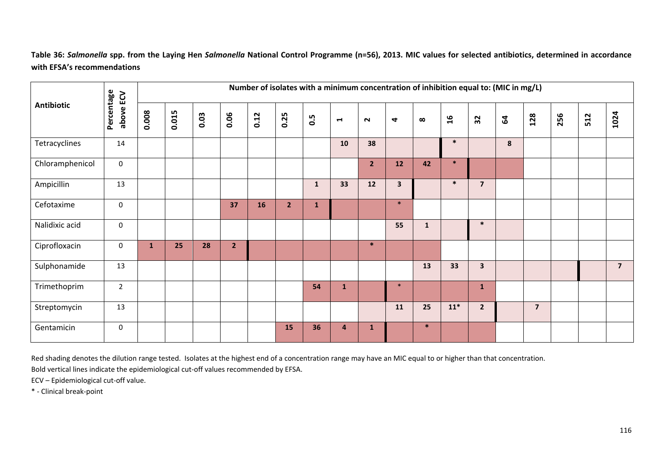**Table 36:** *Salmonella* **spp. from the Laying Hen** *Salmonella* **National Control Programme (n=56), 2013. MIC values for selected antibiotics, determined in accordance with EFSA's recommendations**

|                   |                         |       |       |      |                | Number of isolates with a minimum concentration of inhibition equal to: (MIC in mg/L) |                |              |                |                |              |              |                |                         |              |                |     |     |                |
|-------------------|-------------------------|-------|-------|------|----------------|---------------------------------------------------------------------------------------|----------------|--------------|----------------|----------------|--------------|--------------|----------------|-------------------------|--------------|----------------|-----|-----|----------------|
| <b>Antibiotic</b> | Percentage<br>above ECV | 0.008 | 0.015 | 0.03 | 0.06           | 0.12                                                                                  | 0.25           | 0.5          | $\blacksquare$ | $\sim$         | 4            | $\infty$     | $\mathfrak{a}$ | 32                      | $\mathbf{2}$ | 128            | 256 | 512 | 1024           |
| Tetracyclines     | 14                      |       |       |      |                |                                                                                       |                |              | 10             | 38             |              |              | $\ast$         |                         | 8            |                |     |     |                |
| Chloramphenicol   | $\mathbf 0$             |       |       |      |                |                                                                                       |                |              |                | $\overline{2}$ | 12           | 42           | $\ast$         |                         |              |                |     |     |                |
| Ampicillin        | 13                      |       |       |      |                |                                                                                       |                | $\mathbf{1}$ | 33             | 12             | $\mathbf{3}$ |              | $\ast$         | $\overline{7}$          |              |                |     |     |                |
| Cefotaxime        | $\mathbf 0$             |       |       |      | 37             | 16                                                                                    | 2 <sup>1</sup> | $\mathbf{1}$ |                |                | $\ast$       |              |                |                         |              |                |     |     |                |
| Nalidixic acid    | $\mathbf 0$             |       |       |      |                |                                                                                       |                |              |                |                | 55           | $\mathbf{1}$ |                | $\ast$                  |              |                |     |     |                |
| Ciprofloxacin     | 0                       | 1     | 25    | 28   | $\overline{2}$ |                                                                                       |                |              |                | $\ast$         |              |              |                |                         |              |                |     |     |                |
| Sulphonamide      | 13                      |       |       |      |                |                                                                                       |                |              |                |                |              | 13           | 33             | $\overline{\mathbf{3}}$ |              |                |     |     | $\overline{7}$ |
| Trimethoprim      | $\overline{2}$          |       |       |      |                |                                                                                       |                | 54           | $\mathbf{1}$   |                | $\ast$       |              |                | $\mathbf{1}$            |              |                |     |     |                |
| Streptomycin      | 13                      |       |       |      |                |                                                                                       |                |              |                |                | 11           | 25           | $11*$          | $2^{\circ}$             |              | $\overline{7}$ |     |     |                |
| Gentamicin        | $\mathbf 0$             |       |       |      |                |                                                                                       | 15             | 36           | 4              | $\mathbf{1}$   |              | $\ast$       |                |                         |              |                |     |     |                |

Red shading denotes the dilution range tested. Isolates at the highest end of <sup>a</sup> concentration range may have an MIC equal to or higher than that concentration.

Bold vertical lines indicate the epidemiological cut‐off values recommended by EFSA.

ECV – Epidemiological cut‐off value.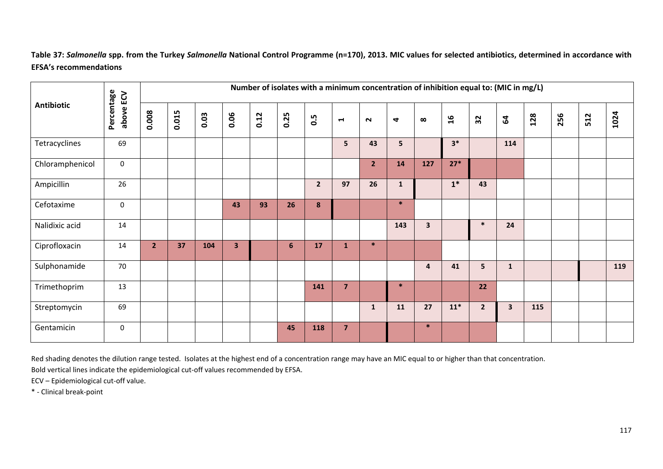**Table 37:** *Salmonella* **spp. from the Turkey** *Salmonella* **National Control Programme (n=170), 2013. MIC values for selected antibiotics, determined in accordance with EFSA's recommendations** 

|                 | ECV                 |                |       |      |      |      | Number of isolates with a minimum concentration of inhibition equal to: (MIC in mg/L) |                |                       |                |              |              |                |                |                         |     |     |     |      |
|-----------------|---------------------|----------------|-------|------|------|------|---------------------------------------------------------------------------------------|----------------|-----------------------|----------------|--------------|--------------|----------------|----------------|-------------------------|-----|-----|-----|------|
| Antibiotic      | Percentage<br>above | 0.008          | 0.015 | 0.03 | 0.06 | 0.12 | 0.25                                                                                  | 0.5            | $\blacktriangleright$ | $\sim$         | 4            | $\infty$     | $\mathfrak{a}$ | 32             | 64                      | 128 | 256 | 512 | 1024 |
| Tetracyclines   | 69                  |                |       |      |      |      |                                                                                       |                | 5 <sup>1</sup>        | 43             | 5            |              | $3*$           |                | 114                     |     |     |     |      |
| Chloramphenicol | $\boldsymbol{0}$    |                |       |      |      |      |                                                                                       |                |                       | $\overline{2}$ | 14           | 127          | $27*$          |                |                         |     |     |     |      |
| Ampicillin      | 26                  |                |       |      |      |      |                                                                                       | $\overline{2}$ | 97                    | 26             | $\mathbf{1}$ |              | $1^*$          | 43             |                         |     |     |     |      |
| Cefotaxime      | $\mathbf 0$         |                |       |      | 43   | 93   | 26                                                                                    | 8              |                       |                | $\ast$       |              |                |                |                         |     |     |     |      |
| Nalidixic acid  | 14                  |                |       |      |      |      |                                                                                       |                |                       |                | 143          | $\mathbf{3}$ |                | $\ast$         | 24                      |     |     |     |      |
| Ciprofloxacin   | 14                  | 2 <sup>2</sup> | 37    | 104  | 3    |      | 6                                                                                     | 17             | $\mathbf{1}$          | $\ast$         |              |              |                |                |                         |     |     |     |      |
| Sulphonamide    | 70                  |                |       |      |      |      |                                                                                       |                |                       |                |              | 4            | 41             | 5              | $\mathbf{1}$            |     |     |     | 119  |
| Trimethoprim    | 13                  |                |       |      |      |      |                                                                                       | 141            | $\overline{7}$        |                | $\ast$       |              |                | 22             |                         |     |     |     |      |
| Streptomycin    | 69                  |                |       |      |      |      |                                                                                       |                |                       | $\mathbf{1}$   | 11           | 27           | $11*$          | 2 <sup>1</sup> | $\overline{\mathbf{3}}$ | 115 |     |     |      |
| Gentamicin      | $\boldsymbol{0}$    |                |       |      |      |      | 45                                                                                    | 118            | $\overline{7}$        |                |              | $\ast$       |                |                |                         |     |     |     |      |

Red shading denotes the dilution range tested. Isolates at the highest end of <sup>a</sup> concentration range may have an MIC equal to or higher than that concentration.

Bold vertical lines indicate the epidemiological cut‐off values recommended by EFSA.

ECV – Epidemiological cut‐off value.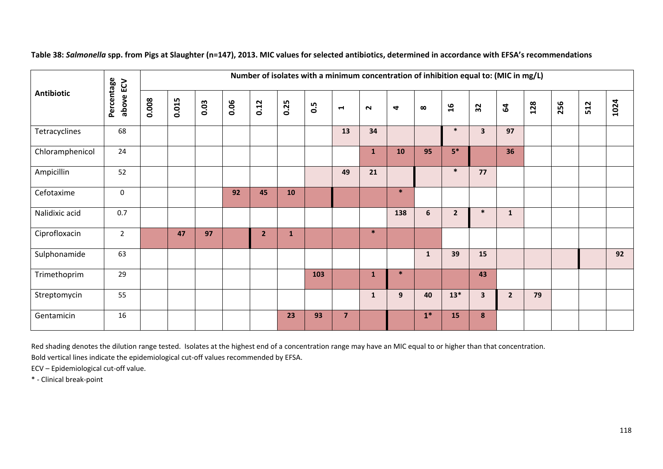|                   |                         |       |       |      |      | Number of isolates with a minimum concentration of inhibition equal to: (MIC in mg/L) |              |     |                |              |        |              |                 |                         |                |     |     |     |      |
|-------------------|-------------------------|-------|-------|------|------|---------------------------------------------------------------------------------------|--------------|-----|----------------|--------------|--------|--------------|-----------------|-------------------------|----------------|-----|-----|-----|------|
| <b>Antibiotic</b> | Percentage<br>above ECV | 0.008 | 0.015 | 0.03 | 0.06 | 0.12                                                                                  | 0.25         | 0.5 | $\blacksquare$ | $\sim$       | 4      | $\infty$     | $\overline{16}$ | 32                      | $\mathbf{g}$   | 128 | 256 | 512 | 1024 |
| Tetracyclines     | 68                      |       |       |      |      |                                                                                       |              |     | 13             | 34           |        |              | $\ast$          | $\overline{\mathbf{3}}$ | 97             |     |     |     |      |
| Chloramphenicol   | 24                      |       |       |      |      |                                                                                       |              |     |                | $\mathbf{1}$ | 10     | 95           | $5*$            |                         | 36             |     |     |     |      |
| Ampicillin        | 52                      |       |       |      |      |                                                                                       |              |     | 49             | 21           |        |              | $\ast$          | 77                      |                |     |     |     |      |
| Cefotaxime        | 0                       |       |       |      | 92   | 45                                                                                    | <b>10</b>    |     |                |              | $\ast$ |              |                 |                         |                |     |     |     |      |
| Nalidixic acid    | 0.7                     |       |       |      |      |                                                                                       |              |     |                |              | 138    | 6            | $\overline{2}$  | $\ast$                  | $\mathbf{1}$   |     |     |     |      |
| Ciprofloxacin     | $\overline{2}$          |       | 47    | 97   |      | $\overline{2}$                                                                        | $\mathbf{1}$ |     |                | $\ast$       |        |              |                 |                         |                |     |     |     |      |
| Sulphonamide      | 63                      |       |       |      |      |                                                                                       |              |     |                |              |        | $\mathbf{1}$ | 39              | 15                      |                |     |     |     | 92   |
| Trimethoprim      | 29                      |       |       |      |      |                                                                                       |              | 103 |                | 1            | $\ast$ |              |                 | 43                      |                |     |     |     |      |
| Streptomycin      | 55                      |       |       |      |      |                                                                                       |              |     |                | $\mathbf{1}$ | 9      | 40           | $13*$           | $\overline{\mathbf{3}}$ | $\overline{2}$ | 79  |     |     |      |
| Gentamicin        | 16                      |       |       |      |      |                                                                                       | 23           | 93  | $\overline{7}$ |              |        | $1*$         | 15              | 8                       |                |     |     |     |      |

**Table 38:** *Salmonella* **spp. from Pigs at Slaughter (n=147), 2013. MIC values for selected antibiotics, determined in accordance with EFSA's recommendations** 

Red shading denotes the dilution range tested. Isolates at the highest end of <sup>a</sup> concentration range may have an MIC equal to or higher than that concentration.

Bold vertical lines indicate the epidemiological cut‐off values recommended by EFSA.

ECV – Epidemiological cut‐off value.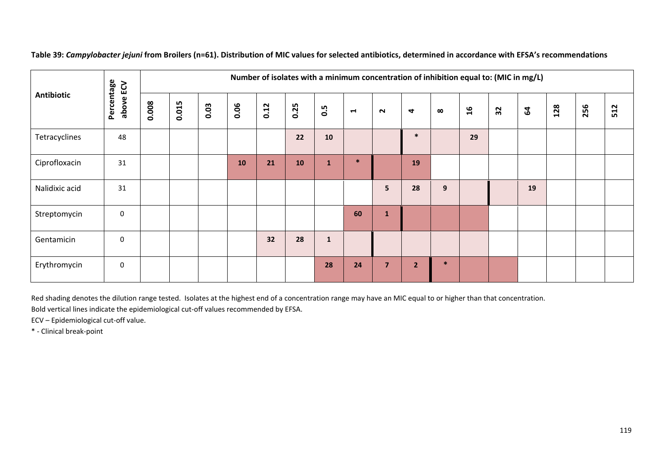|                   | ECV                 |       |       |      |      |      |      |              |                |                         |                | Number of isolates with a minimum concentration of inhibition equal to: (MIC in mg/L) |                 |    |              |     |     |     |
|-------------------|---------------------|-------|-------|------|------|------|------|--------------|----------------|-------------------------|----------------|---------------------------------------------------------------------------------------|-----------------|----|--------------|-----|-----|-----|
| <b>Antibiotic</b> | Percentage<br>above | 0.008 | 0.015 | 0.03 | 0.06 | 0.12 | 0.25 | <b>9.5</b>   | $\blacksquare$ | $\sim$                  | 4              | $\infty$                                                                              | $\overline{16}$ | 32 | $\mathbf{g}$ | 128 | 256 | 512 |
| Tetracyclines     | 48                  |       |       |      |      |      | 22   | 10           |                |                         | $\ast$         |                                                                                       | 29              |    |              |     |     |     |
| Ciprofloxacin     | 31                  |       |       |      | 10   | 21   | 10   | 1            | $\ast$         |                         | 19             |                                                                                       |                 |    |              |     |     |     |
| Nalidixic acid    | 31                  |       |       |      |      |      |      |              |                | 5                       | 28             | $\boldsymbol{9}$                                                                      |                 |    | 19           |     |     |     |
| Streptomycin      | 0                   |       |       |      |      |      |      |              | 60             | 1                       |                |                                                                                       |                 |    |              |     |     |     |
| Gentamicin        | 0                   |       |       |      |      | 32   | 28   | $\mathbf{1}$ |                |                         |                |                                                                                       |                 |    |              |     |     |     |
| Erythromycin      | $\mathbf 0$         |       |       |      |      |      |      | 28           | 24             | $\overline{\mathbf{z}}$ | $\overline{2}$ | $\ast$                                                                                |                 |    |              |     |     |     |

**Table 39:** *Campylobacter jejuni* **from Broilers (n=61). Distribution of MIC values for selected antibiotics, determined in accordance with EFSA's recommendations** 

Red shading denotes the dilution range tested. Isolates at the highest end of <sup>a</sup> concentration range may have an MIC equal to or higher than that concentration. Bold vertical lines indicate the epidemiological cut‐off values recommended by EFSA.

ECV – Epidemiological cut‐off value.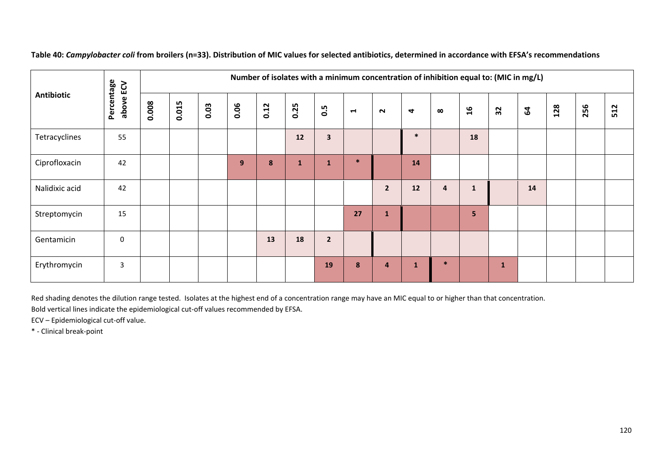|                   | ECV                 |       |       |      |      |      | Number of isolates with a minimum concentration of inhibition equal to: (MIC in mg/L) |                |                |                |              |          |                |              |              |     |     |     |
|-------------------|---------------------|-------|-------|------|------|------|---------------------------------------------------------------------------------------|----------------|----------------|----------------|--------------|----------|----------------|--------------|--------------|-----|-----|-----|
| <b>Antibiotic</b> | Percentage<br>above | 0.008 | 0.015 | 0.03 | 0.06 | 0.12 | 0.25                                                                                  | 0.5            | $\blacksquare$ | $\sim$         | 4            | $\infty$ | $\mathfrak{a}$ | 32           | $\mathbf{a}$ | 128 | 256 | 512 |
| Tetracyclines     | 55                  |       |       |      |      |      | 12                                                                                    | 3              |                |                | $\ast$       |          | 18             |              |              |     |     |     |
| Ciprofloxacin     | 42                  |       |       |      | 9    | 8    | $\mathbf{1}$                                                                          | 1              | $\ast$         |                | 14           |          |                |              |              |     |     |     |
| Nalidixic acid    | 42                  |       |       |      |      |      |                                                                                       |                |                | $\overline{2}$ | 12           | 4        |                |              | 14           |     |     |     |
| Streptomycin      | 15                  |       |       |      |      |      |                                                                                       |                | 27             | $\mathbf{1}$   |              |          | 5              |              |              |     |     |     |
| Gentamicin        | $\mathbf 0$         |       |       |      |      | 13   | 18                                                                                    | $\overline{2}$ |                |                |              |          |                |              |              |     |     |     |
| Erythromycin      | 3                   |       |       |      |      |      |                                                                                       | 19             | 8              | 4              | $\mathbf{1}$ | $\ast$   |                | $\mathbf{1}$ |              |     |     |     |

**Table 40:** *Campylobacter coli* **from broilers (n=33). Distribution of MIC values for selected antibiotics, determined in accordance with EFSA's recommendations**

Red shading denotes the dilution range tested. Isolates at the highest end of <sup>a</sup> concentration range may have an MIC equal to or higher than that concentration. Bold vertical lines indicate the epidemiological cut‐off values recommended by EFSA.

ECV – Epidemiological cut‐off value.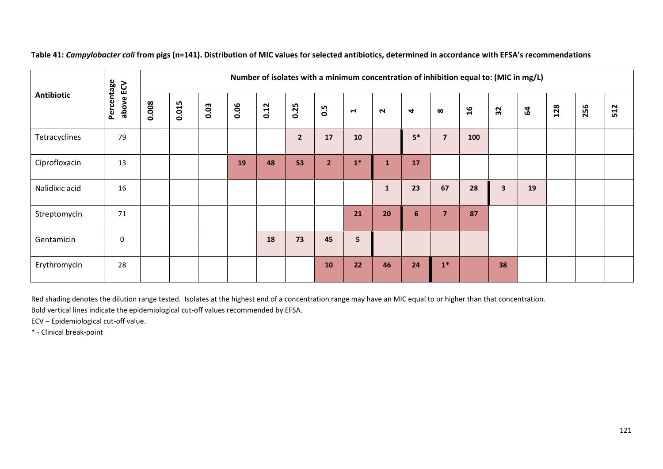|                                          | ECV         |       | Number of isolates with a minimum concentration of inhibition equal to: (MIC in mg/L) |      |      |      |                |                |        |              |          |                           |     |                         |     |     |     |  |
|------------------------------------------|-------------|-------|---------------------------------------------------------------------------------------|------|------|------|----------------|----------------|--------|--------------|----------|---------------------------|-----|-------------------------|-----|-----|-----|--|
| Percentage<br><b>Antibiotic</b><br>above | 0.008       | 0.015 | 0.03                                                                                  | 0.06 | 0.12 | 0.25 | 0.5            | $\blacksquare$ | $\sim$ | 4            | $\infty$ | $\overline{\mathfrak{a}}$ | 32  | $\mathbf{g}$            | 128 | 256 | 512 |  |
| Tetracyclines                            | 79          |       |                                                                                       |      |      |      | $\overline{2}$ | 17             | 10     |              | $5*$     | $\overline{\mathbf{z}}$   | 100 |                         |     |     |     |  |
| Ciprofloxacin                            | 13          |       |                                                                                       |      | 19   | 48   | 53             | $\overline{2}$ | $1*$   | 1            | 17       |                           |     |                         |     |     |     |  |
| Nalidixic acid                           | 16          |       |                                                                                       |      |      |      |                |                |        | $\mathbf{1}$ | 23       | 67                        | 28  | $\overline{\mathbf{3}}$ | 19  |     |     |  |
| Streptomycin                             | 71          |       |                                                                                       |      |      |      |                |                | 21     | 20           | 6        | $\overline{\mathbf{z}}$   | 87  |                         |     |     |     |  |
| Gentamicin                               | $\mathbf 0$ |       |                                                                                       |      |      | 18   | 73             | 45             | 5      |              |          |                           |     |                         |     |     |     |  |
| Erythromycin                             | 28          |       |                                                                                       |      |      |      |                | 10             | 22     | 46           | 24       | $\mathbf{1}^*$            |     | 38                      |     |     |     |  |

**Table 41:** *Campylobacter coli* **from pigs (n=141). Distribution of MIC values for selected antibiotics, determined in accordance with EFSA's recommendations**

Red shading denotes the dilution range tested. Isolates at the highest end of <sup>a</sup> concentration range may have an MIC equal to or higher than that concentration.

Bold vertical lines indicate the epidemiological cut‐off values recommended by EFSA.

ECV – Epidemiological cut‐off value.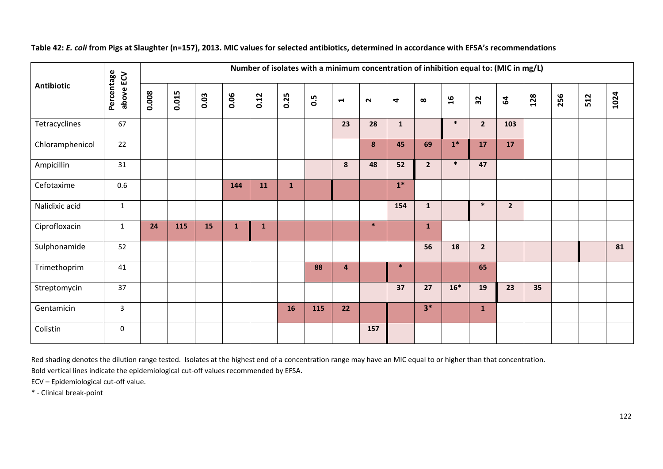|                   |                         |       | Number of isolates with a minimum concentration of inhibition equal to: (MIC in mg/L) |      |              |              |              |     |                         |        |                      |                |                |                |                |     |     |     |      |
|-------------------|-------------------------|-------|---------------------------------------------------------------------------------------|------|--------------|--------------|--------------|-----|-------------------------|--------|----------------------|----------------|----------------|----------------|----------------|-----|-----|-----|------|
| <b>Antibiotic</b> | Percentage<br>above ECV | 0.008 | 0.015                                                                                 | 0.03 | 0.06         | 0.12         | 0.25         | 0.5 | $\blacktriangleright$   | $\sim$ | $\blacktriangleleft$ | $\infty$       | $\overline{a}$ | 32             | $\mathbf{g}$   | 128 | 256 | 512 | 1024 |
| Tetracyclines     | 67                      |       |                                                                                       |      |              |              |              |     | 23                      | 28     | $\mathbf{1}$         |                | $\ast$         | $\overline{2}$ | 103            |     |     |     |      |
| Chloramphenicol   | 22                      |       |                                                                                       |      |              |              |              |     |                         | 8      | 45                   | 69             | $1*$           | 17             | 17             |     |     |     |      |
| Ampicillin        | 31                      |       |                                                                                       |      |              |              |              |     | 8                       | 48     | 52                   | $\overline{2}$ | $\ast$         | 47             |                |     |     |     |      |
| Cefotaxime        | 0.6                     |       |                                                                                       |      | 144          | 11           | $\mathbf{1}$ |     |                         |        | $1*$                 |                |                |                |                |     |     |     |      |
| Nalidixic acid    | $\mathbf{1}$            |       |                                                                                       |      |              |              |              |     |                         |        | 154                  | $\mathbf{1}$   |                | $\ast$         | $\overline{2}$ |     |     |     |      |
| Ciprofloxacin     | $\mathbf{1}$            | 24    | 115                                                                                   | 15   | $\mathbf{1}$ | $\mathbf{1}$ |              |     |                         | $\ast$ |                      | $\mathbf{1}$   |                |                |                |     |     |     |      |
| Sulphonamide      | 52                      |       |                                                                                       |      |              |              |              |     |                         |        |                      | 56             | 18             | $2^{\circ}$    |                |     |     |     | 81   |
| Trimethoprim      | 41                      |       |                                                                                       |      |              |              |              | 88  | $\overline{\mathbf{4}}$ |        | $\ast$               |                |                | 65             |                |     |     |     |      |
| Streptomycin      | 37                      |       |                                                                                       |      |              |              |              |     |                         |        | 37                   | 27             | $16*$          | 19             | 23             | 35  |     |     |      |
| Gentamicin        | $\mathbf{3}$            |       |                                                                                       |      |              |              | 16           | 115 | 22                      |        |                      | $3*$           |                | $\mathbf{1}$   |                |     |     |     |      |
| Colistin          | $\boldsymbol{0}$        |       |                                                                                       |      |              |              |              |     |                         | 157    |                      |                |                |                |                |     |     |     |      |

### **Table 42:** *E. coli* **from Pigs at Slaughter (n=157), 2013. MIC values for selected antibiotics, determined in accordance with EFSA's recommendations**

Red shading denotes the dilution range tested. Isolates at the highest end of <sup>a</sup> concentration range may have an MIC equal to or higher than that concentration.

Bold vertical lines indicate the epidemiological cut‐off values recommended by EFSA.

ECV – Epidemiological cut‐off value.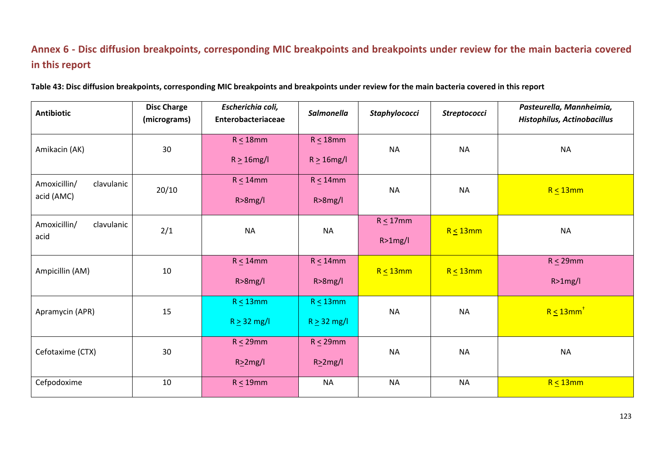## **Annex 6 ‐ Disc diffusion breakpoints, corresponding MIC breakpoints and breakpoints under review for the main bacteria covered in this report**

| <b>Antibiotic</b>                        | <b>Disc Charge</b><br>(micrograms) | Escherichia coli,<br>Enterobacteriaceae | <b>Salmonella</b>                  | Staphylococci             | Streptococci   | Pasteurella, Mannheimia,<br>Histophilus, Actinobacillus |
|------------------------------------------|------------------------------------|-----------------------------------------|------------------------------------|---------------------------|----------------|---------------------------------------------------------|
| Amikacin (AK)                            | 30                                 | $R \leq 18$ mm<br>$R \geq 16$ mg/l      | $R \leq 18$ mm<br>$R \geq 16$ mg/l | <b>NA</b>                 | <b>NA</b>      | <b>NA</b>                                               |
| clavulanic<br>Amoxicillin/<br>acid (AMC) | 20/10                              | $R \leq 14$ mm<br>$R > 8$ mg/l          | $R \leq 14$ mm<br>$R > 8$ mg/l     | <b>NA</b>                 | <b>NA</b>      | $R \leq 13$ mm                                          |
| Amoxicillin/<br>clavulanic<br>acid       | 2/1                                | <b>NA</b>                               | <b>NA</b>                          | $R \leq 17$ mm<br>R>1mg/l | $R \leq 13$ mm | <b>NA</b>                                               |
| Ampicillin (AM)                          | $10\,$                             | $R \leq 14$ mm<br>$R > 8$ mg/l          | $R \leq 14$ mm<br>$R > 8$ mg/l     | $R \leq 13$ mm            | $R \leq 13$ mm | $R \leq 29$ mm<br>R>1mg/l                               |
| Apramycin (APR)                          | 15                                 | $R \leq 13$ mm<br>$R \geq 32$ mg/l      | $R \leq 13$ mm<br>$R \geq 32$ mg/l | <b>NA</b>                 | <b>NA</b>      | $R \leq 13$ mm <sup>+</sup>                             |
| Cefotaxime (CTX)                         | 30                                 | $R \leq 29$ mm<br>$R \geq 2mg/l$        | $R \leq 29$ mm<br>$R \geq 2mg/l$   | <b>NA</b>                 | <b>NA</b>      | <b>NA</b>                                               |
| Cefpodoxime                              | $10\,$                             | $R \leq 19$ mm                          | <b>NA</b>                          | <b>NA</b>                 | <b>NA</b>      | $R \leq 13$ mm                                          |

**Table 43: Disc diffusion breakpoints, corresponding MIC breakpoints and breakpoints under review for the main bacteria covered in this report**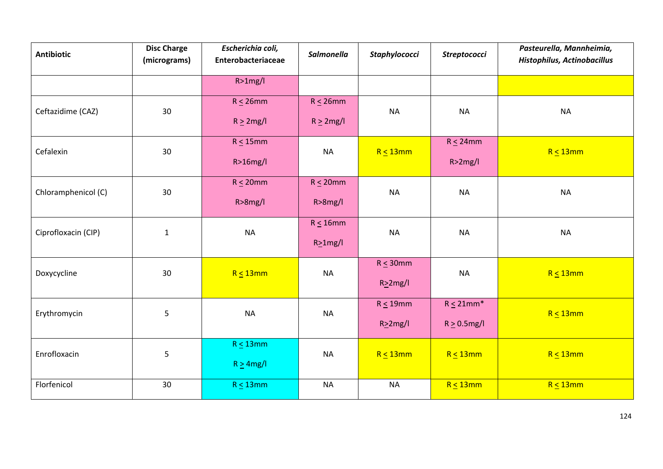| <b>Antibiotic</b>   | <b>Disc Charge</b><br>(micrograms) | Escherichia coli,<br>Enterobacteriaceae | <b>Salmonella</b> | Staphylococci  | Streptococci      | Pasteurella, Mannheimia,<br><b>Histophilus, Actinobacillus</b> |
|---------------------|------------------------------------|-----------------------------------------|-------------------|----------------|-------------------|----------------------------------------------------------------|
|                     |                                    | R>1mg/l                                 |                   |                |                   |                                                                |
| Ceftazidime (CAZ)   | 30                                 | $R \leq 26$ mm                          | $R \leq 26$ mm    | <b>NA</b>      | <b>NA</b>         | <b>NA</b>                                                      |
|                     |                                    | $R \geq 2mg/l$                          | $R \geq 2mg/l$    |                |                   |                                                                |
| Cefalexin           | 30                                 | $R \leq 15$ mm                          | <b>NA</b>         | $R \leq 13$ mm | $R \leq 24$ mm    | $R \leq 13$ mm                                                 |
|                     |                                    | $R>16$ mg/l                             |                   |                | R>2mg/l           |                                                                |
| Chloramphenicol (C) | 30                                 | $R \leq 20$ mm                          | $R \leq 20$ mm    | <b>NA</b>      | <b>NA</b>         | <b>NA</b>                                                      |
|                     |                                    | $R > 8$ mg/l                            | $R > 8$ mg/l      |                |                   |                                                                |
| Ciprofloxacin (CIP) | $\mathbf 1$                        | <b>NA</b>                               | $R \leq 16$ mm    | <b>NA</b>      | <b>NA</b>         | <b>NA</b>                                                      |
|                     |                                    |                                         | $R \geq 1$ mg/l   |                |                   |                                                                |
| Doxycycline         | 30                                 | $R \leq 13$ mm                          | <b>NA</b>         | $R \leq 30$ mm | <b>NA</b>         | $R \leq 13$ mm                                                 |
|                     |                                    |                                         |                   | $R \geq 2mg/l$ |                   |                                                                |
| Erythromycin        | 5                                  | <b>NA</b>                               | <b>NA</b>         | $R \leq 19$ mm | $R \leq 21$ mm*   | $R \leq 13$ mm                                                 |
|                     |                                    |                                         |                   | $R \geq 2mg/l$ | $R \geq 0.5$ mg/l |                                                                |
| Enrofloxacin        | 5                                  | $R \leq 13$ mm                          | <b>NA</b>         | $R \leq 13$ mm | $R \leq 13$ mm    | $R \leq 13$ mm                                                 |
|                     |                                    | $R \geq 4mg/l$                          |                   |                |                   |                                                                |
| Florfenicol         | 30                                 | $R \leq 13$ mm                          | <b>NA</b>         | <b>NA</b>      | $R \leq 13$ mm    | $R < 13$ mm                                                    |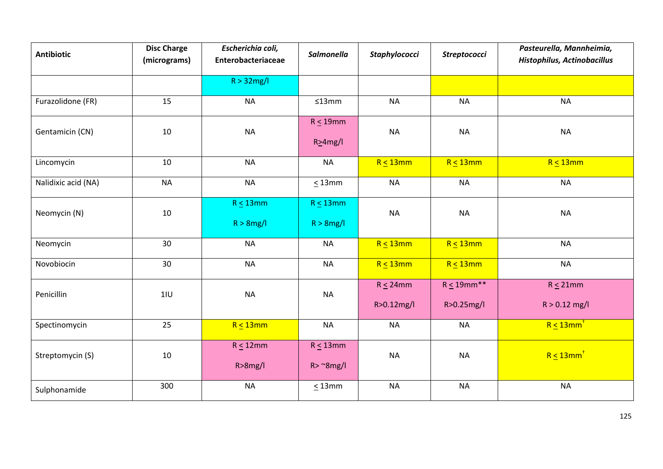| <b>Antibiotic</b>   | <b>Disc Charge</b><br>(micrograms) | Escherichia coli,<br>Enterobacteriaceae | <b>Salmonella</b>                     | Staphylococci                | <b>Streptococci</b>            | Pasteurella, Mannheimia,<br><b>Histophilus, Actinobacillus</b> |  |
|---------------------|------------------------------------|-----------------------------------------|---------------------------------------|------------------------------|--------------------------------|----------------------------------------------------------------|--|
|                     |                                    | $R > 32$ mg/l                           |                                       |                              |                                |                                                                |  |
| Furazolidone (FR)   | 15                                 | <b>NA</b>                               | ≤13mm                                 | <b>NA</b>                    | <b>NA</b>                      | <b>NA</b>                                                      |  |
| Gentamicin (CN)     | 10                                 | <b>NA</b>                               | $R \leq 19$ mm<br>$R \geq 4mg/l$      | <b>NA</b>                    | <b>NA</b>                      | <b>NA</b>                                                      |  |
| Lincomycin          | 10                                 | <b>NA</b>                               | <b>NA</b>                             | $R \leq 13$ mm               | $R \leq 13$ mm                 | $R \leq 13$ mm                                                 |  |
| Nalidixic acid (NA) | <b>NA</b>                          | <b>NA</b>                               | $\leq$ 13mm                           | <b>NA</b>                    | <b>NA</b>                      | <b>NA</b>                                                      |  |
| Neomycin (N)        | $10\,$                             | $R \leq 13$ mm<br>$R > 8$ mg/l          | $R \leq 13$ mm<br>$R > 8$ mg/l        | <b>NA</b>                    | <b>NA</b>                      | <b>NA</b>                                                      |  |
| Neomycin            | 30                                 | <b>NA</b>                               | <b>NA</b>                             | $R \leq 13$ mm               | $R \leq 13$ mm                 | <b>NA</b>                                                      |  |
| Novobiocin          | 30                                 | <b>NA</b>                               | <b>NA</b>                             | $R \leq 13$ mm               | $R \leq 13$ mm                 | <b>NA</b>                                                      |  |
| Penicillin          | 11U                                | <b>NA</b>                               | <b>NA</b>                             | $R \leq 24$ mm<br>R>0.12mg/l | $R \leq 19$ mm**<br>R>0.25mg/l | $R \leq 21$ mm<br>$R > 0.12$ mg/l                              |  |
| Spectinomycin       | 25                                 | $R \leq 13$ mm                          | <b>NA</b>                             | <b>NA</b>                    | <b>NA</b>                      | $R \leq 13$ mm                                                 |  |
| Streptomycin (S)    | 10                                 | $R \leq 12$ mm<br>$R > 8$ mg/l          | $R \leq 13$ mm<br>$R > \gamma 8$ mg/l | <b>NA</b>                    | <b>NA</b>                      | $R \leq 13$ mm <sup>+</sup>                                    |  |
| Sulphonamide        | 300                                | <b>NA</b>                               | $\leq$ 13mm                           | <b>NA</b>                    | <b>NA</b>                      | <b>NA</b>                                                      |  |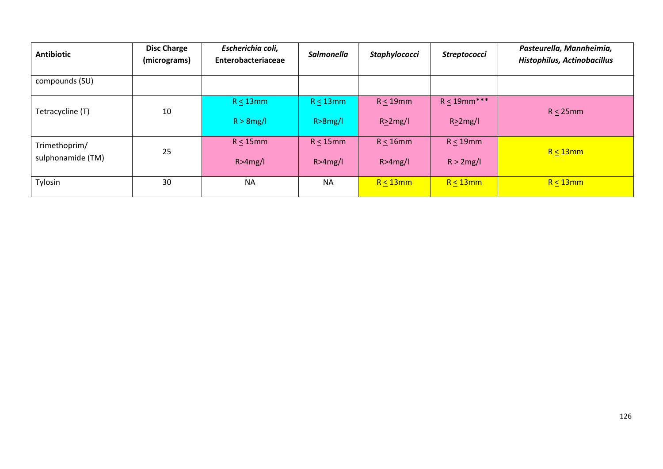| <b>Antibiotic</b> | <b>Disc Charge</b><br>(micrograms) | Escherichia coli,<br>Enterobacteriaceae | Salmonella   | <b>Staphylococci</b> | Streptococci   | Pasteurella, Mannheimia,<br><b>Histophilus, Actinobacillus</b> |  |
|-------------------|------------------------------------|-----------------------------------------|--------------|----------------------|----------------|----------------------------------------------------------------|--|
| compounds (SU)    |                                    |                                         |              |                      |                |                                                                |  |
| Tetracycline (T)  | 10                                 | $R \leq 13$ mm                          |              | $R < 19$ mm          | $R < 19$ mm*** | $R < 25$ mm                                                    |  |
|                   |                                    | $R > 8$ mg/l                            | $R > 8$ mg/l | R>2mg/l              | R>2mg/l        |                                                                |  |
| Trimethoprim/     | 25                                 | $R < 15$ mm                             | $R < 15$ mm  | $R < 16$ mm          | $R < 19$ mm    | $R < 13$ mm                                                    |  |
| sulphonamide (TM) |                                    | $R > 4$ mg/l                            | $R > 4$ mg/l | $R > 4$ mg/l         | $R \geq 2mg/l$ |                                                                |  |
| Tylosin           | 30                                 | <b>NA</b>                               | <b>NA</b>    | $R < 13$ mm          | $R < 13$ mm    | $R \leq 13$ mm                                                 |  |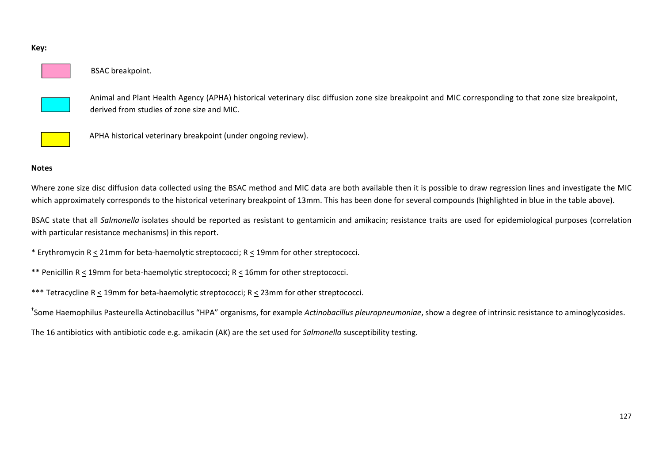### BSAC breakpoint.

Animal and Plant Health Agency (APHA) historical veterinary disc diffusion zone size breakpoint and MIC corresponding to that zone size breakpoint, derived from studies of zone size and MIC.



APHA historical veterinary breakpoint (under ongoing review).

### **Notes**

Where zone size disc diffusion data collected using the BSAC method and MIC data are both available then it is possible to draw regression lines and investigate the MIC which approximately corresponds to the historical veterinary breakpoint of 13mm. This has been done for several compounds (highlighted in blue in the table above).

BSAC state that all Salmonella isolates should be reported as resistant to gentamicin and amikacin; resistance traits are used for epidemiological purposes (correlation with particular resistance mechanisms) in this report.

\* Erythromycin R <sup>&</sup>lt; 21mm for beta‐haemolytic streptococci; R <sup>&</sup>lt; 19mm for other streptococci.

- \*\* Penicillin R <sup>&</sup>lt; 19mm for beta‐haemolytic streptococci; R <sup>&</sup>lt; 16mm for other streptococci.
- \*\*\* Tetracycline R <sup>&</sup>lt; 19mm for beta‐haemolytic streptococci; R <sup>&</sup>lt; 23mm for other streptococci.

†Some Haemophilus Pasteurella Actinobacillus "HPA" organisms, for example *Actinobacillus pleuropneumoniae*, show <sup>a</sup> degree of intrinsic resistance to aminoglycosides.

The 16 antibiotics with antibiotic code e.g. amikacin (AK) are the set used for *Salmonella* susceptibility testing.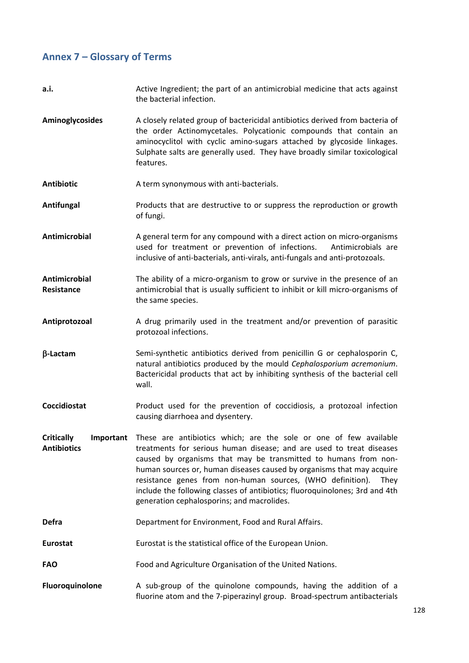# **Annex 7 – Glossary of Terms**

| a.i.                                                 | Active Ingredient; the part of an antimicrobial medicine that acts against<br>the bacterial infection.                                                                                                                                                                                                                                                                                                                                                                                   |  |  |  |  |  |  |
|------------------------------------------------------|------------------------------------------------------------------------------------------------------------------------------------------------------------------------------------------------------------------------------------------------------------------------------------------------------------------------------------------------------------------------------------------------------------------------------------------------------------------------------------------|--|--|--|--|--|--|
| Aminoglycosides                                      | A closely related group of bactericidal antibiotics derived from bacteria of<br>the order Actinomycetales. Polycationic compounds that contain an<br>aminocyclitol with cyclic amino-sugars attached by glycoside linkages.<br>Sulphate salts are generally used. They have broadly similar toxicological<br>features.                                                                                                                                                                   |  |  |  |  |  |  |
| <b>Antibiotic</b>                                    | A term synonymous with anti-bacterials.                                                                                                                                                                                                                                                                                                                                                                                                                                                  |  |  |  |  |  |  |
| Antifungal                                           | Products that are destructive to or suppress the reproduction or growth<br>of fungi.                                                                                                                                                                                                                                                                                                                                                                                                     |  |  |  |  |  |  |
| Antimicrobial                                        | A general term for any compound with a direct action on micro-organisms<br>used for treatment or prevention of infections.<br>Antimicrobials are<br>inclusive of anti-bacterials, anti-virals, anti-fungals and anti-protozoals.                                                                                                                                                                                                                                                         |  |  |  |  |  |  |
| Antimicrobial<br>Resistance                          | The ability of a micro-organism to grow or survive in the presence of an<br>antimicrobial that is usually sufficient to inhibit or kill micro-organisms of<br>the same species.                                                                                                                                                                                                                                                                                                          |  |  |  |  |  |  |
| Antiprotozoal                                        | A drug primarily used in the treatment and/or prevention of parasitic<br>protozoal infections.                                                                                                                                                                                                                                                                                                                                                                                           |  |  |  |  |  |  |
| $\beta$ -Lactam                                      | Semi-synthetic antibiotics derived from penicillin G or cephalosporin C,<br>natural antibiotics produced by the mould Cephalosporium acremonium.<br>Bactericidal products that act by inhibiting synthesis of the bacterial cell<br>wall.                                                                                                                                                                                                                                                |  |  |  |  |  |  |
| <b>Coccidiostat</b>                                  | Product used for the prevention of coccidiosis, a protozoal infection<br>causing diarrhoea and dysentery.                                                                                                                                                                                                                                                                                                                                                                                |  |  |  |  |  |  |
| <b>Critically</b><br>Important<br><b>Antibiotics</b> | These are antibiotics which; are the sole or one of few available<br>treatments for serious human disease; and are used to treat diseases<br>caused by organisms that may be transmitted to humans from non-<br>human sources or, human diseases caused by organisms that may acquire<br>resistance genes from non-human sources, (WHO definition).<br>They<br>include the following classes of antibiotics; fluoroquinolones; 3rd and 4th<br>generation cephalosporins; and macrolides. |  |  |  |  |  |  |
| <b>Defra</b>                                         | Department for Environment, Food and Rural Affairs.                                                                                                                                                                                                                                                                                                                                                                                                                                      |  |  |  |  |  |  |
| <b>Eurostat</b>                                      | Eurostat is the statistical office of the European Union.                                                                                                                                                                                                                                                                                                                                                                                                                                |  |  |  |  |  |  |
| <b>FAO</b>                                           | Food and Agriculture Organisation of the United Nations.                                                                                                                                                                                                                                                                                                                                                                                                                                 |  |  |  |  |  |  |
| Fluoroquinolone                                      | A sub-group of the quinolone compounds, having the addition of a<br>fluorine atom and the 7-piperazinyl group. Broad-spectrum antibacterials                                                                                                                                                                                                                                                                                                                                             |  |  |  |  |  |  |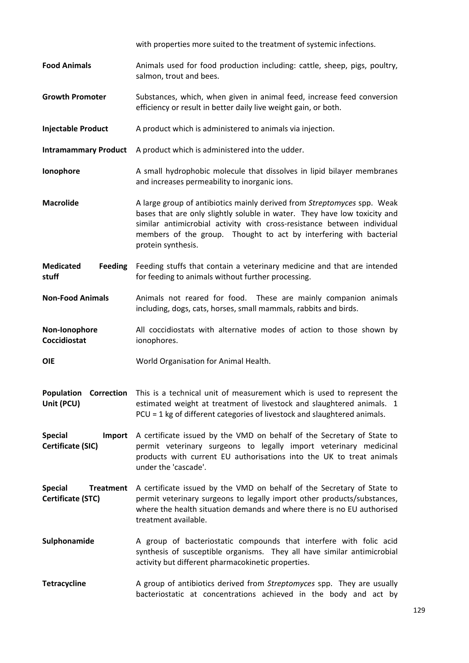|                                                  | with properties more suited to the treatment of systemic infections.                                                                                                                                                                                                                                                        |  |  |  |  |  |  |  |
|--------------------------------------------------|-----------------------------------------------------------------------------------------------------------------------------------------------------------------------------------------------------------------------------------------------------------------------------------------------------------------------------|--|--|--|--|--|--|--|
| <b>Food Animals</b>                              | Animals used for food production including: cattle, sheep, pigs, poultry,<br>salmon, trout and bees.                                                                                                                                                                                                                        |  |  |  |  |  |  |  |
| <b>Growth Promoter</b>                           | Substances, which, when given in animal feed, increase feed conversion<br>efficiency or result in better daily live weight gain, or both.                                                                                                                                                                                   |  |  |  |  |  |  |  |
| <b>Injectable Product</b>                        | A product which is administered to animals via injection.                                                                                                                                                                                                                                                                   |  |  |  |  |  |  |  |
| <b>Intramammary Product</b>                      | A product which is administered into the udder.                                                                                                                                                                                                                                                                             |  |  |  |  |  |  |  |
| Ionophore                                        | A small hydrophobic molecule that dissolves in lipid bilayer membranes<br>and increases permeability to inorganic ions.                                                                                                                                                                                                     |  |  |  |  |  |  |  |
| <b>Macrolide</b>                                 | A large group of antibiotics mainly derived from Streptomyces spp. Weak<br>bases that are only slightly soluble in water. They have low toxicity and<br>similar antimicrobial activity with cross-resistance between individual<br>members of the group. Thought to act by interfering with bacterial<br>protein synthesis. |  |  |  |  |  |  |  |
| <b>Medicated</b><br><b>Feeding</b><br>stuff      | Feeding stuffs that contain a veterinary medicine and that are intended<br>for feeding to animals without further processing.                                                                                                                                                                                               |  |  |  |  |  |  |  |
| <b>Non-Food Animals</b>                          | Animals not reared for food. These are mainly companion animals<br>including, dogs, cats, horses, small mammals, rabbits and birds.                                                                                                                                                                                         |  |  |  |  |  |  |  |
| Non-Ionophore<br>Coccidiostat                    | All coccidiostats with alternative modes of action to those shown by<br>ionophores.                                                                                                                                                                                                                                         |  |  |  |  |  |  |  |
| <b>OIE</b>                                       | World Organisation for Animal Health.                                                                                                                                                                                                                                                                                       |  |  |  |  |  |  |  |
| <b>Population Correction</b><br>Unit (PCU)       | This is a technical unit of measurement which is used to represent the<br>estimated weight at treatment of livestock and slaughtered animals. 1<br>PCU = 1 kg of different categories of livestock and slaughtered animals.                                                                                                 |  |  |  |  |  |  |  |
| <b>Special</b><br>Import<br>Certificate (SIC)    | A certificate issued by the VMD on behalf of the Secretary of State to<br>permit veterinary surgeons to legally import veterinary medicinal<br>products with current EU authorisations into the UK to treat animals<br>under the 'cascade'.                                                                                 |  |  |  |  |  |  |  |
| <b>Special</b><br>Treatment<br>Certificate (STC) | A certificate issued by the VMD on behalf of the Secretary of State to<br>permit veterinary surgeons to legally import other products/substances,<br>where the health situation demands and where there is no EU authorised<br>treatment available.                                                                         |  |  |  |  |  |  |  |
| Sulphonamide                                     | A group of bacteriostatic compounds that interfere with folic acid<br>synthesis of susceptible organisms. They all have similar antimicrobial<br>activity but different pharmacokinetic properties.                                                                                                                         |  |  |  |  |  |  |  |
| <b>Tetracycline</b>                              | A group of antibiotics derived from Streptomyces spp. They are usually<br>bacteriostatic at concentrations achieved in the body and act by                                                                                                                                                                                  |  |  |  |  |  |  |  |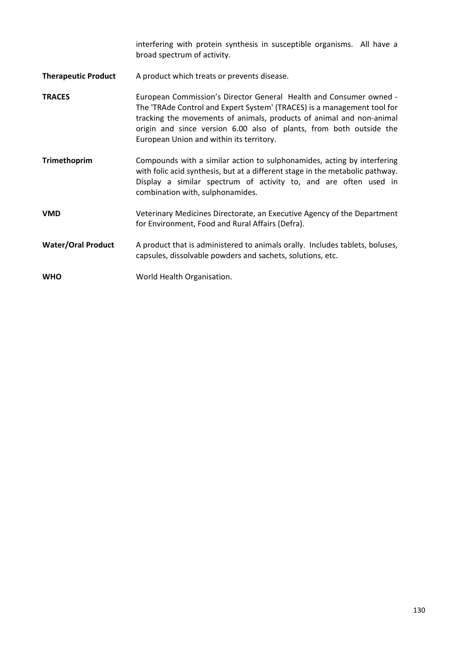interfering with protein synthesis in susceptible organisms. All have a broad spectrum of activity.

- **Therapeutic Product** A product which treats or prevents disease.
- **TRACES European Commission's Director General Health and Consumer owned -**The 'TRAde Control and Expert System' (TRACES) is a management tool for tracking the movements of animals, products of animal and non‐animal origin and since version 6.00 also of plants, from both outside the European Union and within its territory.
- **Trimethoprim Compounds with a similar action to sulphonamides, acting by interfering** with folic acid synthesis, but at a different stage in the metabolic pathway. Display a similar spectrum of activity to, and are often used in combination with, sulphonamides.
- **VMD** Veterinary Medicines Directorate, an Executive Agency of the Department for Environment, Food and Rural Affairs (Defra).
- **Water/Oral Product** A product that is administered to animals orally. Includes tablets, boluses, capsules, dissolvable powders and sachets, solutions, etc.
- WHO **WORD WORD WORD WORD WEIGHT** WORLD MEAN UP NOT WORD TO WARD TO MEAN OF THE SECTION OF THE SECTION **WALES**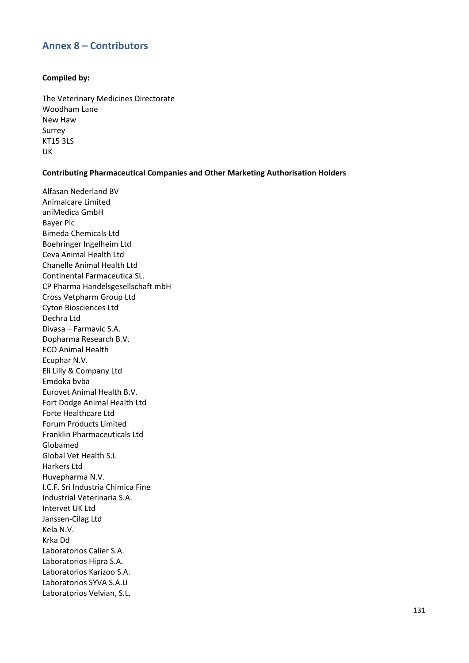### **Annex 8 – Contributors**

### **Compiled by:**

The Veterinary Medicines Directorate Woodham Lane New Haw Surrey KT15 3LS UK

### **Contributing Pharmaceutical Companies and Other Marketing Authorisation Holders**

Alfasan Nederland BV Animalcare Limited aniMedica GmbH Bayer Plc Bimeda Chemicals Ltd Boehringer Ingelheim Ltd Ceva Animal Health Ltd Chanelle Animal Health Ltd Continental Farmaceutica SL. CP Pharma Handelsgesellschaft mbH Cross Vetpharm Group Ltd Cyton Biosciences Ltd Dechra Ltd Divasa – Farmavic S.A. Dopharma Research B.V. ECO Animal Health Ecuphar N.V. Eli Lilly & Company Ltd Emdoka bvba Eurovet Animal Health B.V. Fort Dodge Animal Health Ltd Forte Healthcare Ltd Forum Products Limited Franklin Pharmaceuticals Ltd Globamed Global Vet Health S.L Harkers Ltd Huvepharma N.V. I.C.F. Sri Industria Chimica Fine Industrial Veterinaria S.A. Intervet UK Ltd Janssen‐Cilag Ltd Kela N.V. Krka Dd Laboratorios Calier S.A. Laboratorios Hipra S.A. Laboratorios Karizoo S.A. Laboratorios SYVA S.A.U Laboratorios Velvian, S.L.